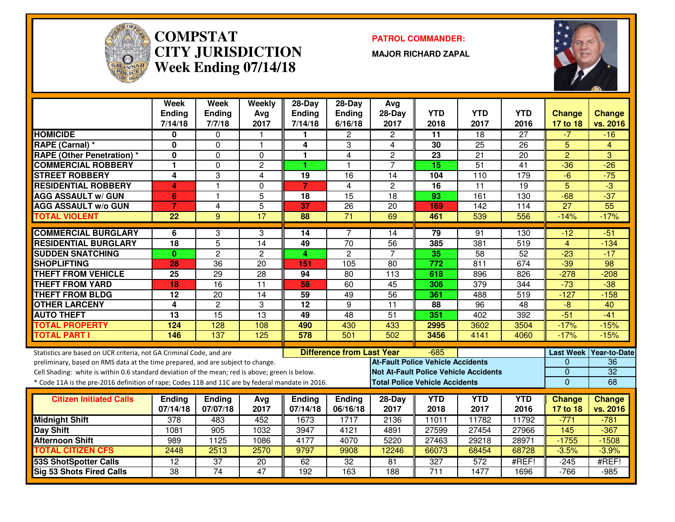

#### **COMPSTAT PATROL COMMANDER: CITY JURISDICTIONWeek Ending 07/14/18**

**MAJOR RICHARD ZAPAL**



|                                                                                                  | Week<br><b>Ending</b><br>7/14/18 | <b>Week</b><br><b>Ending</b><br>7/7/18 | Weekly<br>Avg<br>2017             | 28-Day<br><b>Ending</b><br>7/14/18 | 28-Day<br>Ending<br>6/16/18      | Avg<br>$28-Day$<br>2017                  | <b>YTD</b><br>2018                    | <b>YTD</b><br>2017                           | <b>YTD</b><br>2016 | <b>Change</b><br>17 to 18 | <b>Change</b><br>vs. 2016 |
|--------------------------------------------------------------------------------------------------|----------------------------------|----------------------------------------|-----------------------------------|------------------------------------|----------------------------------|------------------------------------------|---------------------------------------|----------------------------------------------|--------------------|---------------------------|---------------------------|
| <b>HOMICIDE</b>                                                                                  | 0                                | $\Omega$                               | 1                                 |                                    | 2                                | $\overline{2}$                           | $\overline{11}$                       | $\overline{18}$                              | $\overline{27}$    | $-7$                      | $-16$                     |
| RAPE (Carnal) *                                                                                  | $\mathbf{0}$                     | $\overline{0}$                         | $\mathbf{1}$                      | 4                                  | 3                                | 4                                        | $\overline{30}$                       | $\overline{25}$                              | $\overline{26}$    | $\overline{5}$            | 4                         |
| <b>RAPE (Other Penetration) *</b>                                                                | 0                                | $\mathbf 0$                            | 0                                 | 1                                  | $\overline{4}$                   | $\overline{2}$                           | 23                                    | $\overline{21}$                              | $\overline{20}$    | $\overline{2}$            | 3                         |
| <b>COMMERCIAL ROBBERY</b>                                                                        | $\blacksquare$                   | $\mathbf 0$                            | $\overline{2}$                    | 1                                  | $\overline{1}$                   | $\overline{7}$                           | $\overline{15}$                       | 51                                           | $\overline{41}$    | $-36$                     | $-26$                     |
| <b>STREET ROBBERY</b>                                                                            | 4                                | $\overline{3}$                         | 4                                 | 19                                 | 16                               | 14                                       | 104                                   | 110                                          | 179                | $-6$                      | $-75$                     |
| <b>RESIDENTIAL ROBBERY</b>                                                                       | 4                                | $\mathbf{1}$                           | $\Omega$                          | $\overline{7}$                     | $\overline{4}$                   | $\overline{2}$                           | $\overline{16}$                       | $\overline{11}$                              | $\overline{19}$    | $\overline{5}$            | $-3$                      |
| <b>AGG ASSAULT w/ GUN</b>                                                                        | 6                                | $\mathbf{1}$                           | 5                                 | 18                                 | $\overline{15}$                  | 18                                       | 93                                    | 161                                          | 130                | $-68$                     | $-37$                     |
| <b>AGG ASSAULT w/o GUN</b>                                                                       | $\overline{7}$                   | 4                                      | 5                                 | 37                                 | 26                               | 20                                       | 169                                   | 142                                          | 114                | $\overline{27}$           | $\overline{55}$           |
| <b>TOTAL VIOLENT</b>                                                                             | 22                               | $\overline{9}$                         | $\overline{17}$                   | 88                                 | $\overline{71}$                  | 69                                       | 461                                   | 539                                          | 556                | $-14%$                    | $-17%$                    |
|                                                                                                  |                                  |                                        |                                   |                                    |                                  |                                          |                                       |                                              |                    |                           |                           |
| <b>COMMERCIAL BURGLARY</b>                                                                       | 6                                | 3                                      | 3                                 | 14                                 | $\overline{7}$                   | 14                                       | 79                                    | 91                                           | 130                | $-12$                     | $-51$                     |
| <b>RESIDENTIAL BURGLARY</b>                                                                      | 18                               | $\overline{5}$                         | 14                                | 49                                 | $\overline{70}$                  | 56<br>7                                  | 385                                   | 381                                          | 519                | $\overline{4}$            | $-134$                    |
| <b>SUDDEN SNATCHING</b><br><b>SHOPLIFTING</b>                                                    | $\mathbf{0}$<br>28               | $\overline{2}$<br>$\overline{36}$      | $\overline{c}$<br>$\overline{20}$ | 4.<br>151                          | $\overline{c}$<br>105            | $\overline{80}$                          | 35<br>772                             | $\overline{58}$<br>811                       | 52<br>674          | $-23$<br>$-39$            | $-17$<br>$\overline{98}$  |
| <b>THEFT FROM VEHICLE</b>                                                                        | $\overline{25}$                  | $\overline{29}$                        | $\overline{28}$                   | 94                                 | $\overline{80}$                  | $\overline{113}$                         | 618                                   | 896                                          | 826                | $-278$                    | $-208$                    |
| <b>THEFT FROM YARD</b>                                                                           | 18                               | 16                                     | $\overline{11}$                   | 58                                 | 60                               | 45                                       | 306                                   | $\overline{379}$                             | 344                | $-73$                     | $-38$                     |
| <b>THEFT FROM BLDG</b>                                                                           | 12                               | 20                                     | 14                                | 59                                 | 49                               | $\overline{56}$                          | 361                                   | 488                                          | 519                | $-127$                    | $-158$                    |
| <b>OTHER LARCENY</b>                                                                             | 4                                | $\overline{2}$                         | 3                                 | $\overline{12}$                    | 9                                | $\overline{11}$                          | 88                                    | 96                                           | 48                 | $-8$                      | 40                        |
| <b>AUTO THEFT</b>                                                                                | $\overline{13}$                  | $\overline{15}$                        | $\overline{13}$                   | 49                                 | $\overline{48}$                  | $\overline{51}$                          | 351                                   | 402                                          | 392                | $-51$                     | $-41$                     |
| <b>TOTAL PROPERTY</b>                                                                            | 124                              | 128                                    | 108                               | 490                                | 430                              | 433                                      | 2995                                  | 3602                                         | 3504               | $-17%$                    | $-15%$                    |
| <b>TOTAL PART I</b>                                                                              | 146                              | 137                                    | 125                               | 578                                | 501                              | 502                                      | 3456                                  | 4141                                         | 4060               | $-17%$                    | $-15%$                    |
|                                                                                                  |                                  |                                        |                                   |                                    |                                  |                                          |                                       |                                              |                    |                           |                           |
| Statistics are based on UCR criteria, not GA Criminal Code, and are                              |                                  |                                        |                                   |                                    | <b>Difference from Last Year</b> |                                          | $-685$                                |                                              |                    |                           | Last Week Year-to-Date    |
| preliminary, based on RMS data at the time prepared, and are subject to change.                  |                                  |                                        |                                   |                                    |                                  | <b>At-Fault Police Vehicle Accidents</b> |                                       |                                              |                    | $\mathbf{0}$              | 36                        |
| Cell Shading: white is within 0.6 standard deviation of the mean; red is above; green is below.  |                                  |                                        |                                   |                                    |                                  |                                          |                                       | <b>Not At-Fault Police Vehicle Accidents</b> |                    | $\mathbf{0}$              | $\overline{32}$           |
| * Code 11A is the pre-2016 definition of rape; Codes 11B and 11C are by federal mandate in 2016. |                                  |                                        |                                   |                                    |                                  |                                          | <b>Total Police Vehicle Accidents</b> |                                              |                    | $\overline{0}$            | 68                        |
| <b>Citizen Initiated Calls</b>                                                                   | <b>Ending</b>                    | <b>Ending</b>                          | Avg                               | <b>Ending</b>                      | <b>Ending</b>                    | 28-Day                                   | <b>YTD</b>                            | <b>YTD</b>                                   | <b>YTD</b>         | <b>Change</b>             | <b>Change</b>             |
|                                                                                                  | 07/14/18                         | 07/07/18                               | 2017                              | 07/14/18                           | 06/16/18                         | 2017                                     | 2018                                  | 2017                                         | 2016               | 17 to 18                  | vs. 2016                  |
| <b>Midnight Shift</b>                                                                            | 378                              | 483                                    | 452                               | 1673                               | 1717                             | 2136                                     | 11011                                 | 11782                                        | 11792              | $-771$                    | $-781$                    |
| <b>Day Shift</b>                                                                                 | 1081                             | 905                                    | 1032                              | 3947                               | 4121                             | 4891                                     | 27599                                 | 27454                                        | 27966              | 145                       | $-367$                    |
| <b>Afternoon Shift</b>                                                                           | 989                              | 1125                                   | 1086                              | 4177                               | 4070                             | 5220                                     | 27463                                 | 29218                                        | 28971              | $-1755$                   | $-1508$                   |
| <b>TOTAL CITIZEN CFS</b>                                                                         | 2448                             | 2513                                   | 2570                              | 9797                               | 9908                             | 12246                                    | 66073                                 | 68454                                        | 68728              | $-3.5%$                   | $-3.9%$                   |
| <b>53S ShotSpotter Calls</b>                                                                     | $\overline{12}$                  | $\overline{37}$                        | 20                                | 62                                 | 32                               | 81                                       | 327                                   | 572                                          | #REF!              | $-245$                    | #REF!                     |
| <b>Sig 53 Shots Fired Calls</b>                                                                  | $\overline{38}$                  | 74                                     | 47                                | 192                                | 163                              | 188                                      | $\overline{711}$                      | 1477                                         | 1696               | $-766$                    | $-985$                    |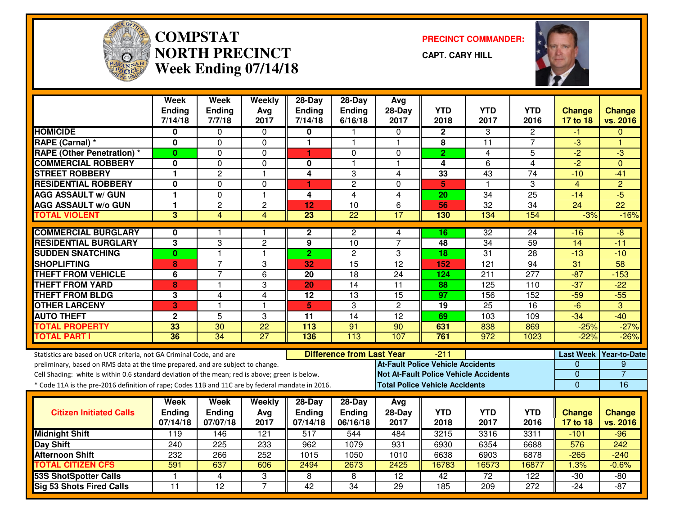

# **COMPSTAT PRECINCT COMMANDER: NORTH PRECINCTWeek Ending 07/14/18**

**CAPT. CARY HILL**



|                                                                                                  | Week<br><b>Ending</b> | <b>Week</b><br><b>Ending</b> | Weekly<br>Avg    | $28-Dav$<br><b>Ending</b> | $28-Dav$<br>Ending               | Avg<br>$28-Day$                              | <b>YTD</b>                            | <b>YTD</b>           | <b>YTD</b>       | <b>Change</b>    | <b>Change</b>       |
|--------------------------------------------------------------------------------------------------|-----------------------|------------------------------|------------------|---------------------------|----------------------------------|----------------------------------------------|---------------------------------------|----------------------|------------------|------------------|---------------------|
|                                                                                                  | 7/14/18               | 7/7/18                       | 2017             | 7/14/18                   | 6/16/18                          | 2017                                         | 2018                                  | 2017                 | 2016             | 17 to 18         | vs. 2016            |
| <b>HOMICIDE</b>                                                                                  | 0                     | $\Omega$                     | $\mathbf{0}$     | 0                         |                                  | $\Omega$                                     | $\mathbf 2$                           | 3                    | $\mathbf{2}$     | -1               | $\Omega$            |
| RAPE (Carnal) *                                                                                  | 0                     | 0                            | $\mathbf 0$      | $\mathbf{1}$              | 1.                               | -1                                           | 8                                     | 11                   | 7                | $-3$             | н                   |
| <b>RAPE (Other Penetration) *</b>                                                                | $\bf{0}$              | 0                            | $\Omega$         | 1                         | $\Omega$                         | $\Omega$                                     | $\overline{2}$                        | 4                    | 5                | $-2$             | $-3$                |
| <b>COMMERCIAL ROBBERY</b>                                                                        | 0                     | $\mathbf{0}$                 | $\Omega$         | 0                         | 1                                | $\blacktriangleleft$                         | 4                                     | 6                    | $\overline{4}$   | $-2$             | $\Omega$            |
| <b>STREET ROBBERY</b>                                                                            | 1                     | $\overline{c}$               | $\mathbf{1}$     | 4                         | 3                                | 4                                            | 33                                    | 43                   | $\overline{74}$  | $-10$            | $-41$               |
| <b>RESIDENTIAL ROBBERY</b>                                                                       | $\mathbf 0$           | $\mathbf{0}$                 | $\Omega$         | 1                         | $\overline{c}$                   | $\Omega$                                     | 5                                     | $\blacktriangleleft$ | 3                | $\overline{4}$   | $\overline{2}$      |
| <b>AGG ASSAULT w/ GUN</b>                                                                        | $\mathbf{1}$          | $\mathbf{0}$                 | $\overline{1}$   | 4                         | $\overline{4}$                   | $\overline{4}$                               | $\overline{20}$                       | $\overline{34}$      | $\overline{25}$  | $-14$            | $-5$                |
| <b>AGG ASSAULT w/o GUN</b>                                                                       | 1                     | $\overline{2}$               | $\overline{c}$   | 12                        | 10                               | 6                                            | 56                                    | $\overline{32}$      | 34               | 24               | $\overline{22}$     |
| <b>TOTAL VIOLENT</b>                                                                             | $\overline{3}$        | 4                            | $\overline{4}$   | $\overline{23}$           | $\overline{22}$                  | 17                                           | 130                                   | 134                  | 154              | $-3%$            | $-16%$              |
| <b>COMMERCIAL BURGLARY</b>                                                                       | 0                     |                              |                  | $\mathbf{2}$              | 2                                | 4                                            | 16                                    | 32                   | 24               | -16              | -8                  |
| <b>RESIDENTIAL BURGLARY</b>                                                                      | 3                     | 3                            | $\overline{c}$   | 9                         | 10                               | $\overline{7}$                               | 48                                    | $\overline{34}$      | 59               | 14               | $-11$               |
| <b>SUDDEN SNATCHING</b>                                                                          | $\mathbf{0}$          | $\overline{1}$               | $\overline{1}$   | $\overline{2}$            | $\overline{c}$                   | 3                                            | 18                                    | 31                   | 28               | $-13$            | $-10$               |
| <b>SHOPLIFTING</b>                                                                               | 8                     | 7                            | 3                | 32                        | 15                               | $\overline{12}$                              | 152                                   | 121                  | $\overline{94}$  | 31               | 58                  |
| <b>THEFT FROM VEHICLE</b>                                                                        | 6                     | $\overline{7}$               | $6\phantom{1}$   | 20                        | 18                               | 24                                           | 124                                   | 211                  | 277              | $-87$            | $-153$              |
| <b>THEFT FROM YARD</b>                                                                           | 8                     | 1                            | 3                | 20                        | $\overline{14}$                  | 11                                           | 88                                    | 125                  | 110              | $-37$            | $-22$               |
| <b>THEFT FROM BLDG</b>                                                                           | 3                     | 4                            | $\overline{4}$   | $\overline{12}$           | $\overline{13}$                  | $\overline{15}$                              | $\overline{97}$                       | 156                  | $\overline{152}$ | $-59$            | $-55$               |
| <b>OTHER LARCENY</b>                                                                             | 3                     | $\overline{\phantom{a}}$     | $\mathbf{1}$     | 5                         | 3                                | $\overline{2}$                               | 19                                    | 25                   | 16               | $-6$             | 3                   |
| <b>AUTO THEFT</b>                                                                                | $\mathbf{2}$          | $\overline{5}$               | 3                | 11                        | 14                               | $\overline{12}$                              | 69                                    | 103                  | 109              | $-34$            | $-40$               |
| <b>TOTAL PROPERTY</b>                                                                            | 33                    | $\overline{30}$              | $\overline{22}$  | 113                       | 91                               | 90                                           | 631                                   | 838                  | 869              | $-25%$           | $-27%$              |
| <b>TOTAL PART I</b>                                                                              | 36                    | $\overline{34}$              | 27               | 136                       | 113                              | 107                                          | 761                                   | 972                  | 1023             | $-22%$           | $-26%$              |
| Statistics are based on UCR criteria, not GA Criminal Code, and are                              |                       |                              |                  |                           | <b>Difference from Last Year</b> |                                              | -211                                  |                      |                  | <b>Last Week</b> | <b>Year-to-Date</b> |
| preliminary, based on RMS data at the time prepared, and are subject to change.                  |                       |                              |                  |                           |                                  | <b>At-Fault Police Vehicle Accidents</b>     |                                       |                      |                  | 0                | 9                   |
| Cell Shading: white is within 0.6 standard deviation of the mean; red is above; green is below.  |                       |                              |                  |                           |                                  | <b>Not At-Fault Police Vehicle Accidents</b> |                                       |                      |                  | 0                | $\overline{7}$      |
| * Code 11A is the pre-2016 definition of rape; Codes 11B and 11C are by federal mandate in 2016. |                       |                              |                  |                           |                                  |                                              | <b>Total Police Vehicle Accidents</b> |                      |                  | $\Omega$         | 16                  |
|                                                                                                  | Week                  | Week                         | Weekly           | 28-Day                    | 28-Day                           | Avg                                          |                                       |                      |                  |                  |                     |
| <b>Citizen Initiated Calls</b>                                                                   | Ending                | <b>Ending</b>                | Avg              | <b>Ending</b>             | <b>Ending</b>                    | $28-Day$                                     | <b>YTD</b>                            | <b>YTD</b>           | <b>YTD</b>       | <b>Change</b>    | <b>Change</b>       |
|                                                                                                  | 07/14/18              | 07/07/18                     | 2017             | 07/14/18                  | 06/16/18                         | 2017                                         | 2018                                  | 2017                 | 2016             | 17 to 18         | vs. 2016            |
| <b>Midnight Shift</b>                                                                            | 119                   | 146                          | $\overline{121}$ | 517                       | 544                              | 484                                          | 3215                                  | 3316                 | 3311             | $-101$           | $-96$               |
| <b>Day Shift</b>                                                                                 | 240                   | 225                          | 233              | 962                       | 1079                             | 931                                          | 6930                                  | 6354                 | 6688             | 576              | 242                 |
| <b>Afternoon Shift</b>                                                                           | 232                   | 266                          | 252              | 1015                      | 1050                             | 1010                                         | 6638                                  | 6903                 | 6878             | $-265$           | $-240$              |
| <b>TOTAL CITIZEN CFS</b>                                                                         | 591                   | 637                          | 606              | 2494                      | 2673                             | 2425                                         | 16783                                 | 16573                | 16877            | 1.3%             | $-0.6%$             |
| <b>53S ShotSpotter Calls</b>                                                                     | -1                    | 4                            | 3                | 8                         | 8                                | $\overline{12}$                              | 42                                    | $\overline{72}$      | $\overline{122}$ | $-30$            | $-80$               |
| Sig 53 Shots Fired Calls                                                                         | 11                    | $\overline{12}$              | $\overline{7}$   | 42                        | 34                               | 29                                           | 185                                   | 209                  | 272              | $-24$            | $-87$               |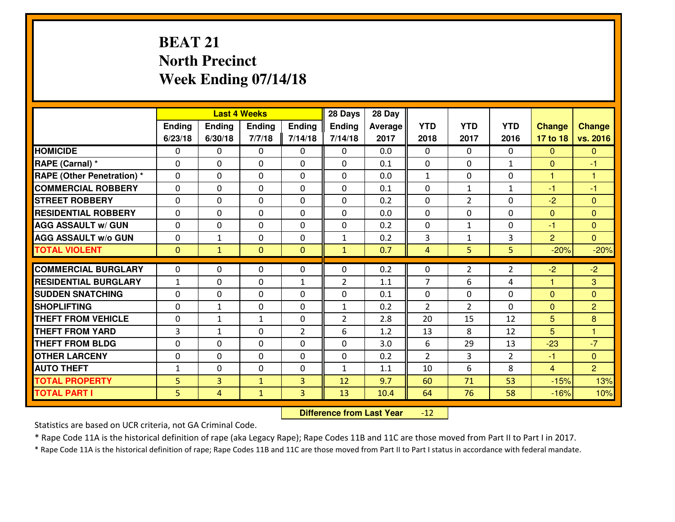## **BEAT 21 North PrecinctWeek Ending 07/14/18**

|                                   |              |                | <b>Last 4 Weeks</b> |                | 28 Days        | 28 Day  |                |                |                |                |                |
|-----------------------------------|--------------|----------------|---------------------|----------------|----------------|---------|----------------|----------------|----------------|----------------|----------------|
|                                   | Ending       | <b>Ending</b>  | Ending              | <b>Ending</b>  | <b>Ending</b>  | Average | <b>YTD</b>     | <b>YTD</b>     | <b>YTD</b>     | <b>Change</b>  | <b>Change</b>  |
|                                   | 6/23/18      | 6/30/18        | 7/7/18              | 7/14/18        | 7/14/18        | 2017    | 2018           | 2017           | 2016           | 17 to 18       | vs. 2016       |
| <b>HOMICIDE</b>                   | 0            | 0              | 0                   | 0              | 0              | 0.0     | 0              | $\Omega$       | 0              | $\Omega$       | $\overline{0}$ |
| RAPE (Carnal) *                   | 0            | 0              | $\mathbf 0$         | $\Omega$       | 0              | 0.1     | $\mathbf{0}$   | $\Omega$       | $\mathbf{1}$   | $\Omega$       | $-1$           |
| <b>RAPE (Other Penetration) *</b> | $\Omega$     | 0              | $\mathbf 0$         | $\Omega$       | 0              | 0.0     | $\mathbf{1}$   | $\Omega$       | $\Omega$       | $\mathbf{1}$   | 1              |
| <b>COMMERCIAL ROBBERY</b>         | 0            | $\Omega$       | $\mathbf 0$         | $\Omega$       | 0              | 0.1     | $\Omega$       | $\mathbf{1}$   | $\mathbf{1}$   | $-1$           | $-1$           |
| <b>ISTREET ROBBERY</b>            | 0            | 0              | $\mathbf 0$         | 0              | 0              | 0.2     | 0              | $\overline{2}$ | 0              | $-2$           | $\mathbf{0}$   |
| <b>RESIDENTIAL ROBBERY</b>        | 0            | 0              | $\mathbf 0$         | 0              | 0              | 0.0     | 0              | 0              | 0              | $\mathbf{0}$   | $\mathbf{0}$   |
| <b>AGG ASSAULT W/ GUN</b>         | 0            | 0              | $\mathbf 0$         | $\Omega$       | 0              | 0.2     | 0              | $\mathbf{1}$   | 0              | $-1$           | $\mathbf{0}$   |
| <b>AGG ASSAULT W/o GUN</b>        | 0            | $\mathbf{1}$   | $\mathbf 0$         | 0              | $\mathbf{1}$   | 0.2     | 3              | $\mathbf{1}$   | 3              | $\overline{2}$ | $\overline{0}$ |
| <b>TOTAL VIOLENT</b>              | $\mathbf{0}$ | $\mathbf{1}$   | $\overline{0}$      | $\overline{0}$ | $\mathbf{1}$   | 0.7     | 4              | 5              | 5              | $-20%$         | $-20%$         |
| <b>COMMERCIAL BURGLARY</b>        | $\mathbf{0}$ | 0              | 0                   | 0              | 0              | 0.2     | 0              | 2              | $\overline{2}$ | $-2$           | $-2$           |
| <b>RESIDENTIAL BURGLARY</b>       | $\mathbf{1}$ | 0              | 0                   | $\mathbf{1}$   | $\overline{2}$ | 1.1     | $\overline{7}$ | 6              | 4              | $\mathbf{1}$   | 3              |
| <b>SUDDEN SNATCHING</b>           | $\mathbf{0}$ | 0              | $\mathbf{0}$        | 0              | 0              | 0.1     | $\mathbf{0}$   | 0              | 0              | $\Omega$       | $\mathbf{0}$   |
| <b>SHOPLIFTING</b>                | 0            | $\mathbf{1}$   | $\mathbf 0$         | 0              | $\mathbf{1}$   | 0.2     | $\overline{2}$ | $\overline{2}$ | 0              | $\mathbf{0}$   | $\overline{2}$ |
| <b>THEFT FROM VEHICLE</b>         | 0            | $\mathbf{1}$   | 1                   | 0              | $\overline{2}$ | 2.8     | 20             | 15             | 12             | 5              | 8              |
| <b>THEFT FROM YARD</b>            | 3            | $\mathbf{1}$   | $\mathbf 0$         | $\overline{2}$ | 6              | 1.2     | 13             | 8              | 12             | 5              | $\mathbf{1}$   |
| <b>THEFT FROM BLDG</b>            | 0            | 0              | $\mathbf 0$         | $\Omega$       | 0              | 3.0     | 6              | 29             | 13             | $-23$          | $-7$           |
| <b>OTHER LARCENY</b>              | $\mathbf 0$  | 0              | $\mathbf 0$         | 0              | 0              | 0.2     | $\overline{2}$ | 3              | $\overline{2}$ | $-1$           | $\overline{0}$ |
| <b>AUTO THEFT</b>                 | $\mathbf{1}$ | 0              | $\mathbf 0$         | $\mathbf{0}$   | 1              | 1.1     | 10             | 6              | 8              | $\overline{4}$ | $\overline{2}$ |
| <b>TOTAL PROPERTY</b>             | 5            | $\overline{3}$ | $\mathbf{1}$        | 3              | 12             | 9.7     | 60             | 71             | 53             | $-15%$         | 13%            |
|                                   |              |                |                     |                |                |         |                |                |                |                |                |
| <b>TOTAL PART I</b>               | 5            | $\overline{4}$ | $\mathbf{1}$        | 3              | 13             | 10.4    | 64             | 76             | 58             | $-16%$         | 10%            |

 **Difference from Last Year** $-12$ 

Statistics are based on UCR criteria, not GA Criminal Code.

\* Rape Code 11A is the historical definition of rape (aka Legacy Rape); Rape Codes 11B and 11C are those moved from Part II to Part I in 2017.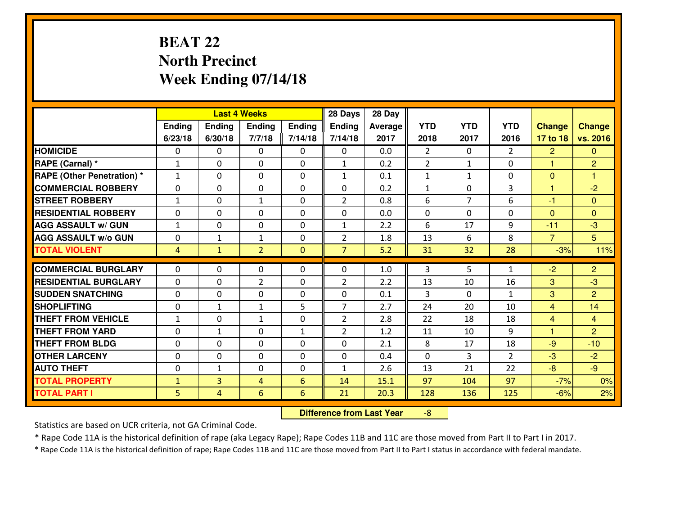## **BEAT 22 North PrecinctWeek Ending 07/14/18**

|                                  |                |               | <b>Last 4 Weeks</b> |                | 28 Days        | 28 Day         |                |                |                |                |                |
|----------------------------------|----------------|---------------|---------------------|----------------|----------------|----------------|----------------|----------------|----------------|----------------|----------------|
|                                  | Ending         | <b>Ending</b> | <b>Ending</b>       | <b>Ending</b>  | <b>Ending</b>  | <b>Average</b> | <b>YTD</b>     | <b>YTD</b>     | <b>YTD</b>     | <b>Change</b>  | <b>Change</b>  |
|                                  | 6/23/18        | 6/30/18       | 7/7/18              | 7/14/18        | 7/14/18        | 2017           | 2018           | 2017           | 2016           | 17 to 18       | vs. 2016       |
| <b>HOMICIDE</b>                  | $\Omega$       | 0             | $\Omega$            | $\Omega$       | 0              | 0.0            | $\overline{2}$ | $\Omega$       | $\overline{2}$ | $\overline{2}$ | $\Omega$       |
| RAPE (Carnal) *                  | $\mathbf{1}$   | 0             | $\mathbf{0}$        | $\Omega$       | $\mathbf{1}$   | 0.2            | $\overline{2}$ | $\mathbf{1}$   | $\Omega$       | $\mathbf{1}$   | $\overline{2}$ |
| <b>RAPE (Other Penetration)*</b> | $\mathbf{1}$   | 0             | $\mathbf 0$         | 0              | $\mathbf{1}$   | 0.1            | $\mathbf{1}$   | $\mathbf{1}$   | 0              | $\mathbf{0}$   | 1              |
| <b>COMMERCIAL ROBBERY</b>        | 0              | 0             | $\mathbf 0$         | 0              | 0              | 0.2            | $\mathbf{1}$   | $\mathbf 0$    | 3              | $\mathbf{1}$   | $-2$           |
| <b>STREET ROBBERY</b>            | $\mathbf{1}$   | 0             | $\mathbf{1}$        | 0              | $\overline{2}$ | 0.8            | 6              | $\overline{7}$ | 6              | $-1$           | $\overline{0}$ |
| <b>RESIDENTIAL ROBBERY</b>       | 0              | 0             | $\mathbf 0$         | 0              | 0              | 0.0            | $\mathbf 0$    | $\Omega$       | 0              | $\mathbf{0}$   | $\overline{0}$ |
| <b>AGG ASSAULT w/ GUN</b>        | $1\,$          | 0             | 0                   | 0              | $\mathbf{1}$   | 2.2            | 6              | 17             | 9              | $-11$          | $-3$           |
| <b>AGG ASSAULT W/o GUN</b>       | 0              | 1             | 1                   | 0              | $\overline{2}$ | 1.8            | 13             | 6              | 8              | $\overline{7}$ | 5 <sup>5</sup> |
| <b>TOTAL VIOLENT</b>             | $\overline{4}$ | $\mathbf{1}$  | $\overline{2}$      | $\overline{0}$ | $\overline{7}$ | 5.2            | 31             | 32             | 28             | $-3%$          | 11%            |
| <b>COMMERCIAL BURGLARY</b>       | $\Omega$       | 0             | $\mathbf{0}$        | $\mathbf{0}$   | $\Omega$       | 1.0            | 3              | 5              | $\mathbf{1}$   | $-2$           | $\overline{2}$ |
| <b>RESIDENTIAL BURGLARY</b>      | $\mathbf{0}$   | 0             | $\overline{2}$      | 0              | $\overline{2}$ | 2.2            | 13             | 10             | 16             | 3              | $-3$           |
| <b>SUDDEN SNATCHING</b>          | $\mathbf{0}$   | 0             | $\mathbf 0$         | 0              | 0              | 0.1            | 3              | $\Omega$       | $\mathbf{1}$   | 3              | $\overline{2}$ |
| <b>SHOPLIFTING</b>               | 0              | $\mathbf{1}$  | $\mathbf{1}$        | 5              | $\overline{7}$ | 2.7            | 24             | 20             | 10             | $\overline{4}$ | 14             |
| <b>THEFT FROM VEHICLE</b>        | $\mathbf{1}$   | 0             | $\mathbf{1}$        | 0              | $\overline{2}$ | 2.8            | 22             | 18             | 18             | $\overline{4}$ | $\overline{4}$ |
| <b>THEFT FROM YARD</b>           | 0              | $\mathbf{1}$  | 0                   | $\mathbf{1}$   | $\overline{2}$ | 1.2            | 11             | 10             | 9              | 1              | $\overline{2}$ |
| <b>THEFT FROM BLDG</b>           | 0              | 0             | 0                   | 0              | 0              | 2.1            | 8              | 17             | 18             | $-9$           | $-10$          |
| <b>OTHER LARCENY</b>             | 0              | 0             | 0                   | 0              | 0              | 0.4            | $\mathbf 0$    | 3              | $\overline{2}$ | -3             | $-2$           |
| <b>AUTO THEFT</b>                | 0              | $\mathbf{1}$  | $\mathbf 0$         | 0              | $\mathbf{1}$   | 2.6            | 13             | 21             | 22             | $-8$           | $-9$           |
| <b>TOTAL PROPERTY</b>            | $\mathbf{1}$   | 3             | 4                   | 6              | 14             | 15.1           | 97             | 104            | 97             | $-7%$          | 0%             |
| <b>TOTAL PART I</b>              | 5              | 4             | 6                   | $6\phantom{1}$ | 21             | 20.3           | 128            | 136            | 125            | $-6%$          | 2%             |

 **Difference from Last Year**-8

Statistics are based on UCR criteria, not GA Criminal Code.

\* Rape Code 11A is the historical definition of rape (aka Legacy Rape); Rape Codes 11B and 11C are those moved from Part II to Part I in 2017.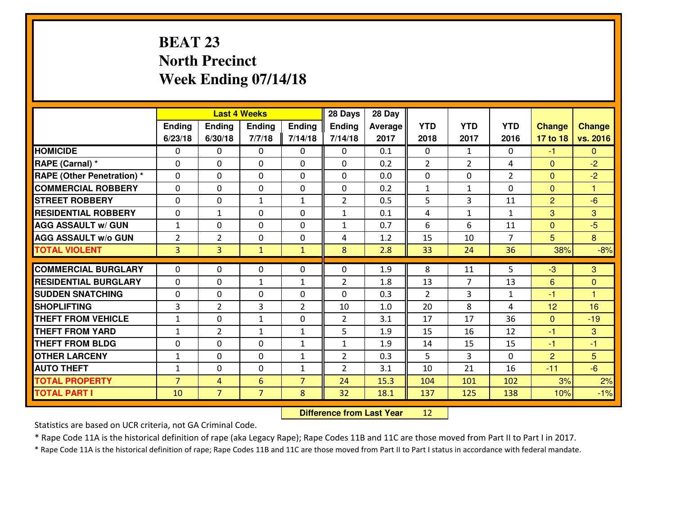## **BEAT 23 North PrecinctWeek Ending 07/14/18**

|                                  |                |                | <b>Last 4 Weeks</b> |                | 28 Days        | 28 Day         |                |                |                |                |                |
|----------------------------------|----------------|----------------|---------------------|----------------|----------------|----------------|----------------|----------------|----------------|----------------|----------------|
|                                  | Ending         | <b>Ending</b>  | <b>Ending</b>       | Ending         | <b>Ending</b>  | <b>Average</b> | <b>YTD</b>     | <b>YTD</b>     | <b>YTD</b>     | <b>Change</b>  | <b>Change</b>  |
|                                  | 6/23/18        | 6/30/18        | 7/7/18              | 7/14/18        | 7/14/18        | 2017           | 2018           | 2017           | 2016           | 17 to 18       | vs. 2016       |
| <b>HOMICIDE</b>                  | $\Omega$       | 0              | $\Omega$            | $\Omega$       | 0              | 0.1            | $\Omega$       | $\mathbf{1}$   | 0              | $-1$           | $\Omega$       |
| RAPE (Carnal) *                  | $\Omega$       | 0              | $\mathbf{0}$        | $\Omega$       | $\Omega$       | 0.2            | $\overline{2}$ | $\overline{2}$ | 4              | $\Omega$       | $-2$           |
| <b>RAPE (Other Penetration)*</b> | 0              | 0              | $\mathbf 0$         | 0              | 0              | 0.0            | $\mathbf 0$    | $\Omega$       | $\overline{2}$ | $\mathbf{0}$   | $-2$           |
| <b>COMMERCIAL ROBBERY</b>        | 0              | 0              | $\mathbf 0$         | 0              | 0              | 0.2            | $\mathbf{1}$   | $\mathbf{1}$   | 0              | $\mathbf{0}$   | $\mathbf{1}$   |
| <b>STREET ROBBERY</b>            | 0              | 0              | $\mathbf{1}$        | $\mathbf{1}$   | $\overline{2}$ | 0.5            | 5              | 3              | 11             | $\overline{2}$ | $-6$           |
| <b>RESIDENTIAL ROBBERY</b>       | 0              | $\mathbf{1}$   | $\mathbf 0$         | 0              | $\mathbf{1}$   | 0.1            | 4              | $\mathbf{1}$   | $\mathbf{1}$   | 3              | 3              |
| <b>AGG ASSAULT w/ GUN</b>        | $1\,$          | 0              | $\mathbf 0$         | 0              | $\mathbf{1}$   | 0.7            | 6              | 6              | 11             | $\mathbf 0$    | $-5$           |
| <b>AGG ASSAULT W/o GUN</b>       | $\overline{2}$ | $\overline{2}$ | 0                   | 0              | 4              | 1.2            | 15             | 10             | $\overline{7}$ | 5              | 8              |
| <b>TOTAL VIOLENT</b>             | $\overline{3}$ | $\overline{3}$ | $\mathbf{1}$        | $\mathbf{1}$   | 8              | 2.8            | 33             | 24             | 36             | 38%            | $-8%$          |
| <b>COMMERCIAL BURGLARY</b>       | $\Omega$       | 0              | $\mathbf{0}$        | $\mathbf{0}$   | $\Omega$       | 1.9            | 8              | 11             | 5              | $-3$           | 3              |
| <b>RESIDENTIAL BURGLARY</b>      | $\mathbf{0}$   | 0              | $\mathbf{1}$        | $\mathbf{1}$   | $\overline{2}$ | 1.8            | 13             | $\overline{7}$ | 13             | 6              | $\overline{0}$ |
| <b>SUDDEN SNATCHING</b>          | $\mathbf{0}$   | 0              | $\mathbf 0$         | 0              | 0              | 0.3            | $\overline{2}$ | 3              | $\mathbf{1}$   | $-1$           | $\mathbf{1}$   |
| <b>SHOPLIFTING</b>               | 3              | $\overline{2}$ | 3                   | $\overline{2}$ | 10             | 1.0            | 20             | 8              | 4              | 12             | 16             |
| <b>THEFT FROM VEHICLE</b>        | $\mathbf{1}$   | 0              | $\mathbf{1}$        | 0              | $\overline{2}$ | 3.1            | 17             | 17             | 36             | $\mathbf{0}$   | $-19$          |
| <b>THEFT FROM YARD</b>           | $\mathbf{1}$   | $\overline{2}$ | 1                   | $\mathbf{1}$   | 5              | 1.9            | 15             | 16             | 12             | $-1$           | 3              |
| <b>THEFT FROM BLDG</b>           | 0              | 0              | 0                   | $\mathbf{1}$   | $\mathbf{1}$   | 1.9            | 14             | 15             | 15             | $-1$           | $-1$           |
| <b>OTHER LARCENY</b>             | $\mathbf 1$    | 0              | 0                   | $\mathbf{1}$   | $\overline{2}$ | 0.3            | 5              | 3              | 0              | $\overline{2}$ | 5 <sup>5</sup> |
| <b>AUTO THEFT</b>                | $\mathbf{1}$   | 0              | $\mathbf 0$         | $\mathbf{1}$   | $\overline{2}$ | 3.1            | 10             | 21             | 16             | $-11$          | $-6$           |
| <b>TOTAL PROPERTY</b>            | $\overline{7}$ | $\overline{4}$ | 6                   | $\overline{7}$ | 24             | 15.3           | 104            | 101            | 102            | 3%             | 2%             |
| <b>TOTAL PART I</b>              | 10             | $\overline{7}$ | $\overline{7}$      | 8              | 32             | 18.1           | 137            | 125            | 138            | 10%            | $-1%$          |

 **Difference from Last Year**<sup>12</sup>

Statistics are based on UCR criteria, not GA Criminal Code.

\* Rape Code 11A is the historical definition of rape (aka Legacy Rape); Rape Codes 11B and 11C are those moved from Part II to Part I in 2017.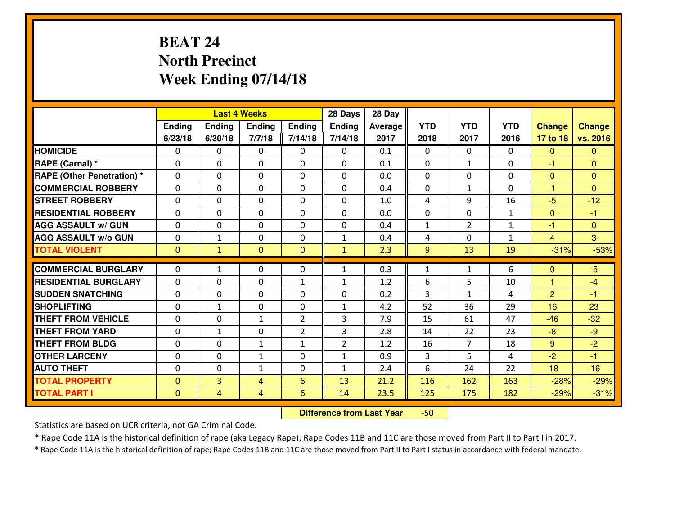## **BEAT 24 North PrecinctWeek Ending 07/14/18**

|                                   |              |                | <b>Last 4 Weeks</b> |                | 28 Days        | 28 Day  |              |                |              |                |                |
|-----------------------------------|--------------|----------------|---------------------|----------------|----------------|---------|--------------|----------------|--------------|----------------|----------------|
|                                   | Ending       | Ending         | <b>Ending</b>       | Ending         | <b>Ending</b>  | Average | <b>YTD</b>   | <b>YTD</b>     | <b>YTD</b>   | <b>Change</b>  | <b>Change</b>  |
|                                   | 6/23/18      | 6/30/18        | 7/7/18              | 7/14/18        | 7/14/18        | 2017    | 2018         | 2017           | 2016         | 17 to 18       | vs. 2016       |
| <b>HOMICIDE</b>                   | $\Omega$     | 0              | $\Omega$            | 0              | $\Omega$       | 0.1     | 0            | $\Omega$       | 0            | $\Omega$       | $\Omega$       |
| RAPE (Carnal) *                   | $\mathbf{0}$ | 0              | $\mathbf{0}$        | 0              | $\Omega$       | 0.1     | $\mathbf{0}$ | $\mathbf{1}$   | 0            | $-1$           | $\mathbf{0}$   |
| <b>RAPE (Other Penetration) *</b> | $\Omega$     | 0              | $\mathbf{0}$        | $\Omega$       | $\Omega$       | 0.0     | $\Omega$     | 0              | 0            | $\mathbf{0}$   | $\mathbf{0}$   |
| <b>COMMERCIAL ROBBERY</b>         | $\mathbf{0}$ | 0              | 0                   | 0              | $\Omega$       | 0.4     | $\mathbf{0}$ | $\mathbf{1}$   | 0            | $-1$           | $\Omega$       |
| <b>STREET ROBBERY</b>             | 0            | 0              | $\mathbf 0$         | $\Omega$       | 0              | 1.0     | 4            | 9              | 16           | $-5$           | $-12$          |
| <b>RESIDENTIAL ROBBERY</b>        | $\Omega$     | $\Omega$       | $\mathbf 0$         | $\Omega$       | 0              | 0.0     | 0            | $\Omega$       | $\mathbf{1}$ | $\mathbf{0}$   | $-1$           |
| <b>AGG ASSAULT w/ GUN</b>         | $\Omega$     | 0              | $\mathbf 0$         | $\Omega$       | 0              | 0.4     | $\mathbf 1$  | $\overline{2}$ | $\mathbf{1}$ | $-1$           | $\overline{0}$ |
| <b>AGG ASSAULT W/o GUN</b>        | 0            | $\mathbf{1}$   | $\mathbf 0$         | $\mathbf 0$    | $\mathbf{1}$   | 0.4     | 4            | 0              | $\mathbf{1}$ | $\overline{4}$ | 3              |
| <b>TOTAL VIOLENT</b>              | $\mathbf{0}$ | $\mathbf{1}$   | $\overline{0}$      | $\mathbf{0}$   | $\mathbf{1}$   | 2.3     | 9            | 13             | 19           | $-31%$         | $-53%$         |
| <b>COMMERCIAL BURGLARY</b>        | $\Omega$     | $\mathbf{1}$   | $\mathbf{0}$        | $\Omega$       | $\mathbf{1}$   | 0.3     | $\mathbf{1}$ | $\mathbf{1}$   | 6            | $\Omega$       | $-5$           |
| <b>RESIDENTIAL BURGLARY</b>       | 0            | 0              | 0                   | $\mathbf{1}$   | $\mathbf{1}$   | 1.2     | 6            | 5              | 10           | $\mathbf{1}$   | $-4$           |
| <b>SUDDEN SNATCHING</b>           | 0            | 0              | 0                   | 0              | 0              | 0.2     | 3            | $\mathbf{1}$   | 4            | 2              | $-1$           |
| <b>SHOPLIFTING</b>                | 0            | $\mathbf{1}$   | $\mathbf 0$         | 0              | $\mathbf{1}$   | 4.2     | 52           | 36             | 29           | 16             | 23             |
| <b>THEFT FROM VEHICLE</b>         | $\Omega$     | 0              | 1                   | $\overline{2}$ | 3              | 7.9     | 15           | 61             | 47           | $-46$          | $-32$          |
| <b>THEFT FROM YARD</b>            | 0            | $\mathbf{1}$   | $\mathbf 0$         | $\overline{2}$ | 3              | 2.8     | 14           | 22             | 23           | $-8$           | $-9$           |
| <b>THEFT FROM BLDG</b>            | 0            | 0              | 1                   | $\mathbf{1}$   | $\overline{2}$ | 1.2     | 16           | $\overline{7}$ | 18           | 9              | $-2$           |
| <b>OTHER LARCENY</b>              | 0            | 0              | $\mathbf{1}$        | 0              | $\mathbf{1}$   | 0.9     | 3            | 5              | 4            | $-2$           | $-1$           |
| <b>AUTO THEFT</b>                 | $\mathbf{0}$ | 0              | $\mathbf{1}$        | 0              | $\mathbf{1}$   | 2.4     | 6            | 24             | 22           | $-18$          | $-16$          |
| <b>TOTAL PROPERTY</b>             | $\mathbf{0}$ | 3              | 4                   | 6              | 13             | 21.2    | 116          | 162            | 163          | $-28%$         | $-29%$         |
| <b>TOTAL PART I</b>               | $\mathbf{0}$ | $\overline{4}$ | 4                   | 6              | 14             | 23.5    | 125          | 175            | 182          | $-29%$         | $-31%$         |

 **Difference from Last Year**-50

Statistics are based on UCR criteria, not GA Criminal Code.

\* Rape Code 11A is the historical definition of rape (aka Legacy Rape); Rape Codes 11B and 11C are those moved from Part II to Part I in 2017.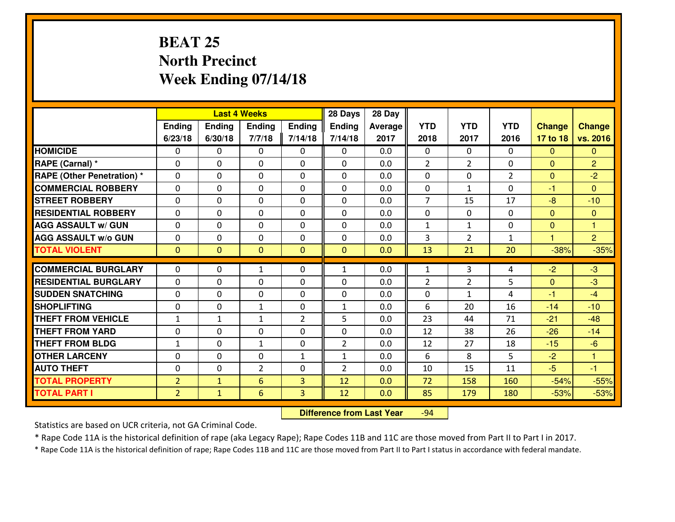## **BEAT 25 North PrecinctWeek Ending 07/14/18**

|                                  |                |                | <b>Last 4 Weeks</b> |                | 28 Days        | 28 Day         |                |                |                |                      |                |
|----------------------------------|----------------|----------------|---------------------|----------------|----------------|----------------|----------------|----------------|----------------|----------------------|----------------|
|                                  | Ending         | Ending         | <b>Ending</b>       | Ending         | <b>Ending</b>  | <b>Average</b> | <b>YTD</b>     | <b>YTD</b>     | <b>YTD</b>     | <b>Change</b>        | <b>Change</b>  |
|                                  | 6/23/18        | 6/30/18        | 7/7/18              | 7/14/18        | 7/14/18        | 2017           | 2018           | 2017           | 2016           | 17 to 18             | vs. 2016       |
| <b>HOMICIDE</b>                  | $\Omega$       | 0              | $\Omega$            | 0              | $\Omega$       | 0.0            | 0              | $\Omega$       | 0              | $\Omega$             | $\mathbf{0}$   |
| RAPE (Carnal) *                  | $\Omega$       | 0              | $\mathbf{0}$        | $\Omega$       | $\Omega$       | 0.0            | 2              | $\overline{2}$ | 0              | $\Omega$             | $\overline{2}$ |
| <b>RAPE (Other Penetration)*</b> | 0              | 0              | $\mathbf 0$         | 0              | 0              | 0.0            | 0              | 0              | $\overline{2}$ | $\overline{0}$       | $-2$           |
| <b>COMMERCIAL ROBBERY</b>        | 0              | 0              | $\mathbf 0$         | 0              | 0              | 0.0            | 0              | $\mathbf{1}$   | 0              | $-1$                 | $\Omega$       |
| <b>STREET ROBBERY</b>            | 0              | 0              | $\mathbf 0$         | 0              | 0              | 0.0            | $\overline{7}$ | 15             | 17             | $-8$                 | $-10$          |
| <b>RESIDENTIAL ROBBERY</b>       | 0              | 0              | $\mathbf 0$         | 0              | 0              | 0.0            | $\mathbf 0$    | $\mathbf{0}$   | 0              | $\Omega$             | $\mathbf{0}$   |
| <b>AGG ASSAULT W/ GUN</b>        | 0              | 0              | $\mathbf 0$         | 0              | 0              | 0.0            | $\mathbf 1$    | $\mathbf{1}$   | 0              | $\mathbf{0}$         | $\mathbf{1}$   |
| <b>AGG ASSAULT W/o GUN</b>       | 0              | 0              | 0                   | 0              | $\mathbf 0$    | 0.0            | 3              | $\overline{2}$ | $\mathbf{1}$   | $\blacktriangleleft$ | $\overline{2}$ |
| <b>TOTAL VIOLENT</b>             | $\mathbf{0}$   | $\overline{0}$ | $\overline{0}$      | $\mathbf{0}$   | $\mathbf{0}$   | 0.0            | 13             | 21             | 20             | $-38%$               | $-35%$         |
| <b>COMMERCIAL BURGLARY</b>       | $\Omega$       | 0              | $\mathbf{1}$        | 0              | $\mathbf{1}$   | 0.0            | $\mathbf{1}$   | 3              | 4              | $-2$                 | $-3$           |
| <b>RESIDENTIAL BURGLARY</b>      | $\mathbf{0}$   | 0              | 0                   | 0              | 0              | 0.0            | $\overline{2}$ | 2              | 5              | $\mathbf{0}$         | $-3$           |
| <b>SUDDEN SNATCHING</b>          | $\mathbf{0}$   | 0              | $\mathbf 0$         | 0              | 0              | 0.0            | 0              | $\mathbf{1}$   | 4              | $-1$                 | $-4$           |
| <b>SHOPLIFTING</b>               | 0              | 0              | 1                   | 0              | $\mathbf{1}$   | 0.0            | 6              | 20             | 16             | $-14$                | $-10$          |
| <b>THEFT FROM VEHICLE</b>        | $\mathbf{1}$   | 1              | 1                   | $\overline{2}$ | 5              | 0.0            | 23             | 44             | 71             | $-21$                | $-48$          |
| <b>THEFT FROM YARD</b>           | 0              | 0              | $\mathbf 0$         | 0              | 0              | 0.0            | 12             | 38             | 26             | $-26$                | $-14$          |
| <b>THEFT FROM BLDG</b>           | $\mathbf{1}$   | 0              | $\mathbf{1}$        | $\mathbf{0}$   | $\overline{2}$ | 0.0            | 12             | 27             | 18             | $-15$                | $-6$           |
| <b>OTHER LARCENY</b>             | 0              | 0              | $\mathbf 0$         | $\mathbf 1$    | $\mathbf{1}$   | 0.0            | 6              | 8              | 5              | $-2$                 | $\mathbf{1}$   |
| <b>AUTO THEFT</b>                | 0              | 0              | $\overline{2}$      | 0              | $\overline{2}$ | 0.0            | 10             | 15             | 11             | $-5$                 | $-1$           |
| <b>TOTAL PROPERTY</b>            | $\overline{2}$ | $\mathbf{1}$   | 6                   | 3              | 12             | 0.0            | 72             | 158            | 160            | $-54%$               | $-55%$         |
| <b>TOTAL PART I</b>              | $\overline{2}$ | $\mathbf{1}$   | $6\overline{6}$     | 3              | 12             | 0.0            | 85             | 179            | 180            | $-53%$               | $-53%$         |

 **Difference from Last Year**-94

Statistics are based on UCR criteria, not GA Criminal Code.

\* Rape Code 11A is the historical definition of rape (aka Legacy Rape); Rape Codes 11B and 11C are those moved from Part II to Part I in 2017.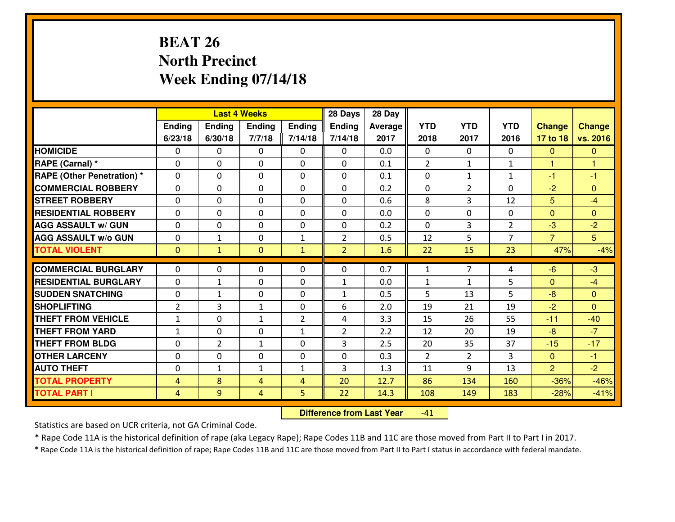## **BEAT 26 North PrecinctWeek Ending 07/14/18**

|                                  |                |                | <b>Last 4 Weeks</b> |                | 28 Days           | 28 Day         |                |                |                |                |               |
|----------------------------------|----------------|----------------|---------------------|----------------|-------------------|----------------|----------------|----------------|----------------|----------------|---------------|
|                                  | Ending         | <b>Ending</b>  | <b>Ending</b>       | <b>Ending</b>  | <b>Ending</b>     | <b>Average</b> | <b>YTD</b>     | <b>YTD</b>     | <b>YTD</b>     | <b>Change</b>  | <b>Change</b> |
|                                  | 6/23/18        | 6/30/18        | 7/7/18              | 7/14/18        | 7/14/18           | 2017           | 2018           | 2017           | 2016           | 17 to 18       | vs. 2016      |
| <b>HOMICIDE</b>                  | $\Omega$       | 0              | $\Omega$            | $\Omega$       | 0                 | 0.0            | $\Omega$       | $\Omega$       | 0              | $\mathbf{0}$   | $\Omega$      |
| RAPE (Carnal) *                  | $\Omega$       | 0              | $\mathbf{0}$        | $\Omega$       | $\Omega$          | 0.1            | $\overline{2}$ | $\mathbf{1}$   | $\mathbf{1}$   | $\mathbf{1}$   | 1             |
| <b>RAPE (Other Penetration)*</b> | $\Omega$       | $\Omega$       | $\mathbf 0$         | $\Omega$       | $\Omega$          | 0.1            | $\Omega$       | $\mathbf{1}$   | $\mathbf{1}$   | $-1$           | $-1$          |
| <b>COMMERCIAL ROBBERY</b>        | $\Omega$       | 0              | $\mathbf 0$         | 0              | 0                 | 0.2            | $\mathbf{0}$   | $\overline{2}$ | 0              | $-2$           | $\Omega$      |
| <b>STREET ROBBERY</b>            | $\Omega$       | $\Omega$       | $\mathbf 0$         | $\Omega$       | $\Omega$          | 0.6            | 8              | 3              | 12             | 5              | $-4$          |
| <b>RESIDENTIAL ROBBERY</b>       | $\Omega$       | $\Omega$       | $\mathbf 0$         | $\Omega$       | $\Omega$          | 0.0            | $\mathbf 0$    | $\Omega$       | 0              | $\Omega$       | $\Omega$      |
| <b>AGG ASSAULT w/ GUN</b>        | $\Omega$       | 0              | 0                   | $\Omega$       | 0                 | 0.2            | $\Omega$       | 3              | $\overline{2}$ | $-3$           | $-2$          |
| <b>AGG ASSAULT W/o GUN</b>       | 0              | 1              | $\mathbf 0$         | $\mathbf{1}$   | $\overline{2}$    | 0.5            | 12             | 5              | $\overline{7}$ | $\overline{7}$ | 5             |
| <b>TOTAL VIOLENT</b>             | $\mathbf{0}$   | $\mathbf{1}$   | $\mathbf{0}$        | $\mathbf{1}$   | $\overline{2}$    | 1.6            | 22             | 15             | 23             | 47%            | $-4%$         |
| <b>COMMERCIAL BURGLARY</b>       | $\Omega$       | 0              | $\mathbf{0}$        | 0              | 0                 | 0.7            | 1              | $\overline{7}$ | 4              | $-6$           | $-3$          |
| <b>RESIDENTIAL BURGLARY</b>      | $\Omega$       | $\mathbf{1}$   | $\mathbf 0$         | 0              | $\mathbf{1}$      | 0.0            | $\mathbf{1}$   | $\mathbf{1}$   | 5              | $\mathbf{0}$   | $-4$          |
| <b>SUDDEN SNATCHING</b>          | 0              | 1              | $\mathbf 0$         | 0              |                   | 0.5            | 5              | 13             | 5              | $-8$           | $\mathbf{0}$  |
| <b>SHOPLIFTING</b>               | $\overline{2}$ | 3              | $\mathbf{1}$        | 0              | $\mathbf{1}$<br>6 | 2.0            | 19             | 21             | 19             | $-2$           | $\Omega$      |
| <b>THEFT FROM VEHICLE</b>        | $\mathbf{1}$   | 0              | $\mathbf{1}$        | $\overline{2}$ | 4                 | 3.3            | 15             | 26             | 55             | $-11$          | $-40$         |
| <b>THEFT FROM YARD</b>           | $\mathbf{1}$   | 0              | $\mathbf 0$         | $\mathbf{1}$   | $\overline{2}$    | 2.2            | 12             | 20             | 19             | $-8$           | $-7$          |
| <b>THEFT FROM BLDG</b>           | 0              | $\overline{2}$ | $\mathbf{1}$        | 0              | 3                 | 2.5            | 20             | 35             | 37             | $-15$          | $-17$         |
| <b>OTHER LARCENY</b>             | 0              | 0              | 0                   | 0              | 0                 | 0.3            | $\overline{2}$ | $\overline{2}$ | 3              | $\overline{0}$ | $-1$          |
| <b>AUTO THEFT</b>                | 0              | 1              | $\mathbf{1}$        | $\mathbf{1}$   | 3                 | 1.3            | 11             | 9              | 13             | $\overline{2}$ | $-2$          |
| <b>TOTAL PROPERTY</b>            | $\overline{4}$ | 8              | $\overline{4}$      | $\overline{4}$ | 20                | 12.7           | 86             | 134            | 160            | $-36%$         | $-46%$        |
| <b>TOTAL PART I</b>              | 4              | 9              | 4                   | 5              | 22                | 14.3           | 108            | 149            | 183            | $-28%$         | $-41%$        |
|                                  |                |                |                     |                |                   |                |                |                |                |                |               |

 **Difference from Last Year**-41

Statistics are based on UCR criteria, not GA Criminal Code.

\* Rape Code 11A is the historical definition of rape (aka Legacy Rape); Rape Codes 11B and 11C are those moved from Part II to Part I in 2017.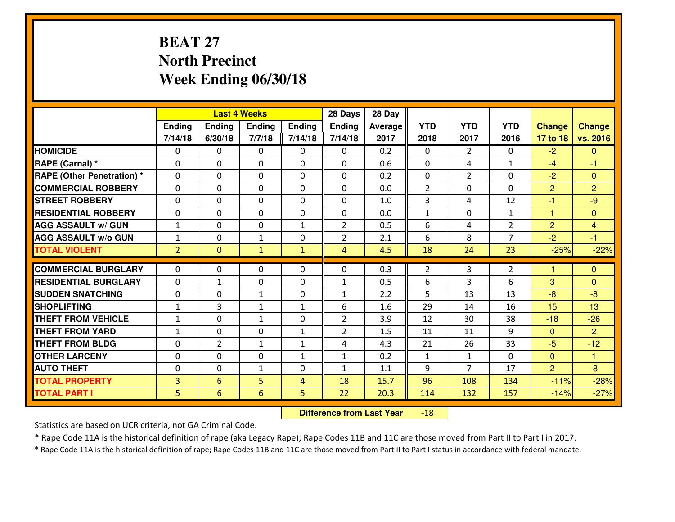## **BEAT 27 North PrecinctWeek Ending 06/30/18**

|                                   | <b>Last 4 Weeks</b><br>Ending<br><b>Ending</b><br>Ending<br>6/30/18<br>7/14/18<br>7/7/18<br>$\Omega$<br>0<br>$\Omega$<br>0<br>$\Omega$<br>0<br>$\mathbf{0}$<br>$\Omega$<br>0<br>0<br>$\mathbf 0$<br>0<br>0<br>0<br>$\mathbf 0$<br>0 |                |                 |                | 28 Days        | 28 Day  |                |                |                |                |                |
|-----------------------------------|-------------------------------------------------------------------------------------------------------------------------------------------------------------------------------------------------------------------------------------|----------------|-----------------|----------------|----------------|---------|----------------|----------------|----------------|----------------|----------------|
|                                   |                                                                                                                                                                                                                                     |                |                 | Ending         | <b>Ending</b>  | Average | <b>YTD</b>     | <b>YTD</b>     | <b>YTD</b>     | <b>Change</b>  | <b>Change</b>  |
|                                   |                                                                                                                                                                                                                                     |                |                 | 7/14/18        | 7/14/18        | 2017    | 2018           | 2017           | 2016           | 17 to 18       | vs. 2016       |
| <b>HOMICIDE</b>                   |                                                                                                                                                                                                                                     |                |                 |                | $\Omega$       | 0.2     | $\Omega$       | $\overline{2}$ | 0              | $-2$           | $\mathbf{0}$   |
| RAPE (Carnal) *                   |                                                                                                                                                                                                                                     |                |                 |                | $\Omega$       | 0.6     | $\Omega$       | 4              | $\mathbf{1}$   | $-4$           | -1             |
| <b>RAPE (Other Penetration) *</b> |                                                                                                                                                                                                                                     |                |                 |                | 0              | 0.2     | 0              | $\overline{2}$ | 0              | $-2$           | $\mathbf{0}$   |
| <b>COMMERCIAL ROBBERY</b>         |                                                                                                                                                                                                                                     |                |                 |                | 0              | 0.0     | 2              | $\mathbf 0$    | 0              | $\overline{2}$ | $\overline{2}$ |
| <b>STREET ROBBERY</b>             | 0                                                                                                                                                                                                                                   | 0              | $\mathbf 0$     | 0              | $\mathbf 0$    | 1.0     | $\overline{3}$ | 4              | 12             | $-1$           | $-9$           |
| <b>RESIDENTIAL ROBBERY</b>        | 0                                                                                                                                                                                                                                   | 0              | $\mathbf 0$     | 0              | 0              | 0.0     | $\mathbf{1}$   | $\mathbf 0$    | $\mathbf{1}$   | $\mathbf{1}$   | $\overline{0}$ |
| <b>AGG ASSAULT W/ GUN</b>         | $\mathbf{1}$                                                                                                                                                                                                                        | 0              | $\mathbf 0$     | $\mathbf{1}$   | $\overline{2}$ | 0.5     | 6              | 4              | $\overline{2}$ | $\overline{2}$ | $\overline{4}$ |
| <b>AGG ASSAULT W/o GUN</b>        | $\mathbf{1}$                                                                                                                                                                                                                        | 0              | 1               | 0              | $\overline{2}$ | 2.1     | 6              | 8              | $\overline{7}$ | $-2$           | $-1$           |
| <b>TOTAL VIOLENT</b>              | $\overline{2}$                                                                                                                                                                                                                      | $\overline{0}$ | $\mathbf{1}$    | $\mathbf{1}$   | $\overline{4}$ | 4.5     | 18             | 24             | 23             | $-25%$         | $-22%$         |
| <b>COMMERCIAL BURGLARY</b>        | $\Omega$                                                                                                                                                                                                                            |                |                 |                |                |         |                |                |                |                |                |
|                                   |                                                                                                                                                                                                                                     | 0              | $\mathbf{0}$    | 0              | $\Omega$       | 0.3     | 2              | 3              | $\overline{2}$ | $-1$           | $\Omega$       |
| <b>RESIDENTIAL BURGLARY</b>       | 0                                                                                                                                                                                                                                   | 1              | 0               | 0              | $\mathbf{1}$   | 0.5     | 6              | 3              | 6              | 3              | $\Omega$       |
| <b>SUDDEN SNATCHING</b>           | 0                                                                                                                                                                                                                                   | 0              | 1               | 0              | $\mathbf{1}$   | 2.2     | 5              | 13             | 13             | $-8$           | $-8$           |
| <b>SHOPLIFTING</b>                | $\mathbf{1}$                                                                                                                                                                                                                        | 3              | $\mathbf{1}$    | $\mathbf{1}$   | 6              | 1.6     | 29             | 14             | 16             | 15             | 13             |
| <b>THEFT FROM VEHICLE</b>         | $\mathbf{1}$                                                                                                                                                                                                                        | 0              | $\mathbf{1}$    | 0              | $\overline{2}$ | 3.9     | 12             | 30             | 38             | $-18$          | $-26$          |
| <b>THEFT FROM YARD</b>            | $\mathbf 1$                                                                                                                                                                                                                         | 0              | $\mathbf 0$     | $\mathbf{1}$   | $\overline{2}$ | 1.5     | 11             | 11             | 9              | $\mathbf{0}$   | $\overline{2}$ |
| <b>THEFT FROM BLDG</b>            | 0                                                                                                                                                                                                                                   | $\overline{2}$ | $\mathbf{1}$    | $\mathbf{1}$   | 4              | 4.3     | 21             | 26             | 33             | $-5$           | $-12$          |
| <b>OTHER LARCENY</b>              | 0                                                                                                                                                                                                                                   | 0              | $\mathbf 0$     | $\mathbf{1}$   | $\mathbf{1}$   | 0.2     | $\mathbf 1$    | $\mathbf{1}$   | 0              | $\overline{0}$ | $\mathbf{1}$   |
| <b>AUTO THEFT</b>                 | 0                                                                                                                                                                                                                                   | 0              | $\mathbf{1}$    | 0              | $\mathbf{1}$   | 1.1     | 9              | $\overline{7}$ | 17             | $\overline{2}$ | $-8$           |
| <b>TOTAL PROPERTY</b>             | $\overline{3}$                                                                                                                                                                                                                      | 6              | 5               | $\overline{4}$ | 18             | 15.7    | 96             | 108            | 134            | $-11%$         | $-28%$         |
| <b>TOTAL PART I</b>               | 5 <sup>1</sup>                                                                                                                                                                                                                      | 6              | $6\overline{6}$ | 5              | 22             | 20.3    | 114            | 132            | 157            | $-14%$         | $-27%$         |

 **Difference from Last Year**-18

Statistics are based on UCR criteria, not GA Criminal Code.

\* Rape Code 11A is the historical definition of rape (aka Legacy Rape); Rape Codes 11B and 11C are those moved from Part II to Part I in 2017.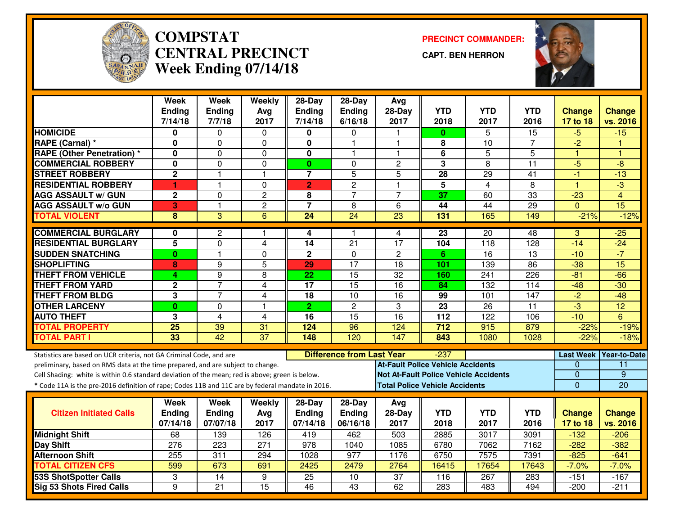

#### **COMPSTAT PRECINCT COMMANDER: CENTRAL PRECINCTWeek Ending 07/14/18**

**CAPT. BEN HERRON**



|                                                                                                  | Week<br><b>Ending</b><br>7/14/18 | <b>Week</b><br><b>Ending</b><br>7/7/18 | Weekly<br>Avg<br>2017 | $28-Day$<br><b>Ending</b><br>7/14/18 | $28-Day$<br><b>Ending</b><br>6/16/18 | Avg<br>$28-Dav$<br>2017                  | <b>YTD</b><br>2018 | <b>YTD</b><br>2017                           | <b>YTD</b><br>2016 | <b>Change</b><br>17 to 18 | <b>Change</b><br>vs. 2016 |
|--------------------------------------------------------------------------------------------------|----------------------------------|----------------------------------------|-----------------------|--------------------------------------|--------------------------------------|------------------------------------------|--------------------|----------------------------------------------|--------------------|---------------------------|---------------------------|
| <b>HOMICIDE</b>                                                                                  | 0                                | $\Omega$                               | 0                     | 0                                    | $\Omega$                             | 1                                        | $\mathbf{0}$       | 5                                            | 15                 | $-5$                      | $-15$                     |
| RAPE (Carnal) *                                                                                  | 0                                | 0                                      | 0                     | 0                                    | 1                                    | 1                                        | 8                  | 10                                           | 7                  | $-2$                      | H                         |
| <b>RAPE (Other Penetration)*</b>                                                                 | $\mathbf{0}$                     | 0                                      | $\Omega$              | $\mathbf 0$                          | 1                                    | $\mathbf{1}$                             | 6                  | $\overline{5}$                               | $\overline{5}$     | $\mathbf{1}$              | -1                        |
| <b>COMMERCIAL ROBBERY</b>                                                                        | 0                                | $\mathbf 0$                            | $\mathbf 0$           | $\mathbf{0}$                         | $\mathbf{0}$                         | $\overline{c}$                           | $\mathbf{3}$       | 8                                            | 11                 | $-5$                      | $-8$                      |
| <b>STREET ROBBERY</b>                                                                            | $\overline{2}$                   | 1                                      | $\overline{1}$        | $\overline{7}$                       | $\overline{5}$                       | $\overline{5}$                           | 28                 | $\overline{29}$                              | 41                 | $-1$                      | $-13$                     |
| <b>RESIDENTIAL ROBBERY</b>                                                                       | 1                                | $\mathbf{1}$                           | $\Omega$              | $\overline{2}$                       | $\overline{c}$                       | $\mathbf{1}$                             | 5                  | $\overline{4}$                               | 8                  | $\mathbf{1}$              | $\overline{\omega}$       |
| <b>AGG ASSAULT w/ GUN</b>                                                                        | $\overline{2}$                   | $\overline{0}$                         | $\overline{c}$        | 8                                    | $\overline{7}$                       | $\overline{7}$                           | 37                 | 60                                           | 33                 | $-23$                     | $\overline{4}$            |
| <b>AGG ASSAULT w/o GUN</b>                                                                       | $\overline{\mathbf{3}}$          | 1                                      | $\overline{2}$        | $\overline{7}$                       | 8                                    | 6                                        | $\overline{44}$    | $\overline{44}$                              | 29                 | $\Omega$                  | 15                        |
| <b>TOTAL VIOLENT</b>                                                                             | 8                                | $\overline{3}$                         | 6                     | 24                                   | $\overline{24}$                      | $\overline{23}$                          | 131                | 165                                          | 149                | $-21%$                    | $-12%$                    |
| <b>COMMERCIAL BURGLARY</b>                                                                       | 0                                | 2                                      | -1                    | 4                                    | 1                                    | $\overline{4}$                           | $\overline{23}$    | $\overline{20}$                              | 48                 | 3                         | $-25$                     |
| <b>RESIDENTIAL BURGLARY</b>                                                                      | 5                                | 0                                      | 4                     | 14                                   | 21                                   | 17                                       | 104                | 118                                          | 128                | $-14$                     | $-24$                     |
| <b>SUDDEN SNATCHING</b>                                                                          | $\mathbf{0}$                     | $\mathbf{1}$                           | $\overline{0}$        | $\overline{2}$                       | $\Omega$                             | $\overline{2}$                           | 6                  | 16                                           | $\overline{13}$    | $-10$                     | $-7$                      |
| <b>SHOPLIFTING</b>                                                                               | 8                                | 9                                      | 5                     | 29                                   | $\overline{17}$                      | $\overline{18}$                          | 101                | 139                                          | $\overline{86}$    | $-38$                     | $\overline{15}$           |
| <b>THEFT FROM VEHICLE</b>                                                                        | 4                                | $\overline{9}$                         | 8                     | $\overline{22}$                      | $\overline{15}$                      | $\overline{32}$                          | 160                | $\overline{241}$                             | $\overline{226}$   | $-81$                     | $-66$                     |
| <b>THEFT FROM YARD</b>                                                                           | $\mathbf 2$                      | $\overline{7}$                         | 4                     | $\overline{17}$                      | 15                                   | 16                                       | 84                 | 132                                          | 114                | $-48$                     | $-30$                     |
| <b>THEFT FROM BLDG</b>                                                                           | 3                                | $\overline{7}$                         | 4                     | 18                                   | 10                                   | 16                                       | 99                 | 101                                          | 147                | $-2$                      | $-48$                     |
| <b>OTHER LARCENY</b>                                                                             | $\bf{0}$                         | 0                                      | $\overline{1}$        | 2 <sup>1</sup>                       | $\overline{c}$                       | 3                                        | $\overline{23}$    | $\overline{26}$                              | $\overline{11}$    | $\overline{3}$            | 12                        |
| <b>AUTO THEFT</b>                                                                                | 3                                | $\overline{4}$                         | 4                     | 16                                   | $\overline{15}$                      | $\overline{16}$                          | $\overline{112}$   | $\overline{122}$                             | 106                | $-10$                     | 6                         |
| <b>TOTAL PROPERTY</b>                                                                            | $\overline{25}$                  | 39                                     | 31                    | 124                                  | 96                                   | 124                                      | 712                | 915                                          | 879                | $-22%$                    | $-19%$                    |
| <b>TOTAL PART I</b>                                                                              | 33                               | 42                                     | $\overline{37}$       | 148                                  | 120                                  | 147                                      | 843                | 1080                                         | 1028               | $-22%$                    | $-18%$                    |
| Statistics are based on UCR criteria, not GA Criminal Code, and are                              |                                  |                                        |                       |                                      | <b>Difference from Last Year</b>     |                                          | -237               |                                              |                    | <b>Last Week</b>          | <b>Year-to-Date</b>       |
| preliminary, based on RMS data at the time prepared, and are subject to change.                  |                                  |                                        |                       |                                      |                                      | <b>At-Fault Police Vehicle Accidents</b> |                    |                                              |                    | $\Omega$                  | 11                        |
| Cell Shading: white is within 0.6 standard deviation of the mean; red is above; green is below.  |                                  |                                        |                       |                                      |                                      |                                          |                    | <b>Not At-Fault Police Vehicle Accidents</b> |                    | $\mathbf 0$               | $\overline{9}$            |
| * Code 11A is the pre-2016 definition of rape; Codes 11B and 11C are by federal mandate in 2016. |                                  |                                        |                       |                                      |                                      | <b>Total Police Vehicle Accidents</b>    |                    |                                              |                    | $\mathbf 0$               | 20                        |
|                                                                                                  | Week                             | Week                                   | Weekly                | $28-Day$                             | 28-Day                               | Avg                                      |                    |                                              |                    |                           |                           |
| <b>Citizen Initiated Calls</b>                                                                   | <b>Ending</b>                    | <b>Ending</b>                          | Avg                   | <b>Ending</b>                        | <b>Ending</b>                        | 28-Day                                   | <b>YTD</b>         | YTD                                          | <b>YTD</b>         | <b>Change</b>             | <b>Change</b>             |
|                                                                                                  | 07/14/18                         | 07/07/18                               | 2017                  | 07/14/18                             | 06/16/18                             | 2017                                     | 2018               | 2017                                         | 2016               | 17 to 18                  | vs. 2016                  |
| <b>Midnight Shift</b>                                                                            | 68                               | 139                                    | 126                   | 419                                  | 462                                  | 503                                      | 2885               | 3017                                         | 3091               | $-132$                    | $-206$                    |
| <b>Day Shift</b>                                                                                 | $\overline{276}$                 | $\overline{223}$                       | $\overline{271}$      | $\overline{978}$                     | 1040                                 | 1085                                     | 6780               | 7062                                         | 7162               | $-282$                    | $-382$                    |
| <b>Afternoon Shift</b>                                                                           | 255                              | 311                                    | 294                   | 1028                                 | 977                                  | 1176                                     | 6750               | 7575                                         | 7391               | $-825$                    | $-641$                    |
| <b>TOTAL CITIZEN CFS</b>                                                                         | 599                              | 673                                    | 691                   | 2425                                 | 2479                                 | 2764                                     | 16415              | 17654                                        | 17643              | $-7.0%$                   | $-7.0%$                   |
| <b>53S ShotSpotter Calls</b>                                                                     | 3                                | 14                                     | 9                     | 25                                   | 10                                   | $\overline{37}$                          | 116                | 267                                          | 283                | $-151$                    | $-167$                    |
| <b>Sig 53 Shots Fired Calls</b>                                                                  | 9                                | $\overline{21}$                        | $\overline{15}$       | 46                                   | $\overline{43}$                      | 62                                       | 283                | 483                                          | 494                | $-200$                    | $-211$                    |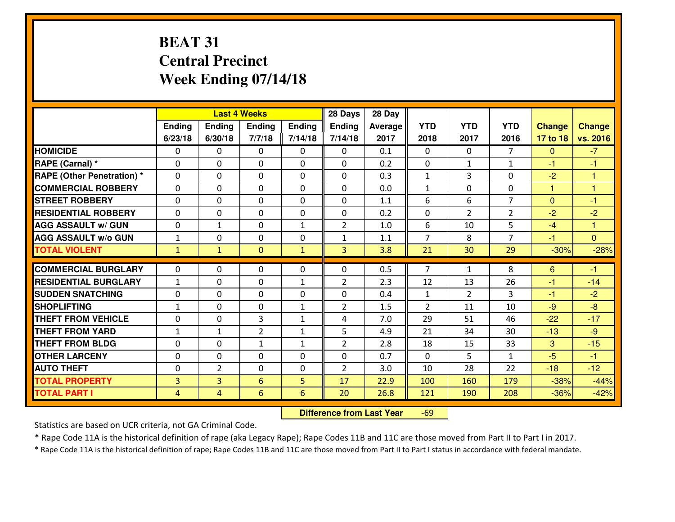## **BEAT 31 Central PrecinctWeek Ending 07/14/18**

|                                   |                   |                | <b>Last 4 Weeks</b> |                              | 28 Days             | 28 Day     |                                |                      |                |                |                |
|-----------------------------------|-------------------|----------------|---------------------|------------------------------|---------------------|------------|--------------------------------|----------------------|----------------|----------------|----------------|
|                                   | Ending            | Ending         | Ending              | Ending                       | <b>Ending</b>       | Average    | <b>YTD</b>                     | <b>YTD</b>           | <b>YTD</b>     | <b>Change</b>  | <b>Change</b>  |
|                                   | 6/23/18           | 6/30/18        | 7/7/18              | 7/14/18                      | 7/14/18             | 2017       | 2018                           | 2017                 | 2016           | 17 to 18       | vs. 2016       |
| <b>HOMICIDE</b>                   | 0                 | $\Omega$       | $\Omega$            | 0                            | $\Omega$            | 0.1        | $\Omega$                       | $\Omega$             | $\overline{7}$ | $\mathbf{0}$   | $-7$           |
| RAPE (Carnal) *                   | $\Omega$          | 0              | $\mathbf{0}$        | 0                            | 0                   | 0.2        | $\mathbf{0}$                   | $\mathbf{1}$         | $\mathbf{1}$   | $-1$           | -1             |
| <b>RAPE (Other Penetration) *</b> | $\Omega$          | 0              | $\mathbf{0}$        | $\Omega$                     | 0                   | 0.3        | $\mathbf{1}$                   | 3                    | $\Omega$       | $-2$           | 1              |
| <b>COMMERCIAL ROBBERY</b>         | 0                 | 0              | 0                   | $\Omega$                     | $\mathbf{0}$        | 0.0        | $\mathbf{1}$                   | $\mathbf{0}$         | $\Omega$       | 1              | 1              |
| <b>STREET ROBBERY</b>             | 0                 | 0              | $\mathbf 0$         | 0                            | 0                   | 1.1        | 6                              | 6                    | $\overline{7}$ | $\overline{0}$ | $-1$           |
| <b>RESIDENTIAL ROBBERY</b>        | $\Omega$          | $\Omega$       | $\mathbf 0$         | $\Omega$                     | 0                   | 0.2        | $\mathbf 0$                    | $\overline{2}$       | $\overline{2}$ | $-2$           | $-2$           |
| <b>AGG ASSAULT w/ GUN</b>         | 0                 | $\mathbf{1}$   | $\mathbf 0$         | $\mathbf{1}$                 | $\overline{2}$      | 1.0        | 6                              | 10                   | 5              | $-4$           | $\mathbf{1}$   |
| <b>AGG ASSAULT W/o GUN</b>        | $\mathbf 1$       | 0              | $\mathbf 0$         | 0                            | $\mathbf{1}$        | 1.1        | $\overline{7}$                 | 8                    | $\overline{7}$ | $-1$           | $\overline{0}$ |
| <b>TOTAL VIOLENT</b>              | $\mathbf{1}$      | $\mathbf{1}$   | $\mathbf{0}$        | $\mathbf{1}$                 | 3                   | 3.8        | 21                             | 30                   | 29             | $-30%$         | $-28%$         |
| <b>COMMERCIAL BURGLARY</b>        | $\Omega$          | $\Omega$       | $\Omega$            | $\Omega$                     | 0                   | 0.5        | $\overline{7}$                 | $\mathbf{1}$         | 8              | 6              | $-1$           |
| <b>RESIDENTIAL BURGLARY</b>       | $\mathbf{1}$      | 0              | $\mathbf 0$         | $\mathbf{1}$                 | $\overline{2}$      | 2.3        | 12                             | 13                   | 26             | $-1$           | $-14$          |
| <b>SUDDEN SNATCHING</b>           |                   |                |                     |                              |                     |            |                                |                      |                |                |                |
| <b>SHOPLIFTING</b>                | 0<br>$\mathbf{1}$ | 0<br>0         | 0<br>$\mathbf 0$    | $\Omega$<br>$\mathbf{1}$     | 0<br>$\overline{2}$ | 0.4<br>1.5 | $\mathbf{1}$<br>$\overline{2}$ | $\overline{2}$<br>11 | 3<br>10        | $-1$<br>$-9$   | $-2$<br>$-8$   |
| <b>THEFT FROM VEHICLE</b>         | 0                 | 0              | 3                   | $\mathbf{1}$                 | 4                   | 7.0        | 29                             | 51                   | 46             | $-22$          | $-17$          |
| <b>THEFT FROM YARD</b>            | $\mathbf{1}$      | $\mathbf{1}$   | $\overline{2}$      |                              | 5                   | 4.9        | 21                             | 34                   | 30             | $-13$          | $-9$           |
| <b>THEFT FROM BLDG</b>            | 0                 | 0              | $\mathbf{1}$        | $\mathbf{1}$<br>$\mathbf{1}$ | $\overline{2}$      | 2.8        | 18                             | 15                   | 33             | 3              | $-15$          |
|                                   |                   |                |                     |                              |                     |            |                                |                      |                |                |                |
| <b>OTHER LARCENY</b>              | 0                 | 0              | $\mathbf 0$         | 0                            | 0                   | 0.7        | $\mathbf 0$                    | 5                    | $\mathbf{1}$   | $-5$           | $-1$           |
| <b>AUTO THEFT</b>                 | $\Omega$          | $\overline{2}$ | $\mathbf{0}$        | $\Omega$                     | $\overline{2}$      | 3.0        | 10                             | 28                   | 22             | $-18$          | $-12$          |
| <b>TOTAL PROPERTY</b>             | 3                 | $\overline{3}$ | 6                   | 5                            | 17                  | 22.9       | 100                            | 160                  | 179            | $-38%$         | $-44%$         |
| <b>TOTAL PART I</b>               | $\overline{4}$    | $\overline{4}$ | $6\phantom{1}$      | $6\phantom{1}$               | 20                  | 26.8       | 121                            | 190                  | 208            | $-36%$         | $-42%$         |

 **Difference from Last Year**-69

Statistics are based on UCR criteria, not GA Criminal Code.

\* Rape Code 11A is the historical definition of rape (aka Legacy Rape); Rape Codes 11B and 11C are those moved from Part II to Part I in 2017.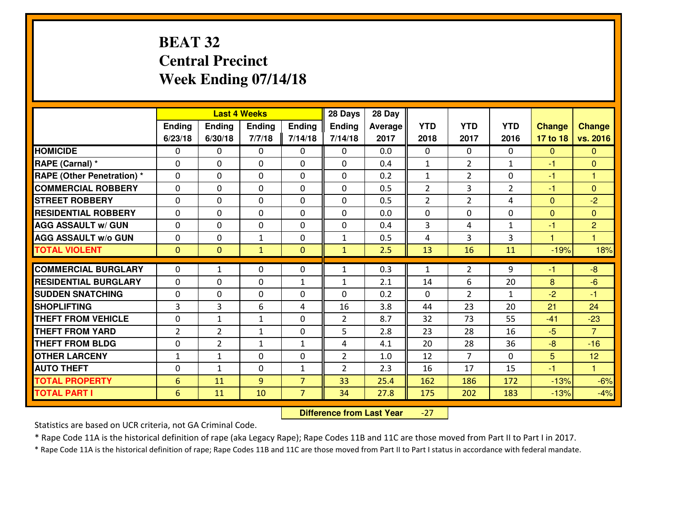## **BEAT 32 Central PrecinctWeek Ending 07/14/18**

|                                  |                |                | <b>Last 4 Weeks</b> |                | 28 Days        | 28 Day         |                |                |                |                      |                |
|----------------------------------|----------------|----------------|---------------------|----------------|----------------|----------------|----------------|----------------|----------------|----------------------|----------------|
|                                  | Ending         | <b>Ending</b>  | <b>Ending</b>       | <b>Ending</b>  | <b>Ending</b>  | <b>Average</b> | <b>YTD</b>     | <b>YTD</b>     | <b>YTD</b>     | <b>Change</b>        | <b>Change</b>  |
|                                  | 6/23/18        | 6/30/18        | 7/7/18              | 7/14/18        | 7/14/18        | 2017           | 2018           | 2017           | 2016           | 17 to 18             | vs. 2016       |
| <b>HOMICIDE</b>                  | $\Omega$       | 0              | $\Omega$            | $\Omega$       | 0              | 0.0            | $\Omega$       | $\Omega$       | $\Omega$       | $\mathbf{0}$         | $\Omega$       |
| RAPE (Carnal) *                  | $\Omega$       | 0              | $\mathbf{0}$        | $\Omega$       | $\Omega$       | 0.4            | $\mathbf{1}$   | $\overline{2}$ | $\mathbf{1}$   | $-1$                 | $\Omega$       |
| <b>RAPE (Other Penetration)*</b> | 0              | 0              | $\mathbf 0$         | 0              | 0              | 0.2            | $\mathbf{1}$   | $\overline{2}$ | 0              | -1                   | 1              |
| <b>COMMERCIAL ROBBERY</b>        | 0              | 0              | $\mathbf 0$         | 0              | 0              | 0.5            | $\overline{2}$ | 3              | $\overline{2}$ | $-1$                 | $\overline{0}$ |
| <b>STREET ROBBERY</b>            | $\mathbf{0}$   | 0              | $\mathbf 0$         | 0              | 0              | 0.5            | $\overline{2}$ | $\overline{2}$ | 4              | $\mathbf 0$          | $-2$           |
| <b>RESIDENTIAL ROBBERY</b>       | 0              | 0              | $\mathbf 0$         | 0              | 0              | 0.0            | $\mathbf 0$    | $\Omega$       | 0              | $\mathbf{0}$         | $\mathbf{0}$   |
| <b>AGG ASSAULT w/ GUN</b>        | 0              | 0              | 0                   | 0              | 0              | 0.4            | 3              | 4              | $\mathbf{1}$   | $-1$                 | $\overline{2}$ |
| <b>AGG ASSAULT W/o GUN</b>       | 0              | 0              | 1                   | 0              | $\mathbf{1}$   | 0.5            | 4              | 3              | 3              | $\blacktriangleleft$ | 1              |
| <b>TOTAL VIOLENT</b>             | $\mathbf{0}$   | $\overline{0}$ | $\mathbf{1}$        | $\overline{0}$ | $\mathbf{1}$   | 2.5            | 13             | 16             | 11             | $-19%$               | 18%            |
| <b>COMMERCIAL BURGLARY</b>       | $\Omega$       | 1              | $\mathbf{0}$        | $\mathbf{0}$   | $\mathbf{1}$   | 0.3            | $\mathbf{1}$   | $\overline{2}$ | 9              | $-1$                 | $-8$           |
| <b>RESIDENTIAL BURGLARY</b>      | $\mathbf{0}$   | 0              | 0                   | $\mathbf{1}$   | $\mathbf{1}$   | 2.1            | 14             | 6              | 20             | 8                    | $-6$           |
| <b>SUDDEN SNATCHING</b>          | $\mathbf{0}$   | 0              | 0                   | 0              | 0              | 0.2            | $\mathbf{0}$   | $\overline{2}$ | $\mathbf{1}$   | $-2$                 | $-1$           |
| <b>SHOPLIFTING</b>               | 3              | 3              | 6                   | 4              | 16             | 3.8            | 44             | 23             | 20             | 21                   | 24             |
| <b>THEFT FROM VEHICLE</b>        | 0              | $\mathbf{1}$   | $\mathbf{1}$        | 0              | $\overline{2}$ | 8.7            | 32             | 73             | 55             | $-41$                | $-23$          |
| <b>THEFT FROM YARD</b>           | $\overline{2}$ | $\overline{2}$ | 1                   | 0              | 5              | 2.8            | 23             | 28             | 16             | $-5$                 | $\overline{7}$ |
| <b>THEFT FROM BLDG</b>           | 0              | $\overline{2}$ | $\mathbf{1}$        | $\mathbf{1}$   | 4              | 4.1            | 20             | 28             | 36             | $-8$                 | $-16$          |
| <b>OTHER LARCENY</b>             | $1\,$          | $\mathbf{1}$   | 0                   | 0              | $\overline{2}$ | 1.0            | 12             | $\overline{7}$ | 0              | 5                    | 12             |
| <b>AUTO THEFT</b>                | 0              | $\mathbf{1}$   | $\mathbf 0$         | $\mathbf{1}$   | $\overline{2}$ | 2.3            | 16             | 17             | 15             | $-1$                 | $\mathbf{1}$   |
| <b>TOTAL PROPERTY</b>            | 6              | 11             | 9                   | $\overline{7}$ | 33             | 25.4           | 162            | 186            | 172            | $-13%$               | $-6%$          |
| <b>TOTAL PART I</b>              | 6              | 11             | 10                  | $\overline{7}$ | 34             | 27.8           | 175            | 202            | 183            | $-13%$               | $-4%$          |
|                                  |                |                |                     |                |                |                |                |                |                |                      |                |

 **Difference from Last Year**-27

Statistics are based on UCR criteria, not GA Criminal Code.

\* Rape Code 11A is the historical definition of rape (aka Legacy Rape); Rape Codes 11B and 11C are those moved from Part II to Part I in 2017.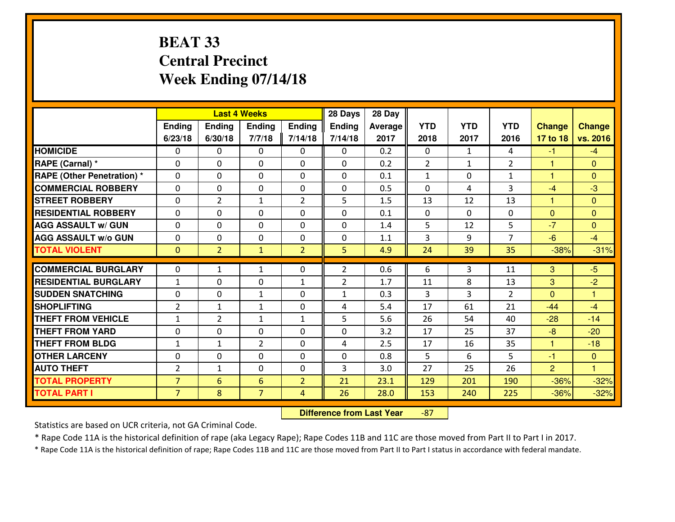## **BEAT 33 Central PrecinctWeek Ending 07/14/18**

|                             |                |                | <b>Last 4 Weeks</b> |                | 28 Days        | 28 Day         |                |                |                |                |                      |
|-----------------------------|----------------|----------------|---------------------|----------------|----------------|----------------|----------------|----------------|----------------|----------------|----------------------|
|                             | <b>Ending</b>  | <b>Ending</b>  | <b>Ending</b>       | <b>Ending</b>  | Ending         | <b>Average</b> | <b>YTD</b>     | <b>YTD</b>     | <b>YTD</b>     | <b>Change</b>  | <b>Change</b>        |
|                             | 6/23/18        | 6/30/18        | 7/7/18              | 7/14/18        | 7/14/18        | 2017           | 2018           | 2017           | 2016           | 17 to 18       | vs. 2016             |
| <b>HOMICIDE</b>             | $\Omega$       | 0              | $\Omega$            | $\Omega$       | $\Omega$       | 0.2            | $\Omega$       | $\mathbf{1}$   | 4              | $-1$           | $-4$                 |
| RAPE (Carnal) *             | $\Omega$       | 0              | $\mathbf{0}$        | $\Omega$       | $\Omega$       | 0.2            | $\overline{2}$ | $\mathbf{1}$   | $\overline{2}$ | $\mathbf{1}$   | $\Omega$             |
| RAPE (Other Penetration) *  | $\Omega$       | 0              | $\mathbf{0}$        | 0              | 0              | 0.1            | 1              | $\Omega$       | $\mathbf{1}$   | 1              | $\mathbf{0}$         |
| <b>COMMERCIAL ROBBERY</b>   | 0              | 0              | $\mathbf 0$         | 0              | 0              | 0.5            | $\mathbf{0}$   | 4              | 3              | $-4$           | $-3$                 |
| <b>STREET ROBBERY</b>       | 0              | $\overline{2}$ | $\mathbf{1}$        | 2              | 5              | 1.5            | 13             | 12             | 13             | $\mathbf{1}$   | $\overline{0}$       |
| <b>RESIDENTIAL ROBBERY</b>  | $\Omega$       | 0              | 0                   | 0              | 0              | 0.1            | $\mathbf{0}$   | $\Omega$       | 0              | $\mathbf{0}$   | $\overline{0}$       |
| <b>AGG ASSAULT w/ GUN</b>   | 0              | 0              | 0                   | 0              | 0              | 1.4            | 5              | 12             | 5              | $-7$           | $\overline{0}$       |
| <b>AGG ASSAULT W/o GUN</b>  | 0              | 0              | $\mathbf 0$         | 0              | 0              | 1.1            | 3              | 9              | $\overline{7}$ | $-6$           | $-4$                 |
| <b>TOTAL VIOLENT</b>        | $\mathbf{0}$   | $\overline{2}$ | $\mathbf{1}$        | $\overline{2}$ | 5              | 4.9            | 24             | 39             | 35             | $-38%$         | $-31%$               |
| <b>COMMERCIAL BURGLARY</b>  | $\Omega$       | $\mathbf{1}$   | $\mathbf{1}$        | 0              | $\overline{2}$ | 0.6            | 6              | 3              | 11             | 3              | $-5$                 |
| <b>RESIDENTIAL BURGLARY</b> | $\mathbf{1}$   |                |                     |                | $\overline{2}$ | 1.7            | 11             | 8              | 13             |                |                      |
|                             |                | 0              | $\mathbf 0$         | $\mathbf{1}$   |                |                |                |                |                | 3              | $-2$                 |
| <b>SUDDEN SNATCHING</b>     | $\Omega$       | $\Omega$       | 1                   | $\Omega$       | $\mathbf{1}$   | 0.3            | 3              | $\overline{3}$ | $\overline{2}$ | $\Omega$       | $\mathbf{1}$         |
| <b>SHOPLIFTING</b>          | $\overline{2}$ | $\mathbf{1}$   | $\mathbf{1}$        | 0              | 4              | 5.4            | 17             | 61             | 21             | $-44$          | $-4$                 |
| <b>THEFT FROM VEHICLE</b>   | $\mathbf{1}$   | $\overline{2}$ | $\mathbf{1}$        | $\mathbf{1}$   | 5              | 5.6            | 26             | 54             | 40             | $-28$          | $-14$                |
| <b>THEFT FROM YARD</b>      | 0              | 0              | $\mathbf 0$         | 0              | 0              | 3.2            | 17             | 25             | 37             | $-8$           | $-20$                |
| <b>THEFT FROM BLDG</b>      | $\mathbf{1}$   | $\mathbf{1}$   | $\overline{2}$      | 0              | 4              | 2.5            | 17             | 16             | 35             | $\mathbf{1}$   | $-18$                |
| <b>OTHER LARCENY</b>        | 0              | 0              | $\mathbf 0$         | 0              | 0              | 0.8            | 5              | 6              | 5              | $-1$           | $\overline{0}$       |
| <b>AUTO THEFT</b>           | $\overline{2}$ | $\mathbf{1}$   | $\mathbf{0}$        | $\Omega$       | 3              | 3.0            | 27             | 25             | 26             | $\overline{2}$ | $\blacktriangleleft$ |
| <b>TOTAL PROPERTY</b>       | $\overline{7}$ | 6              | 6                   | $\overline{2}$ | 21             | 23.1           | 129            | 201            | 190            | $-36%$         | $-32%$               |
| <b>TOTAL PART I</b>         | $\overline{7}$ | 8              | $\overline{7}$      | $\overline{4}$ | 26             | 28.0           | 153            | 240            | 225            | $-36%$         | $-32%$               |

 **Difference from Last Year**-87

Statistics are based on UCR criteria, not GA Criminal Code.

\* Rape Code 11A is the historical definition of rape (aka Legacy Rape); Rape Codes 11B and 11C are those moved from Part II to Part I in 2017.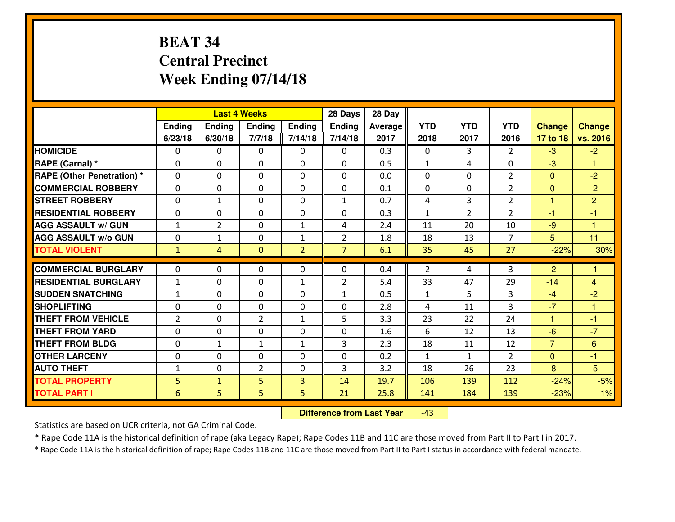## **BEAT 34 Central PrecinctWeek Ending 07/14/18**

|                                              |                      |                   | <b>Last 4 Weeks</b> |                | 28 Days        | 28 Day       |              |                |                |                  |                |
|----------------------------------------------|----------------------|-------------------|---------------------|----------------|----------------|--------------|--------------|----------------|----------------|------------------|----------------|
|                                              | Ending               | Ending            | <b>Ending</b>       | Ending         | <b>Ending</b>  | Average      | <b>YTD</b>   | <b>YTD</b>     | <b>YTD</b>     | <b>Change</b>    | <b>Change</b>  |
|                                              | 6/23/18              | 6/30/18           | 7/7/18              | 7/14/18        | 7/14/18        | 2017         | 2018         | 2017           | 2016           | 17 to 18         | vs. 2016       |
| <b>HOMICIDE</b>                              | $\Omega$             | 0                 | $\Omega$            | 0              | $\Omega$       | 0.3          | 0            | 3              | $\mathfrak{D}$ | $-3$             | $-2$           |
| RAPE (Carnal) *                              | $\mathbf{0}$         | 0                 | $\mathbf{0}$        | 0              | $\Omega$       | 0.5          | $\mathbf{1}$ | 4              | 0              | $-3$             | 1              |
| <b>RAPE (Other Penetration) *</b>            | $\Omega$             | 0                 | $\mathbf{0}$        | $\Omega$       | $\Omega$       | 0.0          | $\Omega$     | 0              | $\overline{2}$ | $\mathbf{0}$     | $-2$           |
| <b>COMMERCIAL ROBBERY</b>                    | 0                    | 0                 | $\mathbf 0$         | 0              | 0              | 0.1          | $\Omega$     | 0              | $\overline{2}$ | $\mathbf{0}$     | $-2$           |
| <b>STREET ROBBERY</b>                        | 0                    | $\mathbf{1}$      | $\mathbf 0$         | 0              | $\mathbf{1}$   | 0.7          | 4            | $\overline{3}$ | $\overline{2}$ | $\mathbf{1}$     | $\overline{2}$ |
| <b>RESIDENTIAL ROBBERY</b>                   | $\Omega$             | 0                 | $\mathbf 0$         | $\Omega$       | 0              | 0.3          | $\mathbf{1}$ | $\overline{2}$ | $\overline{2}$ | $-1$             | $-1$           |
| <b>AGG ASSAULT W/ GUN</b>                    | $\mathbf{1}$         | $\overline{2}$    | $\mathbf 0$         | $\mathbf{1}$   | 4              | 2.4          | 11           | 20             | 10             | $-9$             | $\overline{1}$ |
| <b>AGG ASSAULT W/o GUN</b>                   | 0                    | $\mathbf{1}$      | $\mathbf 0$         | $\mathbf{1}$   | $\overline{2}$ | 1.8          | 18           | 13             | $\overline{7}$ | 5                | 11             |
| <b>TOTAL VIOLENT</b>                         | $\mathbf{1}$         | $\overline{4}$    | $\overline{0}$      | $\overline{2}$ | $\overline{7}$ | 6.1          | 35           | 45             | 27             | $-22%$           | 30%            |
| <b>COMMERCIAL BURGLARY</b>                   | $\Omega$             | 0                 | $\mathbf{0}$        | $\Omega$       | $\Omega$       | 0.4          | 2            | 4              | 3              | $-2$             | $-1$           |
| <b>RESIDENTIAL BURGLARY</b>                  | $\mathbf{1}$         | 0                 | 0                   | $\mathbf{1}$   | $\overline{2}$ | 5.4          | 33           | 47             | 29             | $-14$            | $\overline{4}$ |
| <b>SUDDEN SNATCHING</b>                      | $\mathbf{1}$         | 0                 | $\mathbf 0$         | 0              | $\mathbf{1}$   | 0.5          | $\mathbf{1}$ | 5              | 3              |                  | $-2$           |
| <b>SHOPLIFTING</b>                           |                      |                   |                     |                |                |              |              |                |                |                  |                |
|                                              |                      |                   |                     |                |                |              |              |                |                | $-4$             |                |
|                                              | 0                    | 0                 | $\mathbf 0$         | 0              | 0              | 2.8          | 4            | 11             | $\overline{3}$ | $-7$             | 1              |
| <b>THEFT FROM VEHICLE</b>                    | $\overline{2}$       | 0                 | $\overline{2}$      | $\mathbf{1}$   | 5              | 3.3          | 23           | 22             | 24             | $\mathbf{1}$     | $-1$           |
| <b>THEFT FROM YARD</b>                       | 0                    | 0                 | $\mathbf 0$         | 0              | 0              | 1.6          | 6            | 12             | 13             | $-6$             | $-7$           |
| <b>THEFT FROM BLDG</b>                       | 0                    | $\mathbf{1}$      | 1                   | $\mathbf{1}$   | 3              | 2.3          | 18           | 11             | 12             | $\overline{7}$   | 6              |
| <b>OTHER LARCENY</b>                         | 0                    | 0                 | $\mathbf 0$         | 0              | 0              | 0.2          | $\mathbf{1}$ | $\mathbf{1}$   | $\overline{2}$ | $\overline{0}$   | $-1$           |
| <b>AUTO THEFT</b>                            | $\mathbf{1}$         | 0                 | $\overline{2}$      | 0              | 3              | 3.2          | 18           | 26             | 23             | $-8$             | $-5$           |
| <b>TOTAL PROPERTY</b><br><b>TOTAL PART I</b> | 5<br>$6\phantom{1}6$ | $\mathbf{1}$<br>5 | 5<br>5              | 3<br>5         | 14<br>21       | 19.7<br>25.8 | 106<br>141   | 139<br>184     | 112<br>139     | $-24%$<br>$-23%$ | $-5%$<br>1%    |

 **Difference from Last Year**-43

Statistics are based on UCR criteria, not GA Criminal Code.

\* Rape Code 11A is the historical definition of rape (aka Legacy Rape); Rape Codes 11B and 11C are those moved from Part II to Part I in 2017.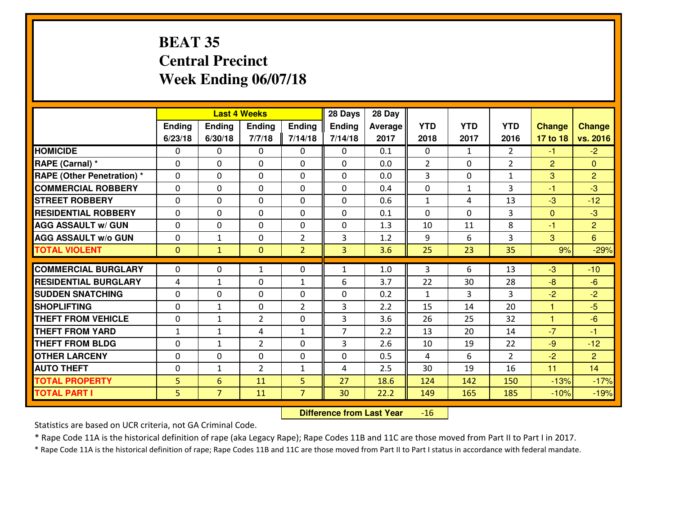#### **BEAT 35 Central PrecinctWeek Ending 06/07/18**

|                             |              |                | <b>Last 4 Weeks</b> |                | 28 Days        | 28 Day  |              |              |                |               |                |
|-----------------------------|--------------|----------------|---------------------|----------------|----------------|---------|--------------|--------------|----------------|---------------|----------------|
|                             | Ending       | <b>Ending</b>  | <b>Ending</b>       | Ending         | <b>Ending</b>  | Average | <b>YTD</b>   | <b>YTD</b>   | <b>YTD</b>     | <b>Change</b> | <b>Change</b>  |
|                             | 6/23/18      | 6/30/18        | 7/7/18              | 7/14/18        | 7/14/18        | 2017    | 2018         | 2017         | 2016           | 17 to 18      | vs. 2016       |
| <b>HOMICIDE</b>             | $\Omega$     | 0              | $\Omega$            | 0              | $\Omega$       | 0.1     | 0            | $\mathbf{1}$ | $\mathfrak{D}$ | $-1$          | $-2$           |
| RAPE (Carnal) *             | $\mathbf{0}$ | 0              | $\mathbf{0}$        | 0              | $\Omega$       | 0.0     | 2            | $\mathbf{0}$ | $\overline{2}$ | 2             | $\mathbf{0}$   |
| RAPE (Other Penetration) *  | $\Omega$     | 0              | $\mathbf{0}$        | $\Omega$       | $\Omega$       | 0.0     | 3            | 0            | $\mathbf{1}$   | 3             | $\overline{2}$ |
| <b>COMMERCIAL ROBBERY</b>   | $\mathbf{0}$ | 0              | 0                   | 0              | $\Omega$       | 0.4     | $\mathbf{0}$ | $\mathbf{1}$ | 3              | $-1$          | $-3$           |
| <b>STREET ROBBERY</b>       | 0            | 0              | $\mathbf 0$         | $\Omega$       | 0              | 0.6     | $\mathbf{1}$ | 4            | 13             | $-3$          | $-12$          |
| <b>RESIDENTIAL ROBBERY</b>  | $\Omega$     | $\Omega$       | $\mathbf 0$         | $\Omega$       | 0              | 0.1     | $\Omega$     | $\Omega$     | 3              | $\mathbf{0}$  | $-3$           |
| <b>AGG ASSAULT w/ GUN</b>   | $\Omega$     | 0              | $\mathbf 0$         | $\Omega$       | 0              | 1.3     | 10           | 11           | 8              | $-1$          | $\overline{2}$ |
| <b>AGG ASSAULT W/o GUN</b>  | 0            | $\mathbf{1}$   | $\mathbf 0$         | $\overline{2}$ | 3              | 1.2     | 9            | 6            | 3              | 3             | $6^{\circ}$    |
| <b>TOTAL VIOLENT</b>        | $\mathbf{0}$ | $\mathbf{1}$   | $\overline{0}$      | $\overline{2}$ | 3              | 3.6     | 25           | 23           | 35             | 9%            | $-29%$         |
| <b>COMMERCIAL BURGLARY</b>  | $\Omega$     | 0              | 1                   | $\Omega$       | 1              | 1.0     | 3            | 6            | 13             | -3            | $-10$          |
| <b>RESIDENTIAL BURGLARY</b> | 4            | $\mathbf{1}$   | 0                   | $\mathbf{1}$   | 6              | 3.7     | 22           | 30           | 28             | $-8$          | $-6$           |
| <b>SUDDEN SNATCHING</b>     | 0            | 0              | 0                   | 0              | 0              | 0.2     | $\mathbf{1}$ | 3            | 3              | $-2$          | $-2$           |
| <b>SHOPLIFTING</b>          | 0            | 1              | $\mathbf 0$         | $\overline{2}$ | 3              | 2.2     | 15           | 14           | 20             | 1             | $-5$           |
| <b>THEFT FROM VEHICLE</b>   | 0            | 1              | $\overline{2}$      | 0              | 3              | 3.6     | 26           | 25           | 32             | $\mathbf{1}$  | $-6$           |
| <b>THEFT FROM YARD</b>      | $1\,$        | $\mathbf{1}$   | 4                   | $\mathbf{1}$   | $\overline{7}$ | 2.2     | 13           | 20           | 14             | $-7$          | $-1$           |
| <b>THEFT FROM BLDG</b>      | 0            | $\mathbf{1}$   | $\overline{2}$      | 0              | 3              | 2.6     | 10           | 19           | 22             | $-9$          | $-12$          |
| <b>OTHER LARCENY</b>        | 0            | 0              | $\mathbf 0$         | 0              | 0              | 0.5     | 4            | 6            | $\overline{2}$ | $-2$          | $\overline{2}$ |
| <b>AUTO THEFT</b>           | $\mathbf{0}$ | $\mathbf{1}$   | $\overline{2}$      | $\mathbf{1}$   | 4              | 2.5     | 30           | 19           | 16             | 11            | 14             |
| <b>TOTAL PROPERTY</b>       | 5            | 6              | 11                  | 5              | 27             | 18.6    | 124          | 142          | 150            | $-13%$        | $-17%$         |
| <b>TOTAL PART I</b>         | 5            | $\overline{7}$ | 11                  | $\overline{7}$ | 30             | 22.2    | 149          | 165          | 185            | $-10%$        | $-19%$         |

 **Difference from Last Year** $-16$ 

Statistics are based on UCR criteria, not GA Criminal Code.

\* Rape Code 11A is the historical definition of rape (aka Legacy Rape); Rape Codes 11B and 11C are those moved from Part II to Part I in 2017.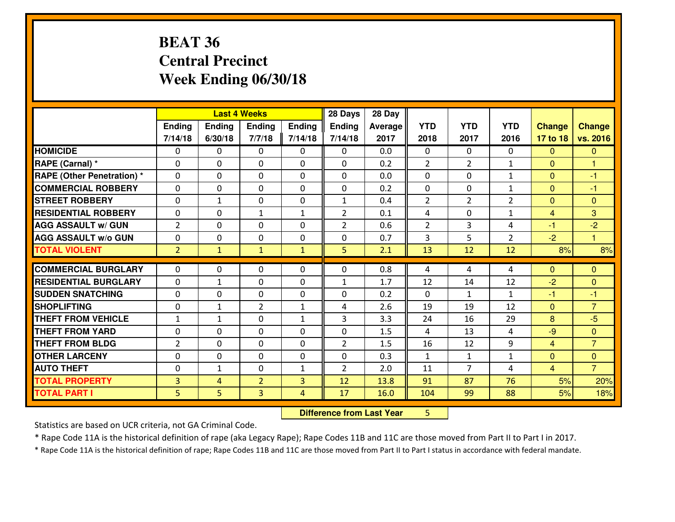#### **BEAT 36 Central PrecinctWeek Ending 06/30/18**

|                                                  |                              |                              | <b>Last 4 Weeks</b>            |                              | 28 Days        | 28 Day     |              |                |                |                |                        |
|--------------------------------------------------|------------------------------|------------------------------|--------------------------------|------------------------------|----------------|------------|--------------|----------------|----------------|----------------|------------------------|
|                                                  | Ending                       | Ending                       | <b>Ending</b>                  | <b>Ending</b>                | <b>Ending</b>  | Average    | <b>YTD</b>   | <b>YTD</b>     | <b>YTD</b>     | <b>Change</b>  | <b>Change</b>          |
|                                                  | 7/14/18                      | 6/30/18                      | 7/7/18                         | 7/14/18                      | 7/14/18        | 2017       | 2018         | 2017           | 2016           | 17 to 18       | vs. 2016               |
| <b>HOMICIDE</b>                                  | 0                            | 0                            | $\mathbf{0}$                   | 0                            | 0              | 0.0        | $\mathbf{0}$ | $\Omega$       | $\Omega$       | $\mathbf{0}$   | $\mathbf{0}$           |
| RAPE (Carnal) *                                  | $\Omega$                     | 0                            | $\mathbf{0}$                   | 0                            | $\Omega$       | 0.2        | 2            | $\overline{2}$ | $\mathbf{1}$   | $\Omega$       | 1                      |
| <b>RAPE (Other Penetration)*</b>                 | $\Omega$                     | $\Omega$                     | $\Omega$                       | $\Omega$                     | $\Omega$       | 0.0        | $\Omega$     | $\Omega$       | $\mathbf{1}$   | $\Omega$       | $-1$                   |
| <b>COMMERCIAL ROBBERY</b>                        | 0                            | 0                            | $\mathbf 0$                    | 0                            | 0              | 0.2        | 0            | $\mathbf{0}$   | $\mathbf{1}$   | $\mathbf{0}$   | $-1$                   |
| <b>STREET ROBBERY</b>                            | $\mathbf{0}$                 | $\mathbf{1}$                 | $\mathbf{0}$                   | $\Omega$                     | $\mathbf{1}$   | 0.4        | 2            | $\overline{2}$ | $\overline{2}$ | $\mathbf{0}$   | $\mathbf{0}$           |
| <b>RESIDENTIAL ROBBERY</b>                       | $\Omega$                     | $\Omega$                     | 1                              | $\mathbf{1}$                 | $\overline{2}$ | 0.1        | 4            | $\Omega$       | $\mathbf{1}$   | $\overline{4}$ | 3                      |
| <b>AGG ASSAULT W/ GUN</b>                        | 2                            | $\Omega$                     | $\mathbf 0$                    | $\Omega$                     | $\overline{2}$ | 0.6        | 2            | 3              | 4              | $-1$           | $-2$                   |
| <b>AGG ASSAULT W/o GUN</b>                       | 0                            | 0                            | $\mathbf 0$                    | 0                            | 0              | 0.7        | 3            | 5              | $\overline{2}$ | $-2$           | $\mathbf{1}$           |
| <b>TOTAL VIOLENT</b>                             | $\overline{2}$               | $\mathbf{1}$                 | $\mathbf{1}$                   | $\mathbf{1}$                 | 5              | 2.1        | 13           | 12             | 12             | 8%             | 8%                     |
|                                                  |                              |                              |                                |                              |                |            |              |                |                |                |                        |
|                                                  |                              |                              |                                |                              |                |            |              |                |                |                |                        |
| <b>COMMERCIAL BURGLARY</b>                       | $\mathbf{0}$                 | 0                            | 0                              | 0                            | 0              | 0.8        | 4            | 4              | 4              | $\Omega$       | $\mathbf{0}$           |
| <b>RESIDENTIAL BURGLARY</b>                      | $\mathbf{0}$                 | $\mathbf{1}$                 | $\mathbf{0}$                   | 0                            | $\mathbf{1}$   | 1.7        | 12           | 14             | 12             | $-2$           | $\mathbf{0}$           |
| <b>SUDDEN SNATCHING</b>                          | $\Omega$                     | 0                            | $\mathbf{0}$                   | $\Omega$                     | $\Omega$       | 0.2        | $\Omega$     | $\mathbf{1}$   | $\mathbf{1}$   | -1             | -1                     |
| <b>SHOPLIFTING</b>                               | $\mathbf{0}$<br>$\mathbf{1}$ | $\mathbf{1}$<br>$\mathbf{1}$ | $\overline{2}$<br>$\mathbf{0}$ | $\mathbf{1}$<br>$\mathbf{1}$ | 4              | 2.6        | 19           | 19             | 12             | $\Omega$       | $\overline{7}$         |
| <b>THEFT FROM VEHICLE</b>                        | 0                            | 0                            | $\mathbf 0$                    | 0                            | 3<br>0         | 3.3        | 24<br>4      | 16             | 29<br>4        | 8<br>$-9$      | $-5$<br>$\overline{0}$ |
| <b>THEFT FROM YARD</b><br><b>THEFT FROM BLDG</b> | $\overline{2}$               | 0                            | $\mathbf 0$                    | 0                            | $\overline{2}$ | 1.5<br>1.5 | 16           | 13<br>12       | 9              | $\overline{4}$ | $\overline{7}$         |
| <b>OTHER LARCENY</b>                             | 0                            | 0                            | $\mathbf 0$                    | 0                            | 0              | 0.3        | $\mathbf{1}$ | $\mathbf{1}$   | $\mathbf{1}$   | $\overline{0}$ | $\overline{0}$         |
| <b>AUTO THEFT</b>                                | $\mathbf{0}$                 | $\mathbf{1}$                 | $\mathbf 0$                    | $\mathbf{1}$                 | $\overline{2}$ | 2.0        | 11           | $\overline{7}$ | 4              | $\overline{4}$ | $\overline{7}$         |
| <b>TOTAL PROPERTY</b>                            | $\overline{3}$               | 4                            | $\overline{2}$                 | 3                            | 12             | 13.8       | 91           | 87             | 76             | 5%             | 20%                    |
| <b>TOTAL PART I</b>                              | 5                            | 5                            | 3                              | 4                            | 17             | 16.0       | 104          | 99             | 88             | 5%             | 18%                    |

**Difference from Last Year** 5

Statistics are based on UCR criteria, not GA Criminal Code.

\* Rape Code 11A is the historical definition of rape (aka Legacy Rape); Rape Codes 11B and 11C are those moved from Part II to Part I in 2017.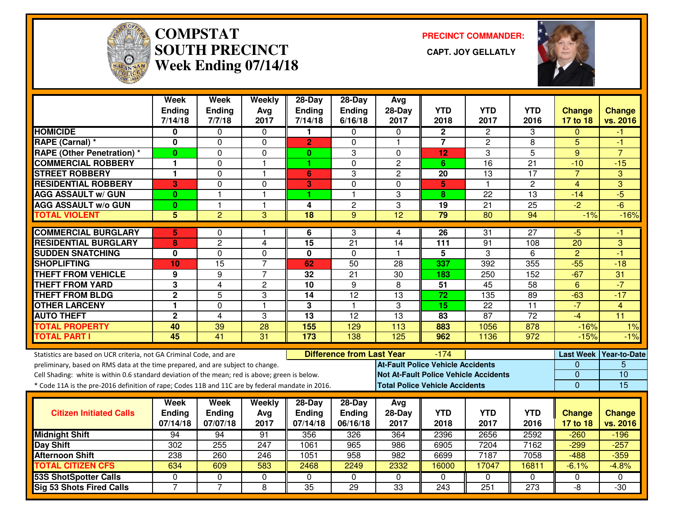

# **COMPSTAT PRECINCT COMMANDER: SOUTH PRECINCT CAPT. JOY GELLATLYWeek Ending 07/14/18**



|                                                                                                  | Week<br>Ending<br>7/14/18 | <b>Week</b><br>Ending<br>7/7/18 | Weekly<br>Avg<br>2017 | $28-Day$<br>Ending<br>7/14/18 | 28-Day<br>Ending<br>6/16/18      | Avg<br>28-Day<br>2017                        | <b>YTD</b><br>2018 | <b>YTD</b><br>2017 | <b>YTD</b><br>2016 | <b>Change</b><br>17 to 18 | <b>Change</b><br>vs. 2016 |
|--------------------------------------------------------------------------------------------------|---------------------------|---------------------------------|-----------------------|-------------------------------|----------------------------------|----------------------------------------------|--------------------|--------------------|--------------------|---------------------------|---------------------------|
| <b>HOMICIDE</b>                                                                                  | 0                         | 0                               | $\Omega$              | 1                             | $\Omega$                         | 0                                            | $\overline{2}$     | $\overline{2}$     | 3                  | $\Omega$                  | -1                        |
| <b>RAPE (Carnal)*</b>                                                                            | 0                         | $\Omega$                        | $\Omega$              | $\overline{2}$                | $\Omega$                         | $\overline{1}$                               | $\overline{7}$     | $\overline{2}$     | 8                  | 5                         | $-1$                      |
| <b>RAPE (Other Penetration) *</b>                                                                | 0                         | 0                               | 0                     | $\mathbf{0}$                  | 3                                | 0                                            | 12                 | 3                  | 5                  | 9                         | $\overline{7}$            |
| <b>COMMERCIAL ROBBERY</b>                                                                        | 1                         | $\Omega$                        | $\overline{1}$        | 1                             | $\Omega$                         | $\overline{2}$                               | 6.                 | 16                 | $\overline{21}$    | $-10$                     | $-15$                     |
| <b>STREET ROBBERY</b>                                                                            | 1                         | 0                               | $\mathbf{1}$          | 6                             | 3                                | $\overline{c}$                               | 20                 | 13                 | 17                 | $\overline{7}$            | 3                         |
| <b>RESIDENTIAL ROBBERY</b>                                                                       | 3                         | 0                               | 0                     | 3                             | $\Omega$                         | $\Omega$                                     | 5                  | $\mathbf{1}$       | $\overline{2}$     | $\overline{4}$            | 3                         |
| <b>AGG ASSAULT w/ GUN</b>                                                                        | $\bf{0}$                  | $\overline{\mathbf{1}}$         | $\mathbf{1}$          | 1                             | $\mathbf{1}$                     | 3                                            | 8                  | 22                 | 13                 | $-14$                     | $-5$                      |
| <b>AGG ASSAULT w/o GUN</b>                                                                       | $\bf{0}$                  | 1                               | $\mathbf{1}$          | 4                             | $\overline{c}$                   | 3                                            | 19                 | $\overline{21}$    | 25                 | $\overline{-2}$           | $-6$                      |
| <b>TOTAL VIOLENT</b>                                                                             | $\overline{5}$            | $\overline{2}$                  | 3                     | $\overline{18}$               | 9                                | $\overline{12}$                              | $\overline{79}$    | $\overline{80}$    | 94                 | $-1%$                     | $-16%$                    |
| <b>COMMERCIAL BURGLARY</b>                                                                       | 5                         | $\Omega$                        | $\mathbf{1}$          | 6                             | 3                                | 4                                            | $\overline{26}$    | $\overline{31}$    | $\overline{27}$    | $-5$                      | -1                        |
| <b>RESIDENTIAL BURGLARY</b>                                                                      | 8                         | $\overline{c}$                  | 4                     | 15                            | 21                               | 14                                           | 111                | 91                 | 108                | 20                        | 3                         |
| <b>SUDDEN SNATCHING</b>                                                                          | $\mathbf 0$               | $\Omega$                        | $\Omega$              | 0                             | $\Omega$                         | $\mathbf 1$                                  | 5                  | 3                  | 6                  | $\overline{2}$            | $-1$                      |
| <b>SHOPLIFTING</b>                                                                               | 10                        | 15                              | $\overline{7}$        | 62                            | 50                               | 28                                           | 337                | 392                | 355                | $-55$                     | $-18$                     |
| <b>THEFT FROM VEHICLE</b>                                                                        | 9                         | 9                               | $\overline{7}$        | 32                            | $\overline{21}$                  | $\overline{30}$                              | 183                | 250                | 152                | $-67$                     | 31                        |
| <b>THEFT FROM YARD</b>                                                                           | 3                         | 4                               | 2                     | $\overline{10}$               | 9                                | 8                                            | $\overline{51}$    | 45                 | $\overline{58}$    | 6                         | $-7$                      |
| <b>THEFT FROM BLDG</b>                                                                           | $\overline{2}$            | 5                               | 3                     | $\overline{14}$               | $\overline{12}$                  | $\overline{13}$                              | 72                 | 135                | 89                 | $-63$                     | $-17$                     |
| <b>OTHER LARCENY</b>                                                                             | 1                         | $\Omega$                        | $\mathbf{1}$          | 3                             | $\mathbf{1}$                     | 3                                            | 15                 | 22                 | $\overline{11}$    | $-7$                      | 4                         |
| <b>AUTO THEFT</b>                                                                                | $\overline{2}$            | 4                               | 3                     | $\overline{13}$               | $\overline{12}$                  | 13                                           | 83                 | 87                 | $\overline{72}$    | $-4$                      | $\overline{11}$           |
| <b>TOTAL PROPERTY</b>                                                                            | 40                        | 39                              | 28                    | 155                           | 129                              | 113                                          | 883                | 1056               | 878                | $-16%$                    | 1%                        |
| <b>TOTAL PART I</b>                                                                              | 45                        | 41                              | 31                    | 173                           | 138                              | 125                                          | 962                | 1136               | 972                | $-15%$                    | $-1%$                     |
| Statistics are based on UCR criteria, not GA Criminal Code, and are                              |                           |                                 |                       |                               | <b>Difference from Last Year</b> |                                              | $-174$             |                    |                    |                           | Last Week Year-to-Date    |
| preliminary, based on RMS data at the time prepared, and are subject to change.                  |                           |                                 |                       |                               |                                  | <b>At-Fault Police Vehicle Accidents</b>     |                    |                    |                    | 0                         | 5                         |
| Cell Shading: white is within 0.6 standard deviation of the mean; red is above; green is below.  |                           |                                 |                       |                               |                                  | <b>Not At-Fault Police Vehicle Accidents</b> |                    |                    |                    | $\overline{0}$            | $\overline{10}$           |
| * Code 11A is the pre-2016 definition of rape; Codes 11B and 11C are by federal mandate in 2016. |                           |                                 |                       |                               |                                  | <b>Total Police Vehicle Accidents</b>        |                    |                    |                    | $\overline{0}$            | 15                        |
|                                                                                                  | Week                      | Week                            | Weekly                | 28-Day                        | $28$ -Day                        | Avg                                          |                    |                    |                    |                           |                           |
| <b>Citizen Initiated Calls</b>                                                                   | <b>Ending</b>             | <b>Ending</b>                   | Avg                   | <b>Ending</b>                 | Ending                           | $28-Day$                                     | <b>YTD</b>         | <b>YTD</b>         | <b>YTD</b>         | <b>Change</b>             | <b>Change</b>             |
|                                                                                                  | 07/14/18                  | 07/07/18                        | 2017                  | 07/14/18                      | 06/16/18                         | 2017                                         | 2018               | 2017               | 2016               | 17 to 18                  | vs. 2016                  |
| <b>Midnight Shift</b>                                                                            | 94                        | 94                              | 91                    | 356                           | 326                              | 364                                          | 2396               | 2656               | 2592               | $-260$                    | $-196$                    |
| <b>Day Shift</b>                                                                                 | 302                       | 255                             | 247                   | 1061                          | 965                              | 986                                          | 6905               | 7204               | 7162               | $-299$                    | $-257$                    |
| <b>Afternoon Shift</b>                                                                           | 238                       | 260                             | 246                   | 1051                          | 958                              | 982                                          | 6699               | 7187               | 7058               | $-488$                    | $-359$                    |
| <b>TOTAL CITIZEN CFS</b>                                                                         | 634                       | 609                             | 583                   | 2468                          | 2249                             | 2332                                         | 16000              | 17047              | 16811              | $-6.1%$                   | $-4.8%$                   |
| <b>53S ShotSpotter Calls</b>                                                                     | 0                         | 0                               | 0                     | $\Omega$                      | $\Omega$                         | $\mathbf{0}$                                 | $\Omega$           | $\Omega$           | $\Omega$           | 0                         | $\Omega$                  |
| <b>Sig 53 Shots Fired Calls</b>                                                                  | $\overline{7}$            | $\overline{7}$                  | 8                     | 35                            | 29                               | 33                                           | 243                | 251                | 273                | -8                        | $-30$                     |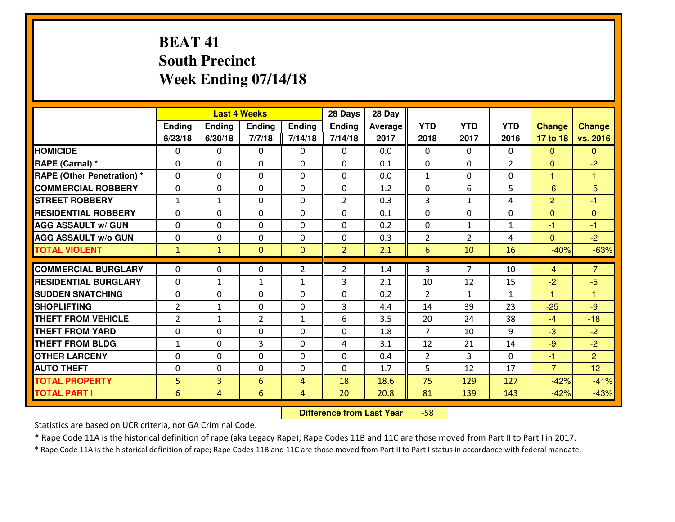## **BEAT 41 South PrecinctWeek Ending 07/14/18**

|                                              |                      |                                  | <b>Last 4 Weeks</b> |                | 28 Days        | 28 Day      |                |                |                |                      |                |
|----------------------------------------------|----------------------|----------------------------------|---------------------|----------------|----------------|-------------|----------------|----------------|----------------|----------------------|----------------|
|                                              | Ending               | Ending                           | Ending              | <b>Ending</b>  | <b>Ending</b>  | Average     | <b>YTD</b>     | <b>YTD</b>     | <b>YTD</b>     | <b>Change</b>        | <b>Change</b>  |
|                                              | 6/23/18              | 6/30/18                          | 7/7/18              | 7/14/18        | 7/14/18        | 2017        | 2018           | 2017           | 2016           | 17 to 18             | vs. 2016       |
| <b>HOMICIDE</b>                              | $\Omega$             | 0                                | 0                   | 0              | 0              | 0.0         | 0              | $\Omega$       | $\Omega$       | $\Omega$             | $\mathbf{0}$   |
| RAPE (Carnal) *                              | $\mathbf{0}$         | 0                                | $\mathbf 0$         | 0              | 0              | 0.1         | $\mathbf{0}$   | $\mathbf{0}$   | $\overline{2}$ | $\Omega$             | $-2$           |
| <b>RAPE (Other Penetration) *</b>            | $\mathbf{0}$         | 0                                | $\mathbf{0}$        | $\Omega$       | $\Omega$       | 0.0         | $\mathbf{1}$   | 0              | 0              | $\mathbf{1}$         | 1              |
| <b>COMMERCIAL ROBBERY</b>                    | $\mathbf{0}$         | 0                                | 0                   | $\Omega$       | $\Omega$       | 1.2         | $\mathbf{0}$   | 6              | 5              | $-6$                 | $-5$           |
| <b>STREET ROBBERY</b>                        | $\mathbf{1}$         | 1                                | $\mathbf{0}$        | 0              | $\overline{2}$ | 0.3         | 3              | $\mathbf{1}$   | 4              | $\overline{2}$       | $-1$           |
| <b>RESIDENTIAL ROBBERY</b>                   | $\Omega$             | 0                                | $\mathbf 0$         | 0              | 0              | 0.1         | 0              | 0              | 0              | $\mathbf{0}$         | $\overline{0}$ |
| <b>AGG ASSAULT W/ GUN</b>                    | 0                    | 0                                | $\mathbf 0$         | 0              | 0              | 0.2         | 0              | $\mathbf{1}$   | $\mathbf{1}$   | $-1$                 | $-1$           |
| <b>AGG ASSAULT W/o GUN</b>                   | 0                    | 0                                | $\mathbf 0$         | 0              | 0              | 0.3         | $\overline{2}$ | $\overline{2}$ | 4              | $\mathbf{0}$         | $-2$           |
| <b>TOTAL VIOLENT</b>                         | $\mathbf{1}$         | $\mathbf{1}$                     | $\mathbf{0}$        | $\mathbf{0}$   | $\overline{2}$ | 2.1         | 6              | 10             | 16             | $-40%$               | $-63%$         |
| <b>COMMERCIAL BURGLARY</b>                   | $\mathbf{0}$         | 0                                | 0                   | $\overline{2}$ | $\overline{2}$ | 1.4         | 3              | 7              | 10             | $-4$                 | $-7$           |
| <b>RESIDENTIAL BURGLARY</b>                  | $\Omega$             | 1                                | 1                   | 1              | 3              | 2.1         | 10             | 12             | 15             | $-2$                 | $-5$           |
| <b>SUDDEN SNATCHING</b>                      | $\mathbf{0}$         | 0                                | 0                   | $\Omega$       | 0              | 0.2         | $\mathcal{P}$  | $\mathbf{1}$   | $\mathbf{1}$   | $\blacktriangleleft$ | 1              |
| <b>SHOPLIFTING</b>                           | $\overline{2}$       | $\mathbf{1}$                     | $\mathbf 0$         | 0              | 3              | 4.4         | 14             | 39             | 23             | $-25$                | $-9$           |
| <b>THEFT FROM VEHICLE</b>                    | 2                    | $\mathbf{1}$                     | $\overline{2}$      | $\mathbf{1}$   | 6              | 3.5         | 20             | 24             | 38             | $-4$                 | $-18$          |
| <b>THEFT FROM YARD</b>                       | 0                    | 0                                | $\mathbf 0$         | 0              | 0              | 1.8         | $\overline{7}$ | 10             | 9              | $-3$                 | $-2$           |
| <b>THEFT FROM BLDG</b>                       | $\mathbf{1}$         | 0                                | 3                   | 0              | 4              | 3.1         | 12             | 21             | 14             | $-9$                 | $-2$           |
| <b>OTHER LARCENY</b>                         | 0                    | 0                                | $\mathbf 0$         | 0              | 0              | 0.4         | $\overline{2}$ | 3              | 0              | $-1$                 | $\overline{2}$ |
| <b>AUTO THEFT</b>                            |                      |                                  |                     |                |                |             |                |                |                | $-7$                 | $-12$          |
|                                              | $\mathbf{0}$         | 0                                | 0                   | 0              | 0<br>18        | 1.7<br>18.6 | 5<br>75        | 12<br>129      | 17<br>127      | $-42%$               | $-41%$         |
|                                              |                      |                                  |                     |                |                |             |                |                |                |                      |                |
| <b>TOTAL PROPERTY</b><br><b>TOTAL PART I</b> | 5<br>$6\phantom{1}6$ | $\overline{3}$<br>$\overline{4}$ | 6<br>6              | 4<br>4         | 20             | 20.8        | 81             | 139            | 143            | $-42%$               | $-43%$         |

 **Difference from Last Year**-58

Statistics are based on UCR criteria, not GA Criminal Code.

\* Rape Code 11A is the historical definition of rape (aka Legacy Rape); Rape Codes 11B and 11C are those moved from Part II to Part I in 2017.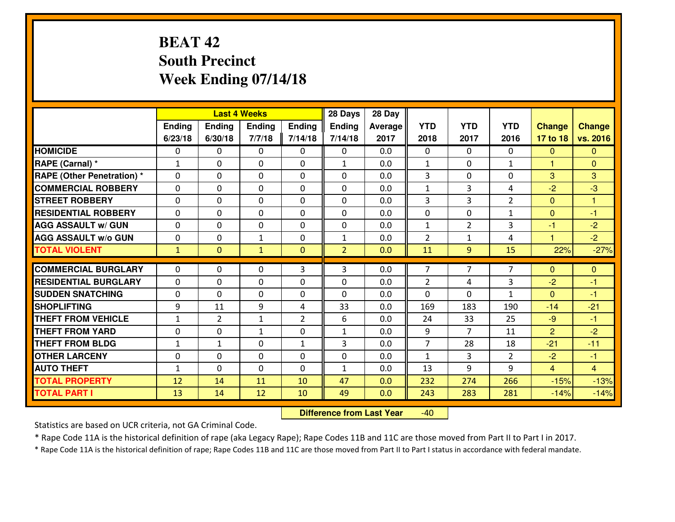## **BEAT 42 South PrecinctWeek Ending 07/14/18**

|                                              |              |                | <b>Last 4 Weeks</b> |                | 28 Days        | 28 Day     |                |                |                |                  |                  |
|----------------------------------------------|--------------|----------------|---------------------|----------------|----------------|------------|----------------|----------------|----------------|------------------|------------------|
|                                              | Ending       | Ending         | <b>Ending</b>       | <b>Ending</b>  | <b>Ending</b>  | Average    | <b>YTD</b>     | <b>YTD</b>     | <b>YTD</b>     | <b>Change</b>    | <b>Change</b>    |
|                                              | 6/23/18      | 6/30/18        | 7/7/18              | 7/14/18        | 7/14/18        | 2017       | 2018           | 2017           | 2016           | 17 to 18         | vs. 2016         |
| <b>HOMICIDE</b>                              | 0            | 0              | $\mathbf{0}$        | 0              | 0              | 0.0        | $\mathbf{0}$   | $\Omega$       | $\Omega$       | $\Omega$         | $\mathbf{0}$     |
| RAPE (Carnal) *                              | 1            | 0              | $\mathbf{0}$        | 0              | $\mathbf{1}$   | 0.0        | 1              | $\Omega$       | $\mathbf{1}$   | 1                | $\mathbf{0}$     |
| <b>RAPE (Other Penetration)*</b>             | $\Omega$     | 0              | $\mathbf 0$         | $\Omega$       | $\Omega$       | 0.0        | 3              | 0              | 0              | 3                | 3                |
| <b>COMMERCIAL ROBBERY</b>                    | $\Omega$     | $\Omega$       | $\mathbf 0$         | $\Omega$       | 0              | 0.0        | $\mathbf{1}$   | 3              | 4              | $-2$             | $-3$             |
| <b>ISTREET ROBBERY</b>                       | 0            | 0              | $\mathbf 0$         | 0              | 0              | 0.0        | 3              | 3              | $\overline{2}$ | $\overline{0}$   | $\overline{1}$   |
| <b>RESIDENTIAL ROBBERY</b>                   | $\mathbf{0}$ | 0              | $\mathbf 0$         | 0              | 0              | 0.0        | 0              | $\mathbf{0}$   | $\mathbf{1}$   | $\mathbf{0}$     | $-1$             |
| <b>AGG ASSAULT W/ GUN</b>                    | 0            | 0              | $\mathbf 0$         | 0              | 0              | 0.0        | $\mathbf{1}$   | $\overline{2}$ | 3              | $-1$             | $-2$             |
| <b>AGG ASSAULT W/o GUN</b>                   | 0            | 0              | 1                   | 0              | $\mathbf{1}$   | 0.0        | $\overline{2}$ | $\mathbf{1}$   | 4              | $\mathbf{1}$     | $-2$             |
| <b>TOTAL VIOLENT</b>                         | $\mathbf{1}$ | $\overline{0}$ | $\mathbf{1}$        | $\mathbf{0}$   | $\overline{2}$ | 0.0        | 11             | 9              | 15             | 22%              | $-27%$           |
| <b>COMMERCIAL BURGLARY</b>                   | $\Omega$     | 0              | $\mathbf{0}$        |                |                |            |                |                |                |                  |                  |
|                                              |              |                |                     |                |                |            |                |                |                |                  |                  |
|                                              |              |                |                     | 3              | 3              | 0.0        | $\overline{7}$ | 7              | $\overline{7}$ | $\Omega$         | $\mathbf{0}$     |
| <b>RESIDENTIAL BURGLARY</b>                  | $\Omega$     | 0              | $\mathbf{0}$        | $\Omega$       | $\Omega$       | 0.0        | $\overline{2}$ | 4              | 3              | $-2$             | -1               |
| <b>SUDDEN SNATCHING</b>                      | $\Omega$     | 0              | $\mathbf 0$         | $\Omega$       | $\Omega$       | 0.0        | $\Omega$       | 0              | $\mathbf{1}$   | $\Omega$         | $-1$             |
| <b>SHOPLIFTING</b>                           | 9            | 11             | 9                   | 4              | 33             | 0.0        | 169            | 183            | 190            | $-14$            | $-21$            |
| <b>THEFT FROM VEHICLE</b>                    | $\mathbf{1}$ | $\overline{2}$ | 1                   | $\overline{2}$ | 6              | 0.0        | 24             | 33             | 25             | $-9$             | -1               |
| <b>THEFT FROM YARD</b>                       | 0            | 0              | 1                   | 0              | $\mathbf{1}$   | 0.0        | 9              | $\overline{7}$ | 11             | $\overline{2}$   | $-2$             |
| <b>THEFT FROM BLDG</b>                       | $\mathbf{1}$ | $\mathbf{1}$   | $\mathbf 0$         | $\mathbf{1}$   | 3              | 0.0        | $\overline{7}$ | 28             | 18             | $-21$            | $-11$            |
| <b>OTHER LARCENY</b>                         | 0            | 0              | $\mathbf 0$         | 0              | 0              | 0.0        | $\mathbf{1}$   | 3              | $\overline{2}$ | $-2$             | $-1$             |
| <b>AUTO THEFT</b>                            | $\mathbf{1}$ | 0              | $\mathbf 0$         | $\Omega$       | $\mathbf{1}$   | 0.0        | 13             | 9              | 9              | $\overline{4}$   | $\overline{4}$   |
| <b>TOTAL PROPERTY</b><br><b>TOTAL PART I</b> | 12<br>13     | 14<br>14       | 11<br>12            | 10<br>10       | 47<br>49       | 0.0<br>0.0 | 232<br>243     | 274<br>283     | 266<br>281     | $-15%$<br>$-14%$ | $-13%$<br>$-14%$ |

 **Difference from Last Year**-40

Statistics are based on UCR criteria, not GA Criminal Code.

\* Rape Code 11A is the historical definition of rape (aka Legacy Rape); Rape Codes 11B and 11C are those moved from Part II to Part I in 2017.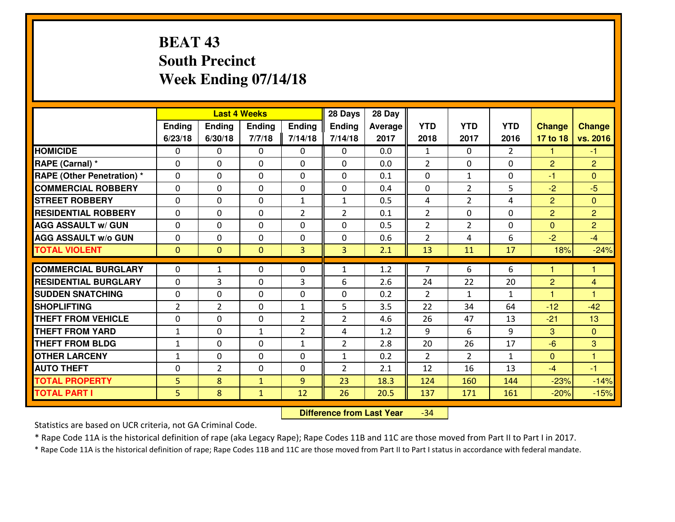## **BEAT 43 South PrecinctWeek Ending 07/14/18**

|                                                        |                |                     | <b>Last 4 Weeks</b> |                | 28 Days        | 28 Day     |                |                |                    |                                  |                     |
|--------------------------------------------------------|----------------|---------------------|---------------------|----------------|----------------|------------|----------------|----------------|--------------------|----------------------------------|---------------------|
|                                                        | Ending         | Ending              | <b>Ending</b>       | Ending         | <b>Ending</b>  | Average    | <b>YTD</b>     | <b>YTD</b>     | <b>YTD</b>         | <b>Change</b>                    | <b>Change</b>       |
|                                                        | 6/23/18        | 6/30/18             | 7/7/18              | 7/14/18        | 7/14/18        | 2017       | 2018           | 2017           | 2016               | 17 to 18                         | vs. 2016            |
| <b>HOMICIDE</b>                                        | $\Omega$       | 0                   | $\Omega$            | 0              | $\Omega$       | 0.0        | 1              | $\Omega$       | $\mathfrak{D}$     | 1                                | -1                  |
| RAPE (Carnal) *                                        | $\mathbf{0}$   | 0                   | $\mathbf{0}$        | 0              | $\Omega$       | 0.0        | 2              | $\mathbf{0}$   | 0                  | 2                                | $\overline{2}$      |
| <b>RAPE (Other Penetration) *</b>                      | $\Omega$       | 0                   | $\mathbf{0}$        | $\Omega$       | $\Omega$       | 0.1        | $\Omega$       | $\mathbf{1}$   | 0                  | $-1$                             | $\Omega$            |
| <b>COMMERCIAL ROBBERY</b>                              | $\mathbf{0}$   | 0                   | $\mathbf 0$         | 0              | 0              | 0.4        | $\Omega$       | $\overline{2}$ | 5                  | $-2$                             | $-5$                |
| <b>STREET ROBBERY</b>                                  | 0              | 0                   | $\mathbf 0$         | $\mathbf{1}$   | $\mathbf{1}$   | 0.5        | 4              | $\overline{2}$ | 4                  | $\overline{2}$                   | $\mathbf{0}$        |
| <b>RESIDENTIAL ROBBERY</b>                             | $\Omega$       | $\Omega$            | $\mathbf 0$         | $\overline{2}$ | $\overline{2}$ | 0.1        | $\overline{2}$ | $\Omega$       | 0                  | $\overline{2}$                   | $\overline{2}$      |
| <b>AGG ASSAULT w/ GUN</b>                              | $\Omega$       | 0                   | $\mathbf 0$         | 0              | 0              | 0.5        | $\overline{2}$ | $\overline{2}$ | 0                  | $\overline{0}$                   | $\overline{2}$      |
| <b>AGG ASSAULT W/o GUN</b>                             | 0              | 0                   | $\mathbf 0$         | $\mathbf 0$    | 0              | 0.6        | 2              | 4              | 6                  | $-2$                             | $-4$                |
| <b>TOTAL VIOLENT</b>                                   | $\mathbf{0}$   | $\overline{0}$      | $\mathbf{O}$        | 3              | 3              | 2.1        | 13             | 11             | 17                 | 18%                              | $-24%$              |
| <b>COMMERCIAL BURGLARY</b>                             | $\Omega$       | $\mathbf{1}$        | $\mathbf{0}$        | $\Omega$       | 1              | 1.2        | $\overline{7}$ | 6              | 6                  | 1                                | 1                   |
|                                                        |                |                     |                     |                |                |            |                |                |                    |                                  |                     |
| <b>RESIDENTIAL BURGLARY</b><br><b>SUDDEN SNATCHING</b> | 0              | 3                   | 0                   | 3              | 6              | 2.6        | 24             | 22             | 20                 | $\overline{2}$<br>$\overline{1}$ | 4<br>$\overline{1}$ |
| <b>SHOPLIFTING</b>                                     | 0              | 0<br>$\overline{2}$ | 0                   | 0              | 0<br>5         | 0.2<br>3.5 | 2<br>22        | $\mathbf{1}$   | $\mathbf{1}$<br>64 |                                  | $-42$               |
|                                                        | $\overline{2}$ |                     | $\mathbf 0$         | $\mathbf{1}$   |                |            |                | 34             |                    | $-12$                            |                     |
| <b>THEFT FROM VEHICLE</b>                              | 0              | 0                   | $\mathbf 0$         | $\overline{2}$ | $\overline{2}$ | 4.6        | 26             | 47             | 13                 | $-21$                            | 13                  |
| <b>THEFT FROM YARD</b>                                 | $\mathbf 1$    | 0                   | 1                   | $\overline{2}$ | 4              | 1.2        | 9              | 6              | 9                  | 3                                | $\overline{0}$      |
| <b>THEFT FROM BLDG</b>                                 | $\mathbf{1}$   | 0                   | $\mathbf 0$         | $\mathbf{1}$   | $\overline{2}$ | 2.8        | 20             | 26             | 17                 | $-6$                             | 3                   |
| <b>OTHER LARCENY</b>                                   | $\mathbf{1}$   | 0                   | $\mathbf 0$         | 0              | $\mathbf{1}$   | 0.2        | 2              | $\overline{2}$ | $\mathbf{1}$       | $\overline{0}$                   | $\mathbf{1}$        |
| <b>AUTO THEFT</b>                                      | $\mathbf{0}$   | $\overline{2}$      | $\mathbf{0}$        | 0              | $\overline{2}$ | 2.1        | 12             | 16             | 13                 | $-4$                             | $-1$                |
| <b>TOTAL PROPERTY</b>                                  | 5              | 8                   | $\mathbf{1}$        | 9              | 23             | 18.3       | 124            | 160            | 144                | $-23%$                           | $-14%$              |
| <b>TOTAL PART I</b>                                    | 5              | 8                   | $\mathbf{1}$        | 12             | 26             | 20.5       | 137            | 171            | 161                | $-20%$                           | $-15%$              |

 **Difference from Last Year**-34

Statistics are based on UCR criteria, not GA Criminal Code.

\* Rape Code 11A is the historical definition of rape (aka Legacy Rape); Rape Codes 11B and 11C are those moved from Part II to Part I in 2017.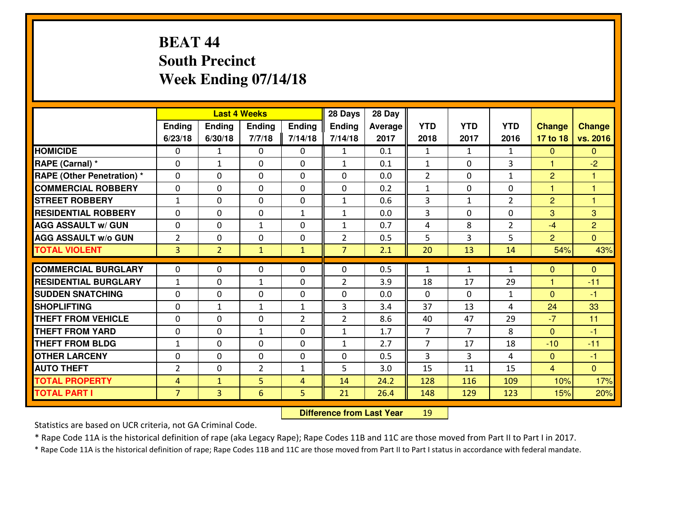## **BEAT 44 South PrecinctWeek Ending 07/14/18**

|                                   |                |                | <b>Last 4 Weeks</b> |                | 28 Days        | 28 Day  |                |                |                |                |                |
|-----------------------------------|----------------|----------------|---------------------|----------------|----------------|---------|----------------|----------------|----------------|----------------|----------------|
|                                   | Ending         | Ending         | <b>Ending</b>       | Ending         | <b>Ending</b>  | Average | <b>YTD</b>     | <b>YTD</b>     | <b>YTD</b>     | <b>Change</b>  | <b>Change</b>  |
|                                   | 6/23/18        | 6/30/18        | 7/7/18              | 7/14/18        | 7/14/18        | 2017    | 2018           | 2017           | 2016           | 17 to 18       | vs. 2016       |
| <b>HOMICIDE</b>                   | $\Omega$       | $\mathbf{1}$   | $\Omega$            | 0              | $\mathbf{1}$   | 0.1     | 1              | $\mathbf{1}$   | $\mathbf{1}$   | $\Omega$       | $\Omega$       |
| RAPE (Carnal) *                   | $\mathbf{0}$   | $\mathbf{1}$   | $\mathbf{0}$        | 0              | $\mathbf{1}$   | 0.1     | $\mathbf{1}$   | $\mathbf{0}$   | 3              | $\mathbf{1}$   | $-2$           |
| <b>RAPE (Other Penetration) *</b> | $\Omega$       | 0              | $\mathbf{0}$        | $\Omega$       | $\Omega$       | 0.0     | $\overline{2}$ | 0              | $\mathbf{1}$   | $\overline{2}$ | 1              |
| <b>COMMERCIAL ROBBERY</b>         | 0              | 0              | $\mathbf 0$         | 0              | 0              | 0.2     | $\mathbf{1}$   | 0              | 0              | $\mathbf{1}$   | $\overline{1}$ |
| <b>STREET ROBBERY</b>             | $\mathbf{1}$   | 0              | $\mathbf 0$         | 0              | $\mathbf{1}$   | 0.6     | 3              | $\mathbf{1}$   | $\overline{2}$ | $\overline{2}$ | $\overline{1}$ |
| <b>RESIDENTIAL ROBBERY</b>        | $\Omega$       | $\Omega$       | $\mathbf 0$         | $\mathbf{1}$   | $\mathbf{1}$   | 0.0     | $\overline{3}$ | $\Omega$       | 0              | 3              | 3              |
| <b>AGG ASSAULT w/ GUN</b>         | 0              | 0              | $\mathbf{1}$        | 0              | $\mathbf{1}$   | 0.7     | $\overline{4}$ | 8              | $\overline{2}$ | $-4$           | $\overline{2}$ |
| <b>AGG ASSAULT W/o GUN</b>        | $\overline{2}$ | 0              | $\mathbf 0$         | $\mathbf 0$    | $\overline{2}$ | 0.5     | 5              | 3              | 5              | 2              | $\overline{0}$ |
| <b>TOTAL VIOLENT</b>              | 3              | $\overline{2}$ | $\mathbf{1}$        | $\mathbf{1}$   | $\overline{7}$ | 2.1     | 20             | 13             | 14             | 54%            | 43%            |
| <b>COMMERCIAL BURGLARY</b>        | $\Omega$       | 0              | $\mathbf{0}$        | $\Omega$       | $\Omega$       | 0.5     | $\mathbf{1}$   | $\mathbf{1}$   | $\mathbf{1}$   | $\Omega$       | $\mathbf{0}$   |
| <b>RESIDENTIAL BURGLARY</b>       | $\mathbf{1}$   | 0              | $\mathbf{1}$        | 0              | $\overline{2}$ | 3.9     | 18             | 17             | 29             | $\mathbf{1}$   | $-11$          |
| <b>SUDDEN SNATCHING</b>           | 0              | 0              | 0                   | 0              | 0              | 0.0     | 0              | $\mathbf{0}$   | $\mathbf{1}$   | $\overline{0}$ | $-1$           |
| <b>SHOPLIFTING</b>                | 0              | $\mathbf{1}$   | 1                   | $\mathbf{1}$   | 3              | 3.4     | 37             | 13             | 4              | 24             | 33             |
| <b>THEFT FROM VEHICLE</b>         | $\Omega$       | 0              | $\mathbf 0$         | $\overline{2}$ | $\overline{2}$ | 8.6     | 40             | 47             | 29             | $-7$           | 11             |
| <b>THEFT FROM YARD</b>            | 0              | 0              | 1                   | 0              | $\mathbf{1}$   | 1.7     | $\overline{7}$ | $\overline{7}$ | 8              | $\overline{0}$ | $-1$           |
| <b>THEFT FROM BLDG</b>            | $\mathbf{1}$   | 0              | $\mathbf 0$         | 0              | $\mathbf{1}$   | 2.7     | $\overline{7}$ | 17             | 18             | $-10$          | $-11$          |
| <b>OTHER LARCENY</b>              | 0              | 0              | $\mathbf 0$         | 0              | 0              | 0.5     | 3              | 3              | 4              | $\mathbf{0}$   | $-1$           |
| <b>AUTO THEFT</b>                 | $\overline{2}$ | 0              | $\overline{2}$      | $\mathbf{1}$   | 5              | 3.0     | 15             | 11             | 15             | $\overline{4}$ | $\overline{0}$ |
| <b>TOTAL PROPERTY</b>             | 4              | $\mathbf{1}$   | 5                   | 4              | 14             | 24.2    | 128            | 116            | 109            | 10%            | 17%            |
| <b>TOTAL PART I</b>               | $\overline{7}$ | $\overline{3}$ | 6                   | 5              | 21             | 26.4    | 148            | 129            | 123            | 15%            | 20%            |

 **Difference from Last Year**<sup>19</sup>

Statistics are based on UCR criteria, not GA Criminal Code.

\* Rape Code 11A is the historical definition of rape (aka Legacy Rape); Rape Codes 11B and 11C are those moved from Part II to Part I in 2017.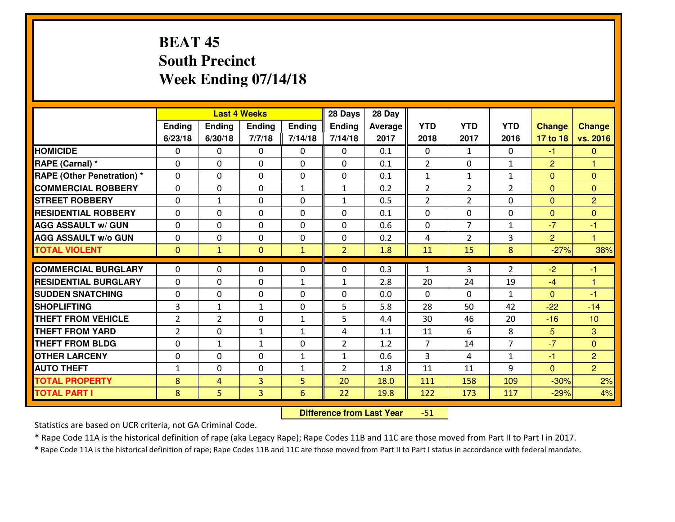## **BEAT 45 South PrecinctWeek Ending 07/14/18**

|                                  |                |                | <b>Last 4 Weeks</b> |               | 28 Days        | 28 Day  |                |                |                |                |                |
|----------------------------------|----------------|----------------|---------------------|---------------|----------------|---------|----------------|----------------|----------------|----------------|----------------|
|                                  | Ending         | Ending         | <b>Ending</b>       | <b>Ending</b> | <b>Ending</b>  | Average | <b>YTD</b>     | <b>YTD</b>     | <b>YTD</b>     | <b>Change</b>  | <b>Change</b>  |
|                                  | 6/23/18        | 6/30/18        | 7/7/18              | 7/14/18       | 7/14/18        | 2017    | 2018           | 2017           | 2016           | 17 to 18       | vs. 2016       |
| <b>HOMICIDE</b>                  | $\Omega$       | 0              | 0                   | 0             | $\Omega$       | 0.1     | 0              | $\mathbf{1}$   | 0              | $-1$           | $\mathbf{0}$   |
| RAPE (Carnal) *                  | $\Omega$       | 0              | $\mathbf{0}$        | $\Omega$      | $\Omega$       | 0.1     | 2              | $\Omega$       | $\mathbf{1}$   | $\overline{2}$ | 1              |
| <b>RAPE (Other Penetration)*</b> | $\Omega$       | $\Omega$       | $\mathbf 0$         | $\Omega$      | 0              | 0.1     | $\mathbf{1}$   | $\mathbf{1}$   | $\mathbf{1}$   | $\Omega$       | $\Omega$       |
| <b>COMMERCIAL ROBBERY</b>        | $\Omega$       | 0              | $\mathbf 0$         | $\mathbf{1}$  | $\mathbf{1}$   | 0.2     | $\overline{2}$ | $\overline{2}$ | $\overline{2}$ | $\mathbf{0}$   | $\Omega$       |
| <b>STREET ROBBERY</b>            | 0              | $\mathbf{1}$   | $\mathbf 0$         | 0             | $\mathbf{1}$   | 0.5     | 2              | $\overline{2}$ | 0              | $\mathbf{0}$   | $\overline{2}$ |
| <b>RESIDENTIAL ROBBERY</b>       | $\Omega$       | $\Omega$       | $\mathbf 0$         | $\Omega$      | 0              | 0.1     | 0              | $\Omega$       | 0              | $\mathbf{0}$   | $\Omega$       |
| <b>AGG ASSAULT w/ GUN</b>        | $\Omega$       | $\Omega$       | $\mathbf 0$         | $\Omega$      | $\Omega$       | 0.6     | 0              | $\overline{7}$ | $\mathbf{1}$   | $-7$           | $-1$           |
| <b>AGG ASSAULT W/o GUN</b>       | 0              | 0              | $\mathbf 0$         | 0             | 0              | 0.2     | 4              | $\overline{2}$ | 3              | $\overline{2}$ | $\overline{1}$ |
| <b>TOTAL VIOLENT</b>             | $\mathbf{0}$   | $\mathbf{1}$   | $\mathbf{0}$        | $\mathbf{1}$  | $\overline{2}$ | 1.8     | 11             | 15             | 8              | $-27%$         | 38%            |
| <b>COMMERCIAL BURGLARY</b>       | $\Omega$       | 0              | 0                   | $\Omega$      | 0              | 0.3     | 1              | 3              | $\overline{2}$ | $-2$           | $-1$           |
| <b>RESIDENTIAL BURGLARY</b>      | 0              | 0              | $\mathbf 0$         | $\mathbf{1}$  | $\mathbf{1}$   | 2.8     | 20             | 24             | 19             | $-4$           | $\overline{1}$ |
| <b>SUDDEN SNATCHING</b>          | 0              | 0              | $\mathbf 0$         | $\Omega$      | 0              | 0.0     | 0              | $\Omega$       | $\mathbf{1}$   | $\Omega$       | $-1$           |
| <b>SHOPLIFTING</b>               | $\overline{3}$ | $\mathbf{1}$   | $\mathbf{1}$        | 0             | 5              | 5.8     | 28             | 50             | 42             | $-22$          | $-14$          |
| <b>THEFT FROM VEHICLE</b>        | $\overline{2}$ | $\overline{2}$ | $\mathbf 0$         | $\mathbf{1}$  | 5              | 4.4     | 30             | 46             | 20             | $-16$          | 10             |
| <b>THEFT FROM YARD</b>           | $\overline{2}$ | 0              | $\mathbf{1}$        | $\mathbf{1}$  | 4              | 1.1     | 11             | 6              | 8              | 5 <sup>5</sup> | 3              |
| <b>THEFT FROM BLDG</b>           | 0              | 1              | $\mathbf{1}$        | 0             | $\overline{2}$ | 1.2     | $\overline{7}$ | 14             | $\overline{7}$ | $-7$           | $\overline{0}$ |
| <b>OTHER LARCENY</b>             | 0              | 0              | $\mathbf 0$         | $\mathbf{1}$  | $\mathbf{1}$   | 0.6     | 3              | 4              | $\mathbf{1}$   | $-1$           | 2              |
| <b>AUTO THEFT</b>                | $\mathbf{1}$   | 0              | $\mathbf 0$         | $\mathbf{1}$  | $\overline{2}$ | 1.8     | 11             | 11             | 9              | $\mathbf{0}$   | $\overline{2}$ |
| <b>TOTAL PROPERTY</b>            | 8              | 4              | 3                   | 5             | 20             | 18.0    | 111            | 158            | 109            | $-30%$         | 2%             |
| <b>TOTAL PART I</b>              | 8              | 5              | 3                   | 6             | 22             | 19.8    | 122            | 173            | 117            | $-29%$         | 4%             |
|                                  |                |                |                     |               |                |         |                |                |                |                |                |

 **Difference from Last Year**-51

Statistics are based on UCR criteria, not GA Criminal Code.

\* Rape Code 11A is the historical definition of rape (aka Legacy Rape); Rape Codes 11B and 11C are those moved from Part II to Part I in 2017.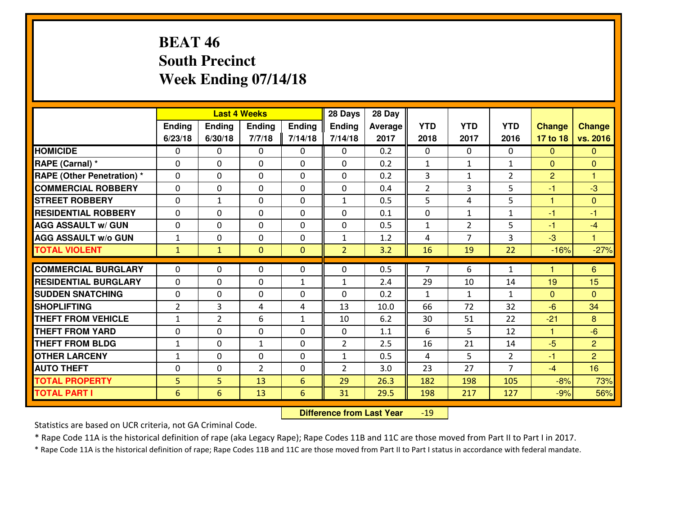## **BEAT 46 South PrecinctWeek Ending 07/14/18**

|                                              |                      |                | <b>Last 4 Weeks</b> |                | 28 Days        | 28 Day       |                |                |                |                |                         |
|----------------------------------------------|----------------------|----------------|---------------------|----------------|----------------|--------------|----------------|----------------|----------------|----------------|-------------------------|
|                                              | Ending               | Ending         | Ending              | <b>Ending</b>  | <b>Ending</b>  | Average      | <b>YTD</b>     | <b>YTD</b>     | <b>YTD</b>     | <b>Change</b>  | <b>Change</b>           |
|                                              | 6/23/18              | 6/30/18        | 7/7/18              | 7/14/18        | 7/14/18        | 2017         | 2018           | 2017           | 2016           | 17 to 18       | vs. 2016                |
| <b>HOMICIDE</b>                              | $\Omega$             | 0              | 0                   | 0              | 0              | 0.2          | $\Omega$       | $\Omega$       | $\Omega$       | $\Omega$       | $\mathbf{0}$            |
| RAPE (Carnal) *                              | $\mathbf{0}$         | 0              | $\mathbf 0$         | 0              | 0              | 0.2          | $\mathbf{1}$   | $\mathbf{1}$   | $\mathbf{1}$   | $\Omega$       | $\mathbf{0}$            |
| <b>RAPE (Other Penetration) *</b>            | $\mathbf{0}$         | 0              | $\mathbf{0}$        | $\Omega$       | $\Omega$       | 0.2          | 3              | $\mathbf{1}$   | $\overline{2}$ | $\overline{2}$ | $\overline{\mathbf{1}}$ |
| <b>COMMERCIAL ROBBERY</b>                    | $\mathbf{0}$         | 0              | 0                   | $\Omega$       | $\Omega$       | 0.4          | $\overline{2}$ | 3              | 5              | $-1$           | $-3$                    |
| <b>STREET ROBBERY</b>                        | $\mathbf{0}$         | 1              | $\mathbf{0}$        | 0              | 1              | 0.5          | 5              | 4              | 5              | 1              | $\mathbf{0}$            |
| <b>RESIDENTIAL ROBBERY</b>                   | $\Omega$             | 0              | $\mathbf 0$         | 0              | 0              | 0.1          | 0              | $\mathbf{1}$   | $\mathbf{1}$   | $-1$           | $-1$                    |
| <b>AGG ASSAULT W/ GUN</b>                    | 0                    | 0              | $\mathbf 0$         | 0              | 0              | 0.5          | $\mathbf{1}$   | $\overline{2}$ | 5              | $-1$           | $-4$                    |
| <b>AGG ASSAULT W/o GUN</b>                   | $1\,$                | 0              | $\mathbf 0$         | 0              | $\mathbf{1}$   | 1.2          | 4              | 7              | $\overline{3}$ | $-3$           | $\mathbf{1}$            |
| <b>TOTAL VIOLENT</b>                         | $\mathbf{1}$         | $\mathbf{1}$   | $\overline{0}$      | $\overline{0}$ | $\overline{2}$ | 3.2          | 16             | 19             | 22             | $-16%$         | $-27%$                  |
| <b>COMMERCIAL BURGLARY</b>                   | $\mathbf{0}$         | 0              | 0                   | 0              | $\Omega$       | 0.5          | $\overline{7}$ | 6              | $\mathbf{1}$   | 1              | 6                       |
| <b>RESIDENTIAL BURGLARY</b>                  | $\Omega$             | 0              | $\mathbf{0}$        | $\mathbf{1}$   | 1              | 2.4          | 29             | 10             | 14             | 19             | 15                      |
|                                              |                      |                |                     |                |                |              |                |                |                |                |                         |
|                                              |                      |                |                     |                |                |              |                |                |                |                |                         |
| <b>SUDDEN SNATCHING</b>                      | $\mathbf{0}$         | 0              | 0                   | 0              | $\Omega$       | 0.2          | $\mathbf{1}$   | $\mathbf{1}$   | $\mathbf{1}$   | $\Omega$       | $\Omega$                |
| <b>SHOPLIFTING</b>                           | $\overline{2}$       | 3              | 4                   | 4              | 13             | 10.0         | 66             | 72             | 32             | $-6$           | 34                      |
| <b>THEFT FROM VEHICLE</b>                    | $\mathbf{1}$         | $\overline{2}$ | 6                   | $\mathbf{1}$   | 10             | 6.2          | 30             | 51             | 22             | $-21$          | 8                       |
| <b>THEFT FROM YARD</b>                       | 0                    | 0              | $\mathbf 0$         | 0              | 0              | 1.1          | 6              | 5              | 12             | $\mathbf{1}$   | $-6$                    |
| <b>THEFT FROM BLDG</b>                       | $\mathbf{1}$         | 0              | 1                   | 0              | $\overline{2}$ | 2.5          | 16             | 21             | 14             | $-5$           | $\overline{2}$          |
| <b>OTHER LARCENY</b>                         | $\mathbf{1}$         | 0              | $\mathbf 0$         | 0              | $\mathbf{1}$   | 0.5          | 4              | 5              | $\overline{2}$ | $-1$           | $\overline{2}$          |
| <b>AUTO THEFT</b>                            | $\mathbf{0}$         | 0              | $\overline{2}$      | 0              | $\overline{2}$ | 3.0          | 23             | 27             | $\overline{7}$ | $-4$           | 16                      |
| <b>TOTAL PROPERTY</b><br><b>TOTAL PART I</b> | 5<br>$6\phantom{1}6$ | 5<br>6         | 13<br>13            | 6<br>6         | 29<br>31       | 26.3<br>29.5 | 182<br>198     | 198<br>217     | 105<br>127     | $-8%$<br>$-9%$ | 73%<br>56%              |

 **Difference from Last Year**-19

Statistics are based on UCR criteria, not GA Criminal Code.

\* Rape Code 11A is the historical definition of rape (aka Legacy Rape); Rape Codes 11B and 11C are those moved from Part II to Part I in 2017.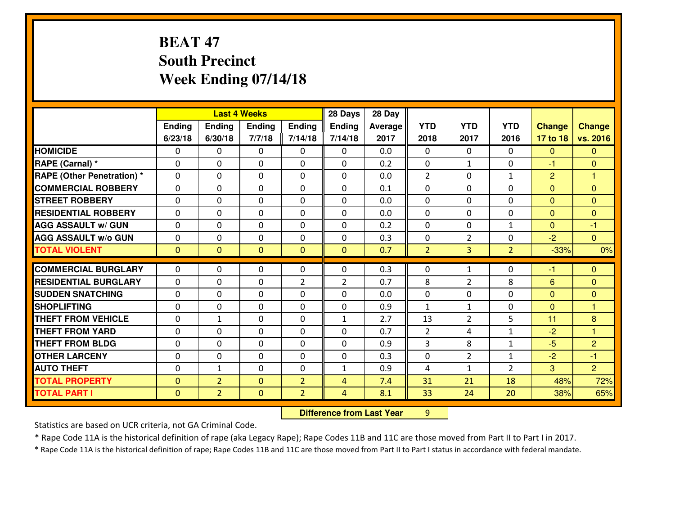## **BEAT 47 South PrecinctWeek Ending 07/14/18**

|                                              |                          |                                  | <b>Last 4 Weeks</b>          |                                  | 28 Days        | 28 Day     |                |                |                |                |                |
|----------------------------------------------|--------------------------|----------------------------------|------------------------------|----------------------------------|----------------|------------|----------------|----------------|----------------|----------------|----------------|
|                                              | Ending                   | Ending                           | Ending                       | Ending                           | Ending         | Average    | <b>YTD</b>     | <b>YTD</b>     | <b>YTD</b>     | <b>Change</b>  | <b>Change</b>  |
|                                              | 6/23/18                  | 6/30/18                          | 7/7/18                       | 7/14/18                          | 7/14/18        | 2017       | 2018           | 2017           | 2016           | 17 to 18       | vs. 2016       |
| <b>HOMICIDE</b>                              | 0                        | 0                                | 0                            | 0                                | 0              | 0.0        | $\Omega$       | $\Omega$       | 0              | $\mathbf{0}$   | $\mathbf{0}$   |
| RAPE (Carnal) *                              | $\Omega$                 | 0                                | $\mathbf 0$                  | $\Omega$                         | 0              | 0.2        | $\mathbf 0$    | $\mathbf{1}$   | $\Omega$       | $-1$           | $\mathbf{0}$   |
| <b>RAPE (Other Penetration) *</b>            | $\Omega$                 | $\Omega$                         | $\mathbf{0}$                 | 0                                | 0              | 0.0        | $\overline{2}$ | $\Omega$       | $\mathbf{1}$   | $\overline{2}$ | 1              |
| <b>COMMERCIAL ROBBERY</b>                    | $\Omega$                 | $\Omega$                         | $\mathbf{0}$                 | 0                                | 0              | 0.1        | $\Omega$       | $\Omega$       | $\Omega$       | $\mathbf{0}$   | $\Omega$       |
| <b>STREET ROBBERY</b>                        | $\Omega$                 | $\Omega$                         | $\mathbf{0}$                 | $\Omega$                         | 0              | 0.0        | $\Omega$       | $\Omega$       | $\Omega$       | $\mathbf{0}$   | $\Omega$       |
| <b>RESIDENTIAL ROBBERY</b>                   | $\Omega$                 | $\Omega$                         | $\mathbf{0}$                 | $\Omega$                         | $\Omega$       | 0.0        | $\Omega$       | $\Omega$       | $\Omega$       | $\mathbf{0}$   | $\Omega$       |
| <b>AGG ASSAULT W/ GUN</b>                    | 0                        | 0                                | $\mathbf 0$                  | 0                                | 0              | 0.2        | $\mathbf 0$    | 0              | $\mathbf{1}$   | $\mathbf{0}$   | $-1$           |
| <b>AGG ASSAULT W/o GUN</b>                   | 0                        | 0                                | 0                            | $\Omega$                         | 0              | 0.3        | 0              | $\overline{2}$ | 0              | $-2$           | $\overline{0}$ |
| <b>TOTAL VIOLENT</b>                         | $\mathbf{0}$             | $\overline{0}$                   | $\overline{0}$               | $\overline{0}$                   | $\mathbf{0}$   | 0.7        | $\overline{2}$ | 3              | $\overline{2}$ | $-33%$         | 0%             |
| <b>COMMERCIAL BURGLARY</b>                   | 0                        | 0                                | 0                            | 0                                | 0              | 0.3        | $\mathbf{0}$   | $\mathbf{1}$   | $\Omega$       | $-1$           | $\mathbf{0}$   |
| <b>RESIDENTIAL BURGLARY</b>                  | 0                        | 0                                | $\mathbf 0$                  | $\overline{2}$                   | $\overline{2}$ | 0.7        | 8              | $\overline{2}$ | 8              |                |                |
| <b>SUDDEN SNATCHING</b>                      | $\Omega$                 |                                  |                              |                                  |                |            |                |                |                | 6              | $\mathbf{0}$   |
|                                              |                          |                                  |                              |                                  |                |            |                |                |                |                |                |
|                                              |                          | 0                                | $\mathbf{0}$                 | $\Omega$                         | 0              | 0.0        | $\mathbf{0}$   | $\Omega$       | $\Omega$       | $\mathbf{0}$   | $\mathbf{0}$   |
| <b>SHOPLIFTING</b>                           | $\Omega$                 | 0                                | $\Omega$                     | 0                                | 0              | 0.9        | $\mathbf{1}$   | $\mathbf{1}$   | $\Omega$       | $\mathbf{0}$   | 1              |
| <b>THEFT FROM VEHICLE</b>                    | 0                        | $\mathbf{1}$                     | $\mathbf 0$                  | $\Omega$                         | $\mathbf{1}$   | 2.7        | 13             | $\overline{2}$ | 5              | 11             | 8              |
| <b>THEFT FROM YARD</b>                       | $\Omega$                 | 0                                | $\mathbf{0}$                 | 0                                | 0              | 0.7        | 2              | 4              | $\mathbf{1}$   | $-2$           | $\mathbf{1}$   |
| <b>THEFT FROM BLDG</b>                       | $\Omega$                 | $\Omega$                         | $\Omega$                     | $\Omega$                         | $\Omega$       | 0.9        | 3              | 8              | $\mathbf{1}$   | $-5$           | $\overline{2}$ |
| <b>OTHER LARCENY</b>                         | $\Omega$                 | 0                                | $\mathbf{0}$                 | $\Omega$                         | 0              | 0.3        | $\mathbf{0}$   | $\overline{2}$ | $\mathbf{1}$   | $-2$           | -1             |
| <b>AUTO THEFT</b>                            | $\Omega$                 | $\mathbf{1}$                     | $\mathbf{0}$                 | 0                                | $\mathbf{1}$   | 0.9        | 4              | $\mathbf{1}$   | $\overline{2}$ | 3              | $\overline{2}$ |
| <b>TOTAL PROPERTY</b><br><b>TOTAL PART I</b> | $\Omega$<br>$\mathbf{0}$ | $\overline{2}$<br>$\overline{2}$ | $\mathbf{0}$<br>$\mathbf{0}$ | $\overline{2}$<br>$\overline{2}$ | 4<br>4         | 7.4<br>8.1 | 31<br>33       | 21<br>24       | 18<br>20       | 48%<br>38%     | 72%<br>65%     |

 **Difference from Last Year**<sup>9</sup>

Statistics are based on UCR criteria, not GA Criminal Code.

\* Rape Code 11A is the historical definition of rape (aka Legacy Rape); Rape Codes 11B and 11C are those moved from Part II to Part I in 2017.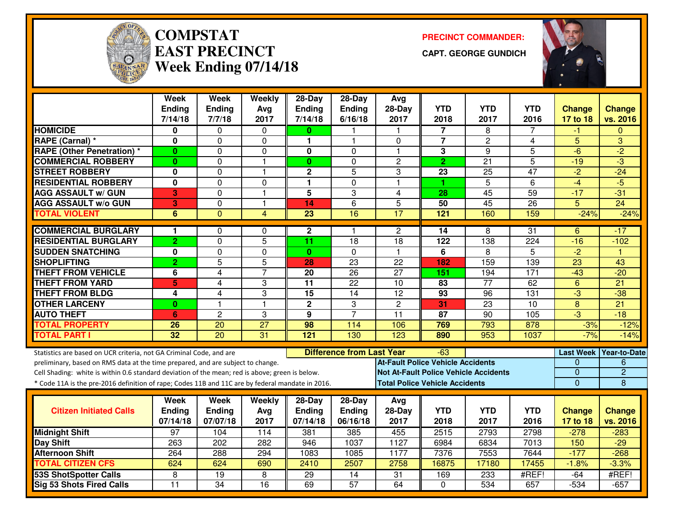

#### **COMPSTATEAST PRECINCTWeek Ending 07/14/18**

**PRECINCT COMMANDER:**

**CAPT. GEORGE GUNDICH**



|                                                                                                  | <b>Week</b><br>Ending   | Week<br><b>Ending</b>   | Weekly<br>Avg   | $28-Day$<br><b>Ending</b> | $28-Day$<br>Ending               | Avg<br>28-Day           | <b>YTD</b>                                   | <b>YTD</b>      | <b>YTD</b>      | <b>Change</b>  | <b>Change</b>          |
|--------------------------------------------------------------------------------------------------|-------------------------|-------------------------|-----------------|---------------------------|----------------------------------|-------------------------|----------------------------------------------|-----------------|-----------------|----------------|------------------------|
|                                                                                                  | 7/14/18                 | 7/7/18                  | 2017            | 7/14/18                   | 6/16/18                          | 2017                    | 2018                                         | 2017            | 2016            | 17 to 18       | vs. 2016               |
| <b>HOMICIDE</b>                                                                                  | 0                       | 0                       | $\mathbf{0}$    | 0                         |                                  | -1                      | $\overline{7}$                               | 8               | 7               | -1             | $\Omega$               |
| RAPE (Carnal) *                                                                                  | 0                       | 0                       | 0               | 1                         | 1                                | 0                       | 7                                            | $\overline{c}$  | 4               | 5              | 3                      |
| <b>RAPE (Other Penetration)*</b>                                                                 | $\bf{0}$                | $\mathbf{0}$            | 0               | 0                         | $\Omega$                         | $\overline{1}$          | 3                                            | 9               | $\overline{5}$  | $-6$           | $-2$                   |
| <b>COMMERCIAL ROBBERY</b>                                                                        | $\mathbf{0}$            | 0                       | $\mathbf{1}$    | $\mathbf{0}$              | 0                                | $\overline{2}$          | $\overline{2}$                               | 21              | 5               | $-19$          | $-3$                   |
| <b>STREET ROBBERY</b>                                                                            | 0                       | 0                       | 1               | $\mathbf 2$               | 5                                | 3                       | 23                                           | 25              | $\overline{47}$ | $-2$           | $-24$                  |
| <b>RESIDENTIAL ROBBERY</b>                                                                       | 0                       | $\mathbf{0}$            | $\Omega$        | 1                         | $\Omega$                         | $\overline{\mathbf{1}}$ | 1.                                           | $\overline{5}$  | 6               | $-4$           | $-5$                   |
| <b>AGG ASSAULT w/ GUN</b>                                                                        | 3                       | 0                       | $\mathbf{1}$    | 5                         | 3                                | 4                       | 28                                           | 45              | 59              | $-17$          | $-31$                  |
| <b>AGG ASSAULT w/o GUN</b>                                                                       | $\overline{\mathbf{3}}$ | 0                       | $\mathbf{1}$    | 14                        | 6                                | $\overline{5}$          | 50                                           | 45              | $\overline{26}$ | $\overline{5}$ | $\overline{24}$        |
| <b>TOTAL VIOLENT</b>                                                                             | 6                       | $\Omega$                | $\overline{4}$  | $\overline{23}$           | 16                               | 17                      | 121                                          | 160             | 159             | $-24%$         | $-24%$                 |
| <b>COMMERCIAL BURGLARY</b>                                                                       | 1                       | 0                       | $\mathbf 0$     | $\mathbf{2}$              | 1                                | 2                       | 14                                           | 8               | $\overline{31}$ | 6              | -17                    |
| <b>RESIDENTIAL BURGLARY</b>                                                                      | $\overline{2}$          | $\overline{0}$          | $\overline{5}$  | 11                        | 18                               | 18                      | $\overline{122}$                             | 138             | 224             | $-16$          | $-102$                 |
| <b>SUDDEN SNATCHING</b>                                                                          | 0                       | 0                       | 0               | $\bf{0}$                  | 0                                | $\overline{\mathbf{1}}$ | $\overline{6}$                               | 8               | 5               | $-2$           | К                      |
| <b>SHOPLIFTING</b>                                                                               | $\overline{2}$          | 5                       | 5               | 28                        | 23                               | 22                      | 182                                          | 159             | 139             | 23             | 43                     |
| <b>THEFT FROM VEHICLE</b>                                                                        | 6                       | 4                       | $\overline{7}$  | $\overline{20}$           | $\overline{26}$                  | $\overline{27}$         | 151                                          | 194             | 171             | $-43$          | $-20$                  |
| <b>THEFT FROM YARD</b>                                                                           | 5                       | 4                       | 3               | $\overline{11}$           | $\overline{22}$                  | $\overline{10}$         | $\overline{83}$                              | $\overline{77}$ | 62              | 6              | $\overline{21}$        |
| <b>THEFT FROM BLDG</b>                                                                           | 4                       | 4                       | 3               | 15                        | 14                               | $\overline{12}$         | 93                                           | 96              | 131             | $-3$           | $-38$                  |
| <b>OTHER LARCENY</b>                                                                             | $\bf{0}$                | $\overline{\mathbf{1}}$ | $\mathbf{1}$    | $\overline{2}$            | 3                                | $\overline{2}$          | $\overline{31}$                              | 23              | $\overline{10}$ | $\overline{8}$ | $\overline{21}$        |
| <b>AUTO THEFT</b>                                                                                | 6                       | $\overline{2}$          | 3               | 9                         | $\overline{7}$                   | 11                      | 87                                           | 90              | 105             | $\overline{3}$ | $-18$                  |
| <b>TOTAL PROPERTY</b>                                                                            | 26                      | 20                      | $\overline{27}$ | 98                        | 114                              | 106                     | 769                                          | 793             | 878             | $-3%$          | $-12%$                 |
| <b>TOTAL PART I</b>                                                                              | $\overline{32}$         | $\overline{20}$         | 31              | 121                       | 130                              | 123                     | 890                                          | 953             | 1037            | $-7%$          | $-14%$                 |
| Statistics are based on UCR criteria, not GA Criminal Code, and are                              |                         |                         |                 |                           | <b>Difference from Last Year</b> |                         | -63                                          |                 |                 |                | Last Week Year-to-Date |
| preliminary, based on RMS data at the time prepared, and are subject to change.                  |                         |                         |                 |                           |                                  |                         | <b>At-Fault Police Vehicle Accidents</b>     |                 |                 | 0              | 6                      |
| Cell Shading: white is within 0.6 standard deviation of the mean; red is above; green is below.  |                         |                         |                 |                           |                                  |                         | <b>Not At-Fault Police Vehicle Accidents</b> |                 |                 | 0              | $\overline{2}$         |
| * Code 11A is the pre-2016 definition of rape; Codes 11B and 11C are by federal mandate in 2016. |                         |                         |                 |                           |                                  |                         | <b>Total Police Vehicle Accidents</b>        |                 |                 | $\overline{0}$ | 8                      |
|                                                                                                  | Week                    | Week                    | Weekly          | $28$ -Day                 | $28-Day$                         | Avg                     |                                              |                 |                 |                |                        |
| <b>Citizen Initiated Calls</b>                                                                   | <b>Ending</b>           | <b>Ending</b>           | Avg             | <b>Ending</b>             | Ending                           | 28-Day                  | <b>YTD</b>                                   | <b>YTD</b>      | <b>YTD</b>      | <b>Change</b>  | <b>Change</b>          |
|                                                                                                  | 07/14/18                | 07/07/18                | 2017            | 07/14/18                  | 06/16/18                         | 2017                    | 2018                                         | 2017            | 2016            | 17 to 18       | vs. 2016               |
| <b>Midnight Shift</b>                                                                            | $\overline{97}$         | 104                     | 114             | 381                       | 385                              | 455                     | 2515                                         | 2793            | 2798            | $-278$         | $-283$                 |
| <b>Day Shift</b>                                                                                 | 263                     | $\overline{202}$        | 282             | 946                       | 1037                             | 1127                    | 6984                                         | 6834            | 7013            | 150            | $-29$                  |
| <b>Afternoon Shift</b>                                                                           | 264                     | 288                     | 294             | 1083                      | 1085                             | 1177                    | 7376                                         | 7553            | 7644            | $-177$         | $-268$                 |
| <b>TOTAL CITIZEN CFS</b>                                                                         | 624                     | 624                     | 690             | 2410                      | 2507                             | 2758                    | 16875                                        | 17180           | 17455           | $-1.8%$        | $-3.3%$                |
| <b>53S ShotSpotter Calls</b>                                                                     | 8                       | $\overline{19}$         | 8               | 29                        | $\overline{14}$                  | 31                      | 169                                          | 233             | #REF!           | $-64$          | #REF!                  |
| <b>Sig 53 Shots Fired Calls</b>                                                                  | $\overline{11}$         | $\overline{34}$         | $\overline{16}$ | 69                        | $\overline{57}$                  | 64                      | $\mathbf{0}$                                 | 534             | 657             | $-534$         | $-657$                 |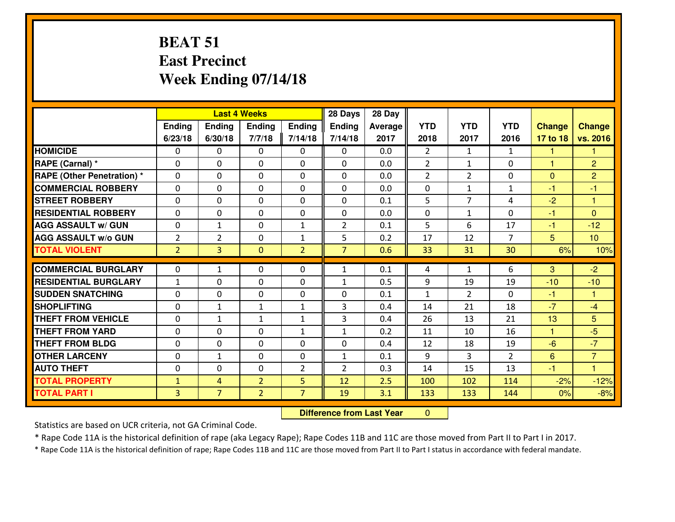#### **BEAT 51 East PrecinctWeek Ending 07/14/18**

|                                  |                | 28 Days<br><b>Last 4 Weeks</b> |                |                |                | 28 Day  |                |                |                |               |                      |
|----------------------------------|----------------|--------------------------------|----------------|----------------|----------------|---------|----------------|----------------|----------------|---------------|----------------------|
|                                  | Ending         | Ending                         | <b>Ending</b>  | <b>Ending</b>  | <b>Ending</b>  | Average | <b>YTD</b>     | <b>YTD</b>     | <b>YTD</b>     | <b>Change</b> | <b>Change</b>        |
|                                  | 6/23/18        | 6/30/18                        | 7/7/18         | 7/14/18        | 7/14/18        | 2017    | 2018           | 2017           | 2016           | 17 to 18      | vs. 2016             |
| <b>HOMICIDE</b>                  | 0              | 0                              | $\mathbf{0}$   | 0              | 0              | 0.0     | $\overline{2}$ | $\mathbf{1}$   | $\mathbf{1}$   | 1             | 1                    |
| RAPE (Carnal) *                  | $\Omega$       | 0                              | $\mathbf{0}$   | 0              | $\Omega$       | 0.0     | $\overline{2}$ | $\mathbf{1}$   | 0              | 1             | $\overline{2}$       |
| <b>RAPE (Other Penetration)*</b> | $\Omega$       | $\Omega$                       | $\Omega$       | $\Omega$       | $\Omega$       | 0.0     | $\overline{2}$ | $\overline{2}$ | 0              | $\Omega$      | $\overline{2}$       |
| <b>COMMERCIAL ROBBERY</b>        | 0              | 0                              | $\mathbf 0$    | 0              | 0              | 0.0     | 0              | $\mathbf{1}$   | $\mathbf{1}$   | $-1$          | $-1$                 |
| <b>ISTREET ROBBERY</b>           | $\mathbf{0}$   | 0                              | $\mathbf{0}$   | $\Omega$       | $\Omega$       | 0.1     | 5              | $\overline{7}$ | 4              | $-2$          | $\blacktriangleleft$ |
| <b>RESIDENTIAL ROBBERY</b>       | $\Omega$       | $\Omega$                       | $\mathbf 0$    | $\Omega$       | 0              | 0.0     | 0              | $\mathbf{1}$   | $\Omega$       | $-1$          | $\Omega$             |
| <b>AGG ASSAULT W/ GUN</b>        | $\Omega$       | $\mathbf{1}$                   | $\mathbf 0$    | $\mathbf{1}$   | $\overline{2}$ | 0.1     | 5              | 6              | 17             | $-1$          | $-12$                |
| <b>AGG ASSAULT W/o GUN</b>       | $\overline{2}$ | $\overline{2}$                 | $\mathbf 0$    | $\mathbf{1}$   | 5              | 0.2     | 17             | 12             | $\overline{7}$ | 5             | 10                   |
| <b>TOTAL VIOLENT</b>             | $\overline{2}$ | $\overline{3}$                 | $\overline{0}$ | $\overline{2}$ | $\overline{7}$ | 0.6     | 33             | 31             | 30             | 6%            | 10%                  |
| <b>COMMERCIAL BURGLARY</b>       | $\mathbf{0}$   | $\mathbf{1}$                   | 0              | 0              | 1              | 0.1     | 4              | $\mathbf{1}$   | 6              | 3             | $-2$                 |
| <b>RESIDENTIAL BURGLARY</b>      | 1              | 0                              | $\mathbf{0}$   | 0              | 1              | 0.5     | 9              | 19             | 19             | $-10$         | $-10$                |
| <b>SUDDEN SNATCHING</b>          | $\Omega$       | 0                              | $\mathbf{0}$   | $\Omega$       | $\Omega$       | 0.1     | 1              | $\overline{2}$ | 0              | $-1$          | -1                   |
| <b>SHOPLIFTING</b>               | $\mathbf{0}$   | $\mathbf{1}$                   | $\mathbf{1}$   | $\mathbf{1}$   | 3              | 0.4     | 14             | 21             | 18             | $-7$          | $-4$                 |
| <b>THEFT FROM VEHICLE</b>        | $\Omega$       | $\mathbf{1}$                   | $\mathbf{1}$   | $\mathbf{1}$   | $\mathbf{3}$   | 0.4     | 26             | 13             | 21             | 13            | 5                    |
| <b>THEFT FROM YARD</b>           | $\mathbf{0}$   | 0                              | $\mathbf 0$    | $\mathbf{1}$   | $\mathbf{1}$   | 0.2     | 11             | 10             | 16             | 1             | $-5$                 |
| <b>THEFT FROM BLDG</b>           | 0              | 0                              | $\mathbf 0$    | 0              | 0              | 0.4     | 12             | 18             | 19             | $-6$          | $-7$                 |
| <b>OTHER LARCENY</b>             | 0              | $\mathbf{1}$                   | $\mathbf 0$    | 0              | $\mathbf{1}$   | 0.1     | 9              | 3              | $\overline{2}$ | 6             | $\overline{7}$       |
| <b>AUTO THEFT</b>                | $\mathbf{0}$   | 0                              | $\mathbf 0$    | $\overline{2}$ | $\overline{2}$ | 0.3     | 14             | 15             | 13             | $-1$          | $\blacktriangleleft$ |
| <b>TOTAL PROPERTY</b>            | $\mathbf{1}$   | 4                              | $\overline{2}$ | 5              | 12             | 2.5     | 100            | 102            | 114            | $-2%$         | $-12%$               |
| <b>TOTAL PART I</b>              | $\overline{3}$ | $\overline{7}$                 | $\overline{2}$ | $\overline{7}$ | 19             | 3.1     | 133            | 133            | 144            | 0%            | $-8%$                |

 **Difference from Last Year** $\mathbf{0}$ 

Statistics are based on UCR criteria, not GA Criminal Code.

\* Rape Code 11A is the historical definition of rape (aka Legacy Rape); Rape Codes 11B and 11C are those moved from Part II to Part I in 2017.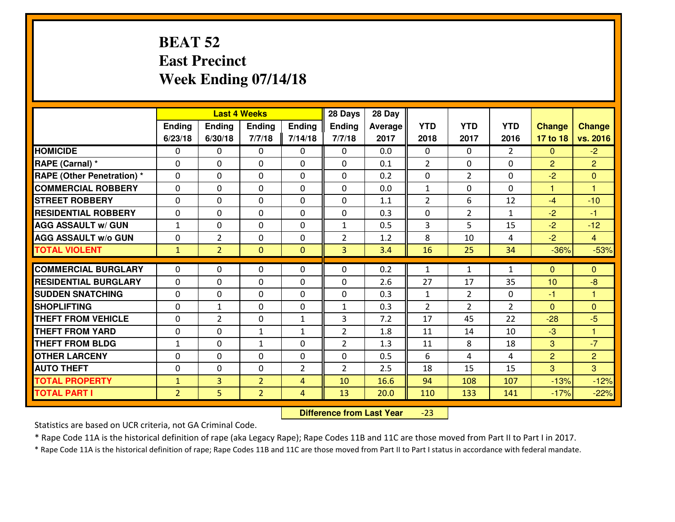#### **BEAT 52 East PrecinctWeek Ending 07/14/18**

|                                   |                |                | <b>Last 4 Weeks</b> |                | 28 Days        | 28 Day  |                |                |                |                |                |
|-----------------------------------|----------------|----------------|---------------------|----------------|----------------|---------|----------------|----------------|----------------|----------------|----------------|
|                                   | Ending         | Ending         | Ending              | <b>Ending</b>  | <b>Ending</b>  | Average | <b>YTD</b>     | <b>YTD</b>     | <b>YTD</b>     | <b>Change</b>  | <b>Change</b>  |
|                                   | 6/23/18        | 6/30/18        | 7/7/18              | 7/14/18        | 7/7/18         | 2017    | 2018           | 2017           | 2016           | 17 to 18       | vs. 2016       |
| <b>HOMICIDE</b>                   | $\Omega$       | 0              | 0                   | 0              | $\Omega$       | 0.0     | 0              | $\Omega$       | $\mathfrak{D}$ | $\Omega$       | $-2$           |
| RAPE (Carnal) *                   | $\mathbf{0}$   | 0              | $\mathbf 0$         | 0              | 0              | 0.1     | $\overline{2}$ | $\mathbf{0}$   | 0              | 2              | $\overline{2}$ |
| <b>RAPE (Other Penetration) *</b> | $\mathbf{0}$   | 0              | $\mathbf{0}$        | 0              | $\Omega$       | 0.2     | $\mathbf{0}$   | $\overline{2}$ | 0              | $-2$           | $\mathbf{0}$   |
| <b>COMMERCIAL ROBBERY</b>         | $\mathbf{0}$   | 0              | 0                   | $\Omega$       | $\Omega$       | 0.0     | 1              | 0              | 0              | $\mathbf{1}$   | 1              |
| <b>STREET ROBBERY</b>             | $\mathbf{0}$   | 0              | $\mathbf 0$         | 0              | $\Omega$       | 1.1     | $\overline{2}$ | 6              | 12             | $-4$           | $-10$          |
| <b>RESIDENTIAL ROBBERY</b>        | 0              | 0              | $\mathbf 0$         | 0              | 0              | 0.3     | 0              | $\overline{2}$ | $\mathbf{1}$   | $-2$           | $-1$           |
| <b>AGG ASSAULT W/ GUN</b>         | $\mathbf{1}$   | 0              | $\mathbf 0$         | 0              | $\mathbf{1}$   | 0.5     | 3              | 5              | 15             | $-2$           | $-12$          |
| <b>AGG ASSAULT W/o GUN</b>        | 0              | $\overline{2}$ | $\mathbf 0$         | 0              | $\overline{2}$ | 1.2     | 8              | 10             | 4              | $-2$           | $\overline{4}$ |
| <b>TOTAL VIOLENT</b>              | $\mathbf{1}$   | $\overline{2}$ | $\overline{0}$      | $\overline{0}$ | 3              | 3.4     | 16             | 25             | 34             | $-36%$         | $-53%$         |
| <b>COMMERCIAL BURGLARY</b>        | $\mathbf{0}$   | 0              | 0                   | 0              | $\Omega$       | 0.2     | 1              | $\mathbf{1}$   | $\mathbf{1}$   | $\Omega$       | $\mathbf{0}$   |
| <b>RESIDENTIAL BURGLARY</b>       | $\Omega$       | 0              | $\mathbf{0}$        | 0              | $\Omega$       | 2.6     | 27             | 17             | 35             | 10             | $-8$           |
| <b>SUDDEN SNATCHING</b>           | $\mathbf{0}$   | 0              | 0                   | $\Omega$       | 0              | 0.3     | $\mathbf{1}$   | $\overline{2}$ | 0              | -1             | 1              |
| <b>SHOPLIFTING</b>                | $\Omega$       | $\mathbf{1}$   | $\mathbf 0$         | 0              | $\mathbf{1}$   | 0.3     | $\overline{2}$ | $\overline{2}$ | $\overline{2}$ | $\overline{0}$ | $\Omega$       |
| <b>THEFT FROM VEHICLE</b>         | $\Omega$       | $\overline{2}$ | $\mathbf 0$         | $\mathbf{1}$   | 3              | 7.2     | 17             | 45             | 22             | $-28$          | $-5$           |
| <b>THEFT FROM YARD</b>            | 0              | 0              | $\mathbf{1}$        | $\mathbf{1}$   | $\overline{2}$ | 1.8     | 11             | 14             | 10             | $-3$           | $\mathbf{1}$   |
| <b>THEFT FROM BLDG</b>            | $\mathbf{1}$   | 0              | 1                   | 0              | $\overline{2}$ | 1.3     | 11             | 8              | 18             | 3              | $-7$           |
| <b>OTHER LARCENY</b>              | 0              | 0              | $\mathbf 0$         | 0              | 0              | 0.5     | 6              | 4              | 4              | $\overline{2}$ | $\overline{2}$ |
| <b>AUTO THEFT</b>                 | 0              | 0              | 0                   | 2              | $\overline{2}$ | 2.5     | 18             | 15             | 15             | 3              | 3              |
| <b>TOTAL PROPERTY</b>             | $\mathbf{1}$   | $\overline{3}$ | $\overline{2}$      | 4              | 10             | 16.6    | 94             | 108            | 107            | $-13%$         | $-12%$         |
| <b>TOTAL PART I</b>               | $\overline{2}$ | 5              | $\overline{2}$      | 4              | 13             | 20.0    | 110            | 133            | 141            | $-17%$         | $-22%$         |

 **Difference from Last Year**-23

Statistics are based on UCR criteria, not GA Criminal Code.

\* Rape Code 11A is the historical definition of rape (aka Legacy Rape); Rape Codes 11B and 11C are those moved from Part II to Part I in 2017.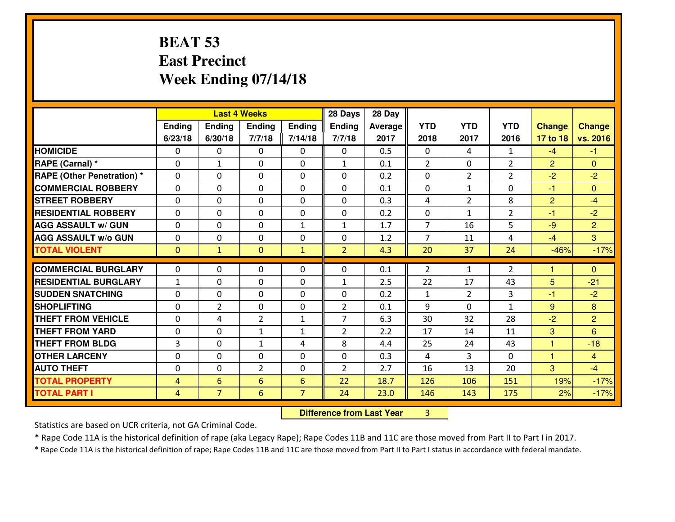#### **BEAT 53 East PrecinctWeek Ending 07/14/18**

|                                  | <b>Last 4 Weeks</b> |                 |                |                | 28 Days        | 28 Day  |                |                |                |                |                |
|----------------------------------|---------------------|-----------------|----------------|----------------|----------------|---------|----------------|----------------|----------------|----------------|----------------|
|                                  | Ending              | Ending          | <b>Ending</b>  | <b>Ending</b>  | <b>Ending</b>  | Average | <b>YTD</b>     | <b>YTD</b>     | <b>YTD</b>     | <b>Change</b>  | <b>Change</b>  |
|                                  | 6/23/18             | 6/30/18         | 7/7/18         | 7/14/18        | 7/7/18         | 2017    | 2018           | 2017           | 2016           | 17 to 18       | vs. 2016       |
| <b>HOMICIDE</b>                  | 0                   | 0               | $\mathbf{0}$   | 0              | 0              | 0.5     | $\mathbf{0}$   | 4              | $\mathbf{1}$   | $-4$           | $-1$           |
| RAPE (Carnal) *                  | $\mathbf{0}$        | $\mathbf{1}$    | $\mathbf{0}$   | 0              | $\mathbf{1}$   | 0.1     | 2              | $\Omega$       | $\overline{2}$ | $\overline{2}$ | $\mathbf{0}$   |
| <b>RAPE (Other Penetration)*</b> | $\Omega$            | $\Omega$        | $\Omega$       | $\Omega$       | $\Omega$       | 0.2     | $\Omega$       | $\overline{2}$ | $\overline{2}$ | $-2$           | $-2$           |
| <b>COMMERCIAL ROBBERY</b>        | 0                   | 0               | $\mathbf 0$    | 0              | 0              | 0.1     | 0              | $\mathbf{1}$   | 0              | $-1$           | $\Omega$       |
| <b>ISTREET ROBBERY</b>           | $\mathbf{0}$        | 0               | $\mathbf{0}$   | $\Omega$       | $\Omega$       | 0.3     | 4              | $\overline{2}$ | 8              | $\overline{2}$ | $-4$           |
| <b>RESIDENTIAL ROBBERY</b>       | $\Omega$            | $\Omega$        | $\mathbf 0$    | $\Omega$       | 0              | 0.2     | 0              | $\mathbf{1}$   | $\overline{2}$ | $-1$           | $-2$           |
| <b>AGG ASSAULT W/ GUN</b>        | $\Omega$            | $\Omega$        | $\mathbf 0$    | $\mathbf{1}$   | $\mathbf{1}$   | 1.7     | $\overline{7}$ | 16             | 5              | $-9$           | $\overline{2}$ |
| <b>AGG ASSAULT W/o GUN</b>       | 0                   | 0               | $\mathbf 0$    | 0              | 0              | 1.2     | $\overline{7}$ | 11             | 4              | $-4$           | $\overline{3}$ |
| <b>TOTAL VIOLENT</b>             | $\mathbf{0}$        | $\mathbf{1}$    | $\mathbf{0}$   | $\mathbf{1}$   | $\overline{2}$ | 4.3     | 20             | 37             | 24             | $-46%$         | $-17%$         |
| <b>COMMERCIAL BURGLARY</b>       | $\mathbf{0}$        | 0               | 0              | 0              | $\Omega$       | 0.1     | $\overline{2}$ | $\mathbf{1}$   | $\overline{2}$ |                | $\mathbf{0}$   |
| <b>RESIDENTIAL BURGLARY</b>      | $\mathbf{1}$        | 0               | $\mathbf{0}$   | 0              | $\mathbf{1}$   | 2.5     | 22             | 17             | 43             | 5              | $-21$          |
| <b>SUDDEN SNATCHING</b>          | $\Omega$            | 0               | $\mathbf{0}$   | $\Omega$       | $\Omega$       | 0.2     | 1              | $\overline{2}$ | 3              | -1             | $-2$           |
| <b>SHOPLIFTING</b>               | $\mathbf{0}$        | $\overline{2}$  | $\mathbf 0$    | 0              | $\overline{2}$ | 0.1     | 9              | 0              | $\mathbf{1}$   | 9              | 8              |
| <b>THEFT FROM VEHICLE</b>        | $\Omega$            | 4               | $\overline{2}$ | $\mathbf{1}$   | $\overline{7}$ | 6.3     | 30             | 32             | 28             | $-2$           | $\overline{2}$ |
| <b>THEFT FROM YARD</b>           | $\mathbf{0}$        | 0               | $\mathbf{1}$   | $\mathbf{1}$   | $\overline{2}$ | 2.2     | 17             | 14             | 11             | 3              | 6              |
| <b>THEFT FROM BLDG</b>           | 3                   | 0               | $\mathbf{1}$   | 4              | 8              | 4.4     | 25             | 24             | 43             | $\mathbf{1}$   | $-18$          |
| <b>OTHER LARCENY</b>             | 0                   | 0               | $\mathbf 0$    | 0              | 0              | 0.3     | 4              | 3              | 0              | $\mathbf{1}$   | $\overline{4}$ |
| <b>AUTO THEFT</b>                | $\mathbf{0}$        | 0               | $\overline{2}$ | 0              | $\overline{2}$ | 2.7     | 16             | 13             | 20             | 3              | $-4$           |
| <b>TOTAL PROPERTY</b>            | $\overline{4}$      | $6\overline{6}$ | 6              | 6              | 22             | 18.7    | 126            | 106            | 151            | 19%            | $-17%$         |
| <b>TOTAL PART I</b>              | $\overline{4}$      | $\overline{7}$  | 6              | $\overline{7}$ | 24             | 23.0    | 146            | 143            | 175            | 2%             | $-17%$         |

 **Difference from Last Year**<sup>3</sup>

Statistics are based on UCR criteria, not GA Criminal Code.

\* Rape Code 11A is the historical definition of rape (aka Legacy Rape); Rape Codes 11B and 11C are those moved from Part II to Part I in 2017.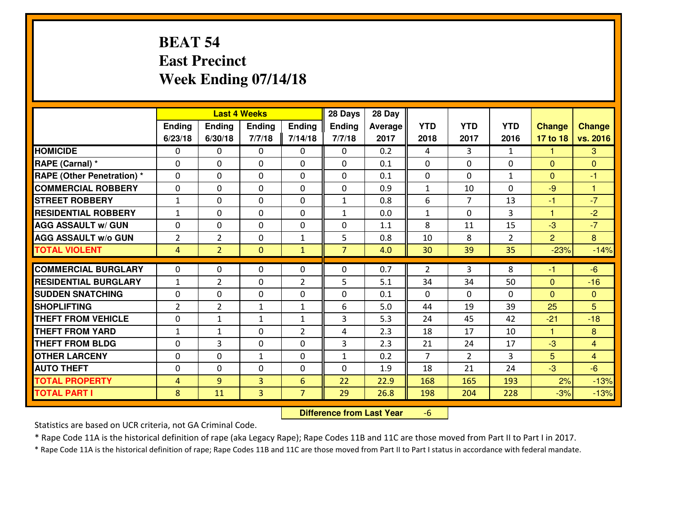#### **BEAT 54 East PrecinctWeek Ending 07/14/18**

|                                   | <b>Last 4 Weeks</b> |                |                |                | 28 Days        | 28 Day         |                |                |                |                |                      |
|-----------------------------------|---------------------|----------------|----------------|----------------|----------------|----------------|----------------|----------------|----------------|----------------|----------------------|
|                                   | Ending              | Ending         | <b>Ending</b>  | Ending         | <b>Ending</b>  | <b>Average</b> | <b>YTD</b>     | <b>YTD</b>     | <b>YTD</b>     | <b>Change</b>  | <b>Change</b>        |
|                                   | 6/23/18             | 6/30/18        | 7/7/18         | 7/14/18        | 7/7/18         | 2017           | 2018           | 2017           | 2016           | 17 to 18       | vs. 2016             |
| <b>HOMICIDE</b>                   | $\Omega$            | 0              | $\Omega$       | 0              | $\Omega$       | 0.2            | 4              | 3              | $\mathbf{1}$   | 1              | 3                    |
| RAPE (Carnal) *                   | $\mathbf{0}$        | 0              | $\mathbf{0}$   | 0              | $\Omega$       | 0.1            | $\mathbf{0}$   | 0              | 0              | $\Omega$       | $\mathbf{0}$         |
| <b>RAPE (Other Penetration) *</b> | $\Omega$            | 0              | $\mathbf{0}$   | $\Omega$       | $\Omega$       | 0.1            | $\mathbf{0}$   | 0              | $\mathbf{1}$   | $\Omega$       | $-1$                 |
| <b>COMMERCIAL ROBBERY</b>         | 0                   | 0              | 0              | 0              | 0              | 0.9            | $\mathbf{1}$   | 10             | 0              | $-9$           | $\blacktriangleleft$ |
| <b>STREET ROBBERY</b>             | $\mathbf{1}$        | 0              | $\mathbf 0$    | 0              | $\mathbf{1}$   | 0.8            | 6              | $\overline{7}$ | 13             | $-1$           | $-7$                 |
| <b>RESIDENTIAL ROBBERY</b>        | $\mathbf{1}$        | $\Omega$       | $\mathbf 0$    | $\Omega$       | $\mathbf{1}$   | 0.0            | $\mathbf{1}$   | $\Omega$       | 3              | $\mathbf{1}$   | $-2$                 |
| <b>AGG ASSAULT w/ GUN</b>         | 0                   | 0              | $\mathbf 0$    | $\Omega$       | 0              | 1.1            | 8              | 11             | 15             | $-3$           | $-7$                 |
| <b>AGG ASSAULT W/o GUN</b>        | $\overline{2}$      | $\overline{2}$ | $\mathbf 0$    | $\mathbf{1}$   | 5              | 0.8            | 10             | 8              | $\overline{2}$ | $\overline{2}$ | 8                    |
| <b>TOTAL VIOLENT</b>              | 4                   | $\overline{2}$ | $\overline{0}$ | $\mathbf{1}$   | $\overline{7}$ | 4.0            | 30             | 39             | 35             | $-23%$         | $-14%$               |
| <b>COMMERCIAL BURGLARY</b>        | $\Omega$            | 0              | $\mathbf{0}$   | $\Omega$       | $\Omega$       | 0.7            | 2              | 3              | 8              | -1             | $-6$                 |
| <b>RESIDENTIAL BURGLARY</b>       | $\mathbf{1}$        | $\overline{2}$ | 0              | $\overline{2}$ | 5              | 5.1            | 34             | 34             | 50             | $\Omega$       | $-16$                |
| <b>SUDDEN SNATCHING</b>           | 0                   | 0              | $\mathbf 0$    | 0              | 0              | 0.1            | 0              | $\mathbf{0}$   | $\Omega$       | $\overline{0}$ | $\overline{0}$       |
| <b>SHOPLIFTING</b>                | $\overline{2}$      | $\overline{2}$ | 1              | $\mathbf{1}$   | 6              | 5.0            | 44             | 19             | 39             | 25             | 5                    |
| <b>THEFT FROM VEHICLE</b>         | 0                   | 1              | $\mathbf{1}$   | $\mathbf{1}$   | 3              | 5.3            | 24             | 45             | 42             | $-21$          | $-18$                |
| <b>THEFT FROM YARD</b>            | $1\,$               | $\mathbf{1}$   | $\mathbf 0$    | $\overline{2}$ | 4              | 2.3            | 18             | 17             | 10             | $\mathbf{1}$   | 8                    |
| <b>THEFT FROM BLDG</b>            | 0                   | 3              | $\mathbf 0$    | 0              | 3              | 2.3            | 21             | 24             | 17             | $-3$           | $\overline{4}$       |
| <b>OTHER LARCENY</b>              | 0                   | 0              | $\mathbf{1}$   | 0              | $\mathbf{1}$   | 0.2            | $\overline{7}$ | $\overline{2}$ | 3              | 5              | $\overline{4}$       |
| <b>AUTO THEFT</b>                 | $\mathbf{0}$        | 0              | $\mathbf{0}$   | 0              | 0              | 1.9            | 18             | 21             | 24             | $-3$           | $-6$                 |
| <b>TOTAL PROPERTY</b>             | 4                   | 9              | $\overline{3}$ | 6              | 22             | 22.9           | 168            | 165            | 193            | 2%             | $-13%$               |
| <b>TOTAL PART I</b>               | 8                   | 11             | $\overline{3}$ | $\overline{7}$ | 29             | 26.8           | 198            | 204            | 228            | $-3%$          | $-13%$               |

 **Difference from Last Year**-6

Statistics are based on UCR criteria, not GA Criminal Code.

\* Rape Code 11A is the historical definition of rape (aka Legacy Rape); Rape Codes 11B and 11C are those moved from Part II to Part I in 2017.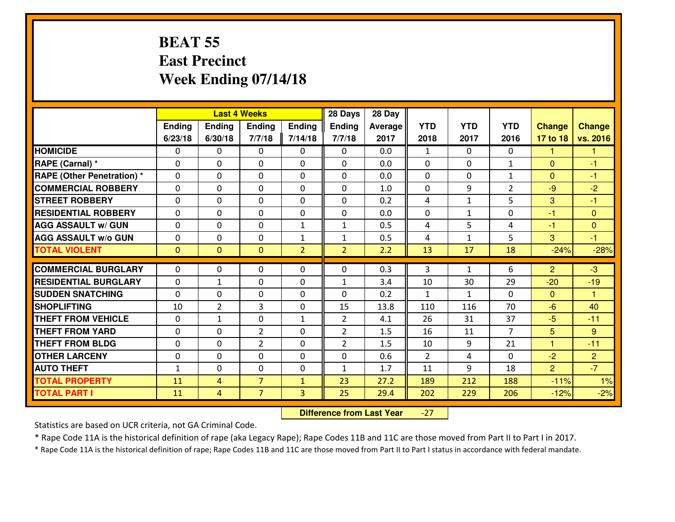#### **BEAT 55 East PrecinctWeek Ending 07/14/18**

|                                   |              |                |                | 28 Days<br><b>Last 4 Weeks</b> |                |         |              |              |                |                |                      |
|-----------------------------------|--------------|----------------|----------------|--------------------------------|----------------|---------|--------------|--------------|----------------|----------------|----------------------|
|                                   | Ending       | Ending         | <b>Ending</b>  | Ending                         | <b>Ending</b>  | Average | <b>YTD</b>   | <b>YTD</b>   | <b>YTD</b>     | <b>Change</b>  | <b>Change</b>        |
|                                   | 6/23/18      | 6/30/18        | 7/7/18         | 7/14/18                        | 7/7/18         | 2017    | 2018         | 2017         | 2016           | 17 to 18       | vs. 2016             |
| <b>HOMICIDE</b>                   | $\Omega$     | 0              | $\Omega$       | 0                              | $\Omega$       | 0.0     | 1            | $\Omega$     | 0              | 1              | 1                    |
| RAPE (Carnal) *                   | $\mathbf{0}$ | 0              | $\mathbf{0}$   | 0                              | $\Omega$       | 0.0     | $\mathbf{0}$ | $\mathbf{0}$ | $\mathbf{1}$   | $\Omega$       | $-1$                 |
| <b>RAPE (Other Penetration) *</b> | $\Omega$     | 0              | $\mathbf{0}$   | $\Omega$                       | $\Omega$       | 0.0     | $\Omega$     | 0            | $\mathbf{1}$   | $\Omega$       | $-1$                 |
| <b>COMMERCIAL ROBBERY</b>         | $\mathbf{0}$ | 0              | $\mathbf 0$    | 0                              | $\Omega$       | 1.0     | $\Omega$     | 9            | $\overline{2}$ | $-9$           | $-2$                 |
| <b>STREET ROBBERY</b>             | 0            | 0              | $\mathbf 0$    | $\Omega$                       | 0              | 0.2     | 4            | $\mathbf{1}$ | 5              | 3              | $-1$                 |
| <b>RESIDENTIAL ROBBERY</b>        | $\Omega$     | $\Omega$       | $\mathbf 0$    | $\Omega$                       | 0              | 0.0     | 0            | $\mathbf{1}$ | 0              | $-1$           | $\Omega$             |
| <b>AGG ASSAULT w/ GUN</b>         | 0            | 0              | $\mathbf 0$    | $\mathbf{1}$                   | $\mathbf{1}$   | 0.5     | 4            | 5            | 4              | $-1$           | $\overline{0}$       |
| <b>AGG ASSAULT W/o GUN</b>        | 0            | 0              | $\mathbf 0$    | $\mathbf{1}$                   | $\mathbf{1}$   | 0.5     | 4            | $\mathbf{1}$ | 5              | 3              | $-1$                 |
| <b>TOTAL VIOLENT</b>              | $\mathbf{0}$ | $\overline{0}$ | $\overline{0}$ | $\overline{2}$                 | $\overline{2}$ | 2.2     | 13           | 17           | 18             | $-24%$         | $-28%$               |
| <b>COMMERCIAL BURGLARY</b>        | $\Omega$     | 0              | $\mathbf{0}$   | $\Omega$                       | $\Omega$       | 0.3     | 3            | $\mathbf{1}$ | 6              | 2              | $-3$                 |
| <b>RESIDENTIAL BURGLARY</b>       | 0            | $\mathbf{1}$   | 0              | 0                              | 1              | 3.4     | 10           | 30           | 29             | $-20$          | $-19$                |
| <b>SUDDEN SNATCHING</b>           | 0            | 0              | $\mathbf 0$    | 0                              | 0              | 0.2     | $\mathbf{1}$ | $\mathbf{1}$ | 0              | $\Omega$       | $\blacktriangleleft$ |
| <b>SHOPLIFTING</b>                | 10           | $\overline{2}$ | 3              | 0                              | 15             | 13.8    | 110          | 116          | 70             | $-6$           | 40                   |
| <b>THEFT FROM VEHICLE</b>         | 0            | $\mathbf{1}$   | $\mathbf 0$    | $\mathbf{1}$                   | $\overline{2}$ | 4.1     | 26           | 31           | 37             | $-5$           | $-11$                |
| <b>THEFT FROM YARD</b>            | 0            | 0              | $\overline{2}$ | 0                              | $\overline{2}$ | 1.5     | 16           | 11           | $\overline{7}$ | 5              | 9                    |
| <b>THEFT FROM BLDG</b>            | 0            | 0              | $\overline{2}$ | 0                              | $\overline{2}$ | 1.5     | 10           | 9            | 21             | $\mathbf{1}$   | $-11$                |
| <b>OTHER LARCENY</b>              | 0            | 0              | $\mathbf 0$    | 0                              | 0              | 0.6     | 2            | 4            | 0              | $-2$           | $\overline{2}$       |
| <b>AUTO THEFT</b>                 | $\mathbf{1}$ | 0              | $\mathbf{0}$   | 0                              | $\mathbf{1}$   | 1.7     | 11           | 9            | 18             | $\overline{2}$ | $-7$                 |
| <b>TOTAL PROPERTY</b>             | 11           | 4              | $\overline{7}$ | $\mathbf{1}$                   | 23             | 27.2    | 189          | 212          | 188            | $-11%$         | 1%                   |
| <b>TOTAL PART I</b>               | 11           | $\overline{4}$ | $\overline{7}$ | 3                              | 25             | 29.4    | 202          | 229          | 206            | $-12%$         | $-2%$                |

 **Difference from Last Year**-27

Statistics are based on UCR criteria, not GA Criminal Code.

\* Rape Code 11A is the historical definition of rape (aka Legacy Rape); Rape Codes 11B and 11C are those moved from Part II to Part I in 2017.